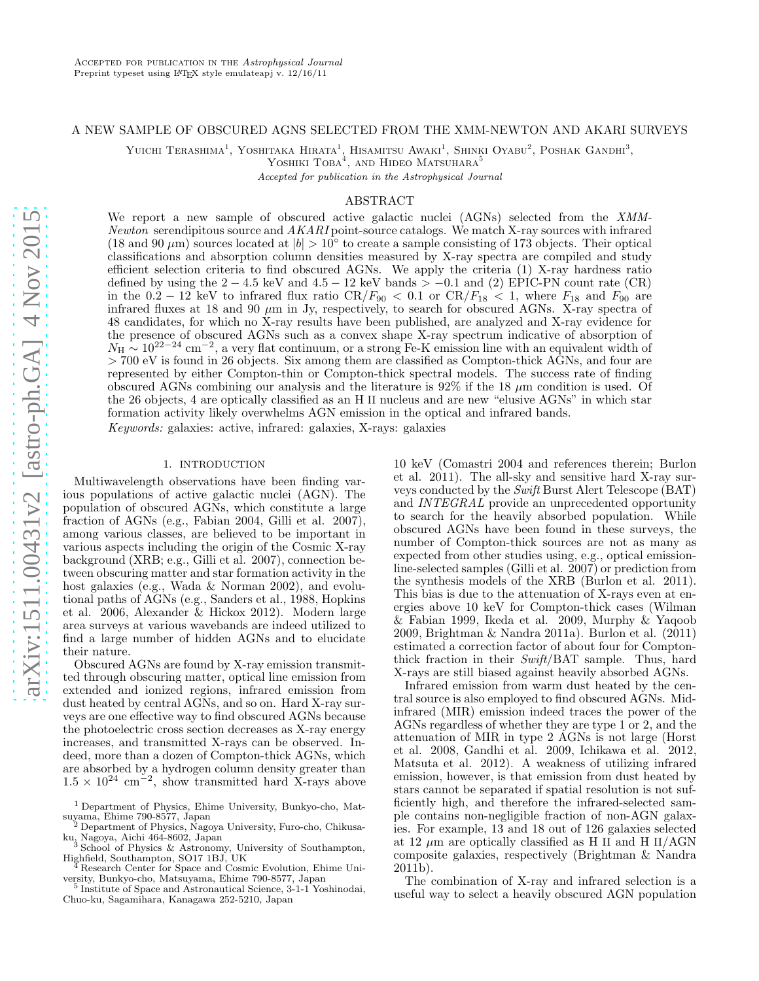#### A NEW SAMPLE OF OBSCURED AGNS SELECTED FROM THE XMM-NEWTON AND AKARI SURVEYS

Yuichi Terashima<sup>1</sup>, Yoshitaka Hirata<sup>1</sup>, Hisamitsu Awaki<sup>1</sup>, Shinki Oyabu<sup>2</sup>, Poshak Gandhi<sup>3</sup>,

YOSHIKI  $\text{TOBA}^4$ , and Hideo Matsuhara<sup>5</sup>

Accepted for publication in the Astrophysical Journal

## ABSTRACT

We report a new sample of obscured active galactic nuclei (AGNs) selected from the XMM-Newton serendipitous source and  $AKARI$  point-source catalogs. We match X-ray sources with infrared (18 and 90  $\mu$ m) sources located at  $|b| > 10^{\circ}$  to create a sample consisting of 173 objects. Their optical classifications and absorption column densities measured by X-ray spectra are compiled and study efficient selection criteria to find obscured AGNs. We apply the criteria (1) X-ray hardness ratio defined by using the  $2 - 4.5$  keV and  $4.5 - 12$  keV bands  $> -0.1$  and (2) EPIC-PN count rate (CR) in the  $0.2 - 12$  keV to infrared flux ratio CR/ $F_{90} < 0.1$  or CR/ $F_{18} < 1$ , where  $F_{18}$  and  $F_{90}$  are infrared fluxes at 18 and 90  $\mu$ m in Jy, respectively, to search for obscured AGNs. X-ray spectra of 48 candidates, for which no X-ray results have been published, are analyzed and X-ray evidence for the presence of obscured AGNs such as a convex shape X-ray spectrum indicative of absorption of  $N_H \sim 10^{22-24}$  cm<sup>-2</sup>, a very flat continuum, or a strong Fe-K emission line with an equivalent width of > 700 eV is found in 26 objects. Six among them are classified as Compton-thick AGNs, and four are represented by either Compton-thin or Compton-thick spectral models. The success rate of finding obscured AGNs combining our analysis and the literature is  $92\%$  if the 18  $\mu$ m condition is used. Of the 26 objects, 4 are optically classified as an H II nucleus and are new "elusive AGNs" in which star formation activity likely overwhelms AGN emission in the optical and infrared bands. Keywords: galaxies: active, infrared: galaxies, X-rays: galaxies

## 1. INTRODUCTION

Multiwavelength observations have been finding various populations of active galactic nuclei (AGN). The population of obscured AGNs, which constitute a large fraction of AGNs (e.g., Fabian 2004, Gilli et al. 2007), among various classes, are believed to be important in various aspects including the origin of the Cosmic X-ray background (XRB; e.g., Gilli et al. 2007), connection between obscuring matter and star formation activity in the host galaxies (e.g., Wada & Norman 2002), and evolutional paths of AGNs (e.g., Sanders et al., 1988, Hopkins et al. 2006, Alexander & Hickox 2012). Modern large area surveys at various wavebands are indeed utilized to find a large number of hidden AGNs and to elucidate their nature.

Obscured AGNs are found by X-ray emission transmitted through obscuring matter, optical line emission from extended and ionized regions, infrared emission from dust heated by central AGNs, and so on. Hard X-ray surveys are one effective way to find obscured AGNs because the photoelectric cross section decreases as X-ray energy increases, and transmitted X-rays can be observed. Indeed, more than a dozen of Compton-thick AGNs, which are absorbed by a hydrogen column density greater than  $1.5 \times 10^{24}$  cm<sup>-2</sup>, show transmitted hard X-rays above

10 keV (Comastri 2004 and references therein; Burlon et al. 2011). The all-sky and sensitive hard X-ray surveys conducted by the Swift Burst Alert Telescope (BAT) and INTEGRAL provide an unprecedented opportunity to search for the heavily absorbed population. While obscured AGNs have been found in these surveys, the number of Compton-thick sources are not as many as expected from other studies using, e.g., optical emissionline-selected samples (Gilli et al. 2007) or prediction from the synthesis models of the XRB (Burlon et al. 2011). This bias is due to the attenuation of X-rays even at energies above 10 keV for Compton-thick cases (Wilman & Fabian 1999, Ikeda et al. 2009, Murphy & Yaqoob 2009, Brightman & Nandra 2011a). Burlon et al. (2011) estimated a correction factor of about four for Comptonthick fraction in their Swift/BAT sample. Thus, hard X-rays are still biased against heavily absorbed AGNs.

Infrared emission from warm dust heated by the central source is also employed to find obscured AGNs. Midinfrared (MIR) emission indeed traces the power of the AGNs regardless of whether they are type 1 or 2, and the attenuation of MIR in type 2 AGNs is not large (Horst et al. 2008, Gandhi et al. 2009, Ichikawa et al. 2012, Matsuta et al. 2012). A weakness of utilizing infrared emission, however, is that emission from dust heated by stars cannot be separated if spatial resolution is not sufficiently high, and therefore the infrared-selected sample contains non-negligible fraction of non-AGN galaxies. For example, 13 and 18 out of 126 galaxies selected at 12  $\mu$ m are optically classified as H II and H II/AGN composite galaxies, respectively (Brightman & Nandra 2011b).

The combination of X-ray and infrared selection is a useful way to select a heavily obscured AGN population

<sup>1</sup> Department of Physics, Ehime University, Bunkyo-cho, Matsuyama, Ehime 790-8577, Japan <sup>2</sup> Department of Physics, Nagoya University, Furo-cho, Chikusa-

ku, Nagoya, Aichi 464-8602, Japan <sup>3</sup> School of Physics & Astronomy, University of Southampton, Highfield, Southampton, SO17 1BJ, UK <sup>4</sup> Research Center for Space and Cosmic Evolution, Ehime Uni-

versity, Bunkyo-cho, Matsuyama, Ehime 790-8577, Japan

<sup>5</sup> Institute of Space and Astronautical Science, 3-1-1 Yoshinodai, Chuo-ku, Sagamihara, Kanagawa 252-5210, Japan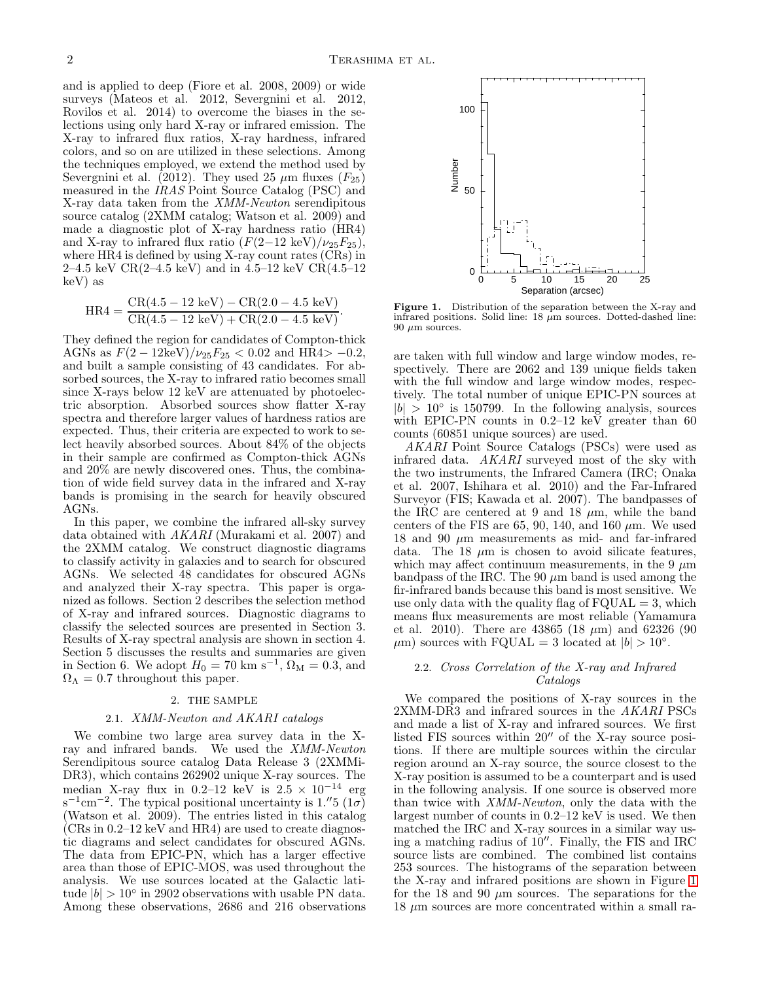and is applied to deep (Fiore et al. 2008, 2009) or wide surveys (Mateos et al. 2012, Severgnini et al. 2012, Rovilos et al. 2014) to overcome the biases in the selections using only hard X-ray or infrared emission. The X-ray to infrared flux ratios, X-ray hardness, infrared colors, and so on are utilized in these selections. Among the techniques employed, we extend the method used by Severgnini et al. (2012). They used 25  $\mu$ m fluxes ( $F_{25}$ ) measured in the IRAS Point Source Catalog (PSC) and X-ray data taken from the XMM-Newton serendipitous source catalog (2XMM catalog; Watson et al. 2009) and made a diagnostic plot of X-ray hardness ratio (HR4) and X-ray to infrared flux ratio  $(F(2-12 \text{ keV})/\nu_{25}F_{25})$ , where HR4 is defined by using X-ray count rates (CRs) in 2–4.5 keV CR $(2-4.5 \text{ keV})$  and in 4.5–12 keV CR $(4.5-12 \text{ keV})$ keV) as

$$
HR4 = \frac{CR(4.5 - 12 \text{ keV}) - CR(2.0 - 4.5 \text{ keV})}{CR(4.5 - 12 \text{ keV}) + CR(2.0 - 4.5 \text{ keV})}.
$$

They defined the region for candidates of Compton-thick AGNs as  $F(2 - 12 \text{keV})/\nu_{25}F_{25} < 0.02$  and HR4> -0.2, and built a sample consisting of 43 candidates. For absorbed sources, the X-ray to infrared ratio becomes small since X-rays below 12 keV are attenuated by photoelectric absorption. Absorbed sources show flatter X-ray spectra and therefore larger values of hardness ratios are expected. Thus, their criteria are expected to work to select heavily absorbed sources. About 84% of the objects in their sample are confirmed as Compton-thick AGNs and 20% are newly discovered ones. Thus, the combination of wide field survey data in the infrared and X-ray bands is promising in the search for heavily obscured AGNs.

In this paper, we combine the infrared all-sky survey data obtained with AKARI (Murakami et al. 2007) and the 2XMM catalog. We construct diagnostic diagrams to classify activity in galaxies and to search for obscured AGNs. We selected 48 candidates for obscured AGNs and analyzed their X-ray spectra. This paper is organized as follows. Section 2 describes the selection method of X-ray and infrared sources. Diagnostic diagrams to classify the selected sources are presented in Section 3. Results of X-ray spectral analysis are shown in section 4. Section 5 discusses the results and summaries are given in Section 6. We adopt  $H_0 = 70 \text{ km s}^{-1}$ ,  $\Omega_M = 0.3$ , and  $\Omega_{\Lambda} = 0.7$  throughout this paper.

### 2. THE SAMPLE

## 2.1. XMM-Newton and AKARI catalogs

We combine two large area survey data in the Xray and infrared bands. We used the XMM-Newton Serendipitous source catalog Data Release 3 (2XMMi-DR3), which contains 262902 unique X-ray sources. The median X-ray flux in 0.2–12 keV is  $2.5 \times 10^{-14}$  erg  $s^{-1}$ cm<sup>-2</sup>. The typical positional uncertainty is 1.<sup>"</sup>5 (1*σ*) (Watson et al. 2009). The entries listed in this catalog  $(CRs in 0.2–12 keV and HR4)$  are used to create diagnostic diagrams and select candidates for obscured AGNs. The data from EPIC-PN, which has a larger effective area than those of EPIC-MOS, was used throughout the analysis. We use sources located at the Galactic latitude  $|b| > 10^{\circ}$  in 2902 observations with usable PN data. Among these observations, 2686 and 216 observations



<span id="page-1-0"></span>Figure 1. Distribution of the separation between the X-ray and infrared positions. Solid line:  $18 \mu m$  sources. Dotted-dashed line:  $90 \mu m$  sources.

are taken with full window and large window modes, respectively. There are 2062 and 139 unique fields taken with the full window and large window modes, respectively. The total number of unique EPIC-PN sources at  $|b| > 10^{\circ}$  is 150799. In the following analysis, sources with EPIC-PN counts in 0.2–12 keV greater than 60 counts (60851 unique sources) are used.

AKARI Point Source Catalogs (PSCs) were used as infrared data. AKARI surveyed most of the sky with the two instruments, the Infrared Camera (IRC; Onaka et al. 2007, Ishihara et al. 2010) and the Far-Infrared Surveyor (FIS; Kawada et al. 2007). The bandpasses of the IRC are centered at 9 and 18  $\mu$ m, while the band centers of the FIS are 65, 90, 140, and 160  $\mu$ m. We used 18 and 90  $\mu$ m measurements as mid- and far-infrared data. The 18  $\mu$ m is chosen to avoid silicate features, which may affect continuum measurements, in the 9  $\mu$ m bandpass of the IRC. The 90  $\mu$ m band is used among the fir-infrared bands because this band is most sensitive. We use only data with the quality flag of  $FQUAL = 3$ , which means flux measurements are most reliable (Yamamura et al. 2010). There are  $43865$  (18  $\mu$ m) and 62326 (90  $\mu$ m) sources with FQUAL = 3 located at  $|b| > 10^{\circ}$ .

## 2.2. Cross Correlation of the X-ray and Infrared Catalogs

We compared the positions of X-ray sources in the 2XMM-DR3 and infrared sources in the AKARI PSCs and made a list of X-ray and infrared sources. We first listed FIS sources within 20′′ of the X-ray source positions. If there are multiple sources within the circular region around an X-ray source, the source closest to the X-ray position is assumed to be a counterpart and is used in the following analysis. If one source is observed more than twice with XMM-Newton, only the data with the largest number of counts in 0.2–12 keV is used. We then matched the IRC and X-ray sources in a similar way using a matching radius of  $10^{\prime\prime}$ . Finally, the FIS and IRC source lists are combined. The combined list contains 253 sources. The histograms of the separation between the X-ray and infrared positions are shown in Figure [1](#page-1-0) for the 18 and 90  $\mu$ m sources. The separations for the  $18 \mu m$  sources are more concentrated within a small ra-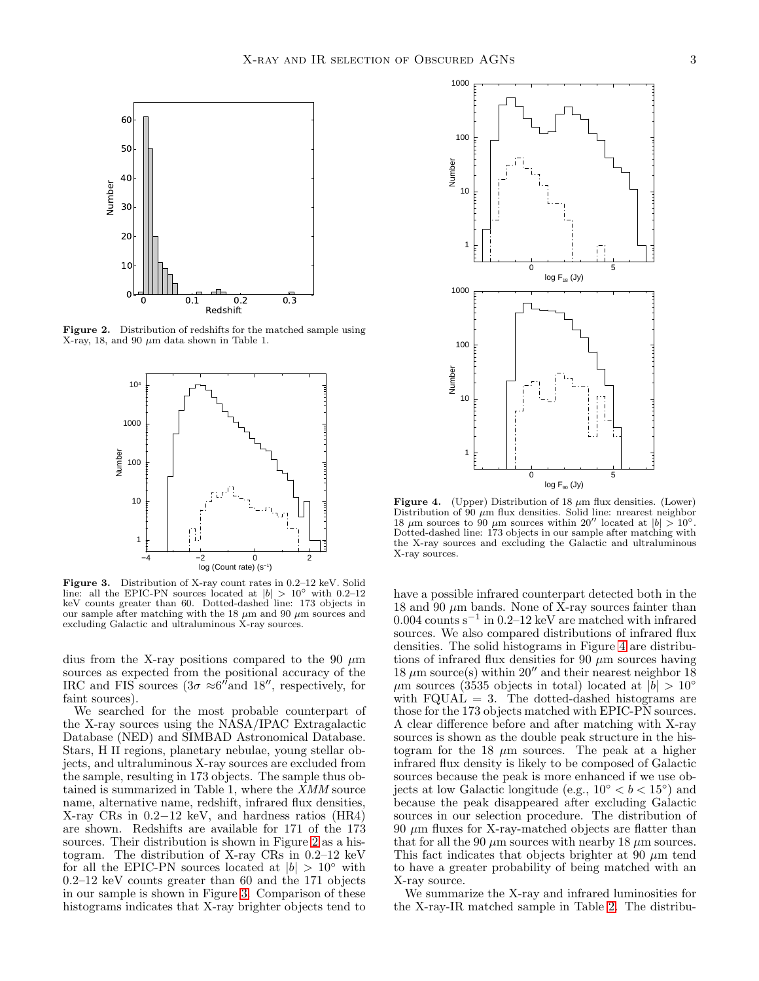

Figure 2. Distribution of redshifts for the matched sample using X-ray, 18, and 90  $\mu$ m data shown in Table 1.

<span id="page-2-0"></span>

<span id="page-2-1"></span>Figure 3. Distribution of X-ray count rates in 0.2–12 keV. Solid line: all the EPIC-PN sources located at  $|b| > 10°$  with 0.2–12 keV counts greater than 60. Dotted-dashed line: 173 objects in our sample after matching with the 18  $\mu$ m and 90  $\mu$ m sources and excluding Galactic and ultraluminous X-ray sources.

dius from the X-ray positions compared to the 90  $\mu$ m sources as expected from the positional accuracy of the IRC and FIS sources  $(3\sigma \approx 6''$  and 18'', respectively, for faint sources).

We searched for the most probable counterpart of the X-ray sources using the NASA/IPAC Extragalactic Database (NED) and SIMBAD Astronomical Database. Stars, H II regions, planetary nebulae, young stellar objects, and ultraluminous X-ray sources are excluded from the sample, resulting in 173 objects. The sample thus obtained is summarized in Table 1, where the  $\overline{X}$ MM source name, alternative name, redshift, infrared flux densities, X-ray CRs in 0.2−12 keV, and hardness ratios (HR4) are shown. Redshifts are available for 171 of the 173 sources. Their distribution is shown in Figure [2](#page-2-0) as a histogram. The distribution of X-ray CRs in 0.2–12 keV for all the EPIC-PN sources located at  $|b| > 10°$  with 0.2–12 keV counts greater than 60 and the 171 objects in our sample is shown in Figure [3.](#page-2-1) Comparison of these histograms indicates that X-ray brighter objects tend to



<span id="page-2-2"></span>Figure 4. (Upper) Distribution of 18  $\mu$ m flux densities. (Lower) Distribution of 90  $\mu$ m flux densities. Solid line: nrearest neighbor 18  $\mu$ m sources to 90  $\mu$ m sources within 20<sup>''</sup> located at  $|b| > 10°$ . Dotted-dashed line: 173 objects in our sample after matching with the X-ray sources and excluding the Galactic and ultraluminous X-ray sources.

have a possible infrared counterpart detected both in the 18 and 90  $\mu$ m bands. None of X-ray sources fainter than 0.004 counts s<sup>−</sup><sup>1</sup> in 0.2–12 keV are matched with infrared sources. We also compared distributions of infrared flux densities. The solid histograms in Figure [4](#page-2-2) are distributions of infrared flux densities for 90  $\mu$ m sources having 18  $\mu$ m source(s) within 20" and their nearest neighbor 18  $\mu$ m sources (3535 objects in total) located at  $|b| > 10°$ with  $FQUAL = 3$ . The dotted-dashed histograms are those for the 173 objects matched with EPIC-PN sources. A clear difference before and after matching with X-ray sources is shown as the double peak structure in the histogram for the 18  $\mu$ m sources. The peak at a higher infrared flux density is likely to be composed of Galactic sources because the peak is more enhanced if we use objects at low Galactic longitude (e.g.,  $10^{\circ} < b < 15^{\circ}$ ) and because the peak disappeared after excluding Galactic sources in our selection procedure. The distribution of  $90 \mu m$  fluxes for X-ray-matched objects are flatter than that for all the 90  $\mu$ m sources with nearby 18  $\mu$ m sources. This fact indicates that objects brighter at 90  $\mu$ m tend to have a greater probability of being matched with an X-ray source.

We summarize the X-ray and infrared luminosities for the X-ray-IR matched sample in Table [2.](#page-24-0) The distribu-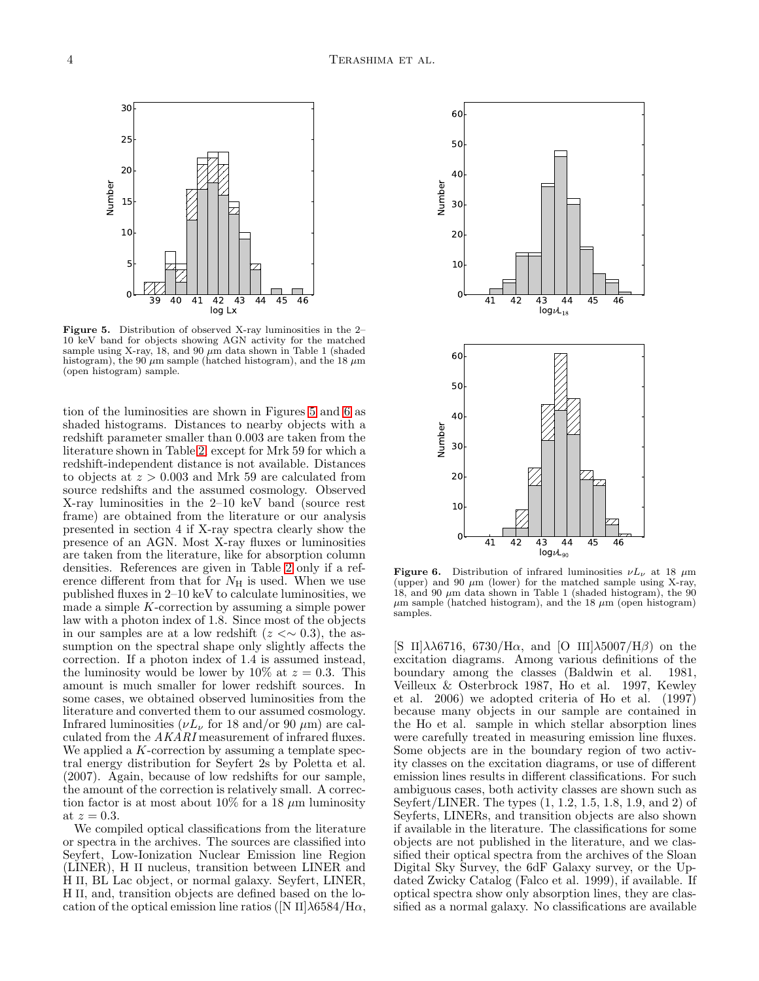

<span id="page-3-0"></span>Figure 5. Distribution of observed X-ray luminosities in the 2– 10 keV band for objects showing AGN activity for the matched sample using X-ray, 18, and 90  $\mu$ m data shown in Table 1 (shaded histogram), the 90  $\mu$ m sample (hatched histogram), and the 18  $\mu$ m (open histogram) sample.

tion of the luminosities are shown in Figures [5](#page-3-0) and [6](#page-3-1) as shaded histograms. Distances to nearby objects with a redshift parameter smaller than 0.003 are taken from the literature shown in Table [2,](#page-24-0) except for Mrk 59 for which a redshift-independent distance is not available. Distances to objects at  $z > 0.003$  and Mrk 59 are calculated from source redshifts and the assumed cosmology. Observed X-ray luminosities in the 2–10 keV band (source rest frame) are obtained from the literature or our analysis presented in section 4 if X-ray spectra clearly show the presence of an AGN. Most X-ray fluxes or luminosities are taken from the literature, like for absorption column densities. References are given in Table [2](#page-24-0) only if a reference different from that for  $N_{\rm H}$  is used. When we use published fluxes in 2–10 keV to calculate luminosities, we made a simple  $K$ -correction by assuming a simple power law with a photon index of 1.8. Since most of the objects in our samples are at a low redshift  $(z < ∼ 0.3)$ , the assumption on the spectral shape only slightly affects the correction. If a photon index of 1.4 is assumed instead, the luminosity would be lower by 10% at  $z = 0.3$ . This amount is much smaller for lower redshift sources. In some cases, we obtained observed luminosities from the literature and converted them to our assumed cosmology. Infrared luminosities ( $\nu L_{\nu}$  for 18 and/or 90  $\mu$ m) are calculated from the AKARI measurement of infrared fluxes. We applied a  $K$ -correction by assuming a template spectral energy distribution for Seyfert 2s by Poletta et al. (2007). Again, because of low redshifts for our sample, the amount of the correction is relatively small. A correction factor is at most about 10% for a 18  $\mu$ m luminosity at  $z=0.3$ .

We compiled optical classifications from the literature or spectra in the archives. The sources are classified into Seyfert, Low-Ionization Nuclear Emission line Region (LINER), H II nucleus, transition between LINER and H II, BL Lac object, or normal galaxy. Seyfert, LINER, H II, and, transition objects are defined based on the location of the optical emission line ratios ([N II] $\lambda$ 6584/H $\alpha$ ,



<span id="page-3-1"></span>**Figure 6.** Distribution of infrared luminosities  $\nu L_{\nu}$  at 18  $\mu$ m (upper) and 90  $\mu$ m (lower) for the matched sample using X-ray, 18, and 90  $\mu$ m data shown in Table 1 (shaded histogram), the 90  $\mu$ m sample (hatched histogram), and the 18  $\mu$ m (open histogram) samples.

[S II] $\lambda\lambda$ 6716, 6730/H $\alpha$ , and [O III] $\lambda$ 5007/H $\beta$ ] on the excitation diagrams. Among various definitions of the boundary among the classes (Baldwin et al. 1981, Veilleux & Osterbrock 1987, Ho et al. 1997, Kewley et al. 2006) we adopted criteria of Ho et al. (1997) because many objects in our sample are contained in the Ho et al. sample in which stellar absorption lines were carefully treated in measuring emission line fluxes. Some objects are in the boundary region of two activity classes on the excitation diagrams, or use of different emission lines results in different classifications. For such ambiguous cases, both activity classes are shown such as Seyfert/LINER. The types (1, 1.2, 1.5, 1.8, 1.9, and 2) of Seyferts, LINERs, and transition objects are also shown if available in the literature. The classifications for some objects are not published in the literature, and we classified their optical spectra from the archives of the Sloan Digital Sky Survey, the 6dF Galaxy survey, or the Updated Zwicky Catalog (Falco et al. 1999), if available. If optical spectra show only absorption lines, they are classified as a normal galaxy. No classifications are available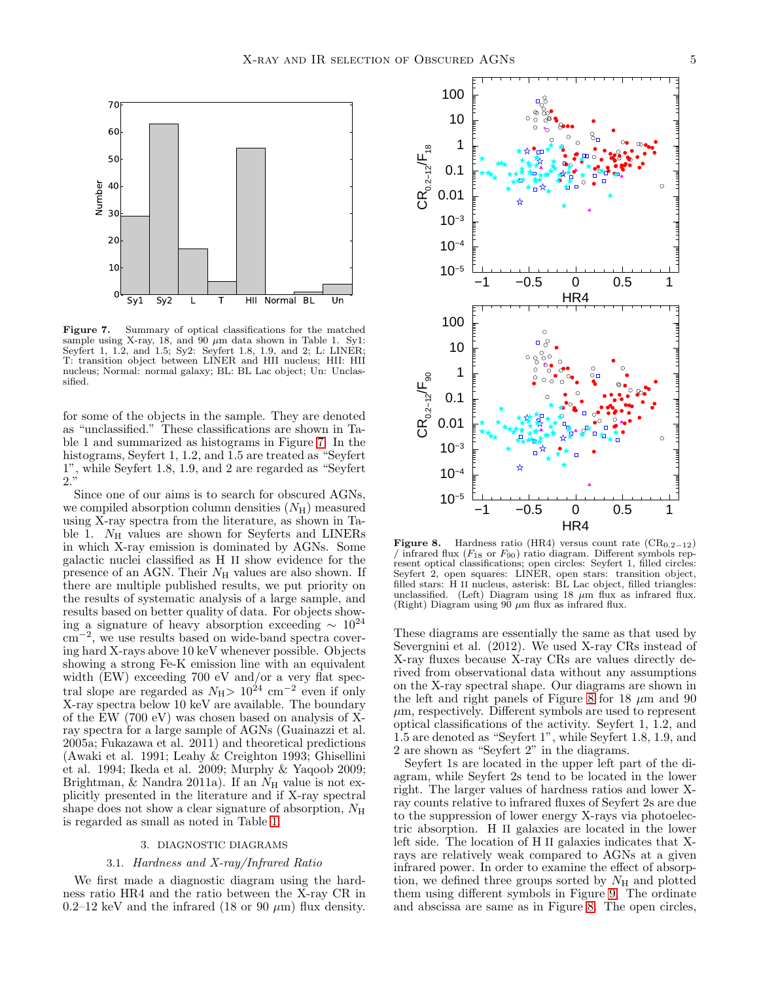

<span id="page-4-0"></span>Figure 7. Summary of optical classifications for the matched sample using X-ray, 18, and 90  $\mu$ m data shown in Table 1. Sy1: Seyfert 1, 1.2, and 1.5; Sy2: Seyfert 1.8, 1.9, and 2; L: LINER; T: transition object between LINER and HII nucleus; HII: HII nucleus; Normal: normal galaxy; BL: BL Lac object; Un: Unclassified.

for some of the objects in the sample. They are denoted as "unclassified." These classifications are shown in Table 1 and summarized as histograms in Figure [7.](#page-4-0) In the histograms, Seyfert 1, 1.2, and 1.5 are treated as "Seyfert 1", while Seyfert 1.8, 1.9, and 2 are regarded as "Seyfert 2."

Since one of our aims is to search for obscured AGNs, we compiled absorption column densities  $(N_H)$  measured using X-ray spectra from the literature, as shown in Table 1.  $N_{\rm H}$  values are shown for Seyferts and LINERs in which X-ray emission is dominated by AGNs. Some galactic nuclei classified as H II show evidence for the presence of an AGN. Their  $N<sub>H</sub>$  values are also shown. If there are multiple published results, we put priority on the results of systematic analysis of a large sample, and results based on better quality of data. For objects showing a signature of heavy absorption exceeding  $\sim 10^{24}$ cm<sup>−</sup><sup>2</sup> , we use results based on wide-band spectra covering hard X-rays above 10 keV whenever possible. Objects showing a strong Fe-K emission line with an equivalent width (EW) exceeding 700 eV and/or a very flat spectral slope are regarded as  $N_{\rm H}$  >  $10^{24}$  cm<sup>-2</sup> even if only X-ray spectra below 10 keV are available. The boundary of the EW (700 eV) was chosen based on analysis of Xray spectra for a large sample of AGNs (Guainazzi et al. 2005a; Fukazawa et al. 2011) and theoretical predictions (Awaki et al. 1991; Leahy & Creighton 1993; Ghisellini et al. 1994; Ikeda et al. 2009; Murphy & Yaqoob 2009; Brightman,  $\&$  Nandra 2011a). If an  $N_{\rm H}$  value is not explicitly presented in the literature and if X-ray spectral shape does not show a clear signature of absorption,  $N_{\rm H}$ is regarded as small as noted in Table [1.](#page-23-0)

# 3. DIAGNOSTIC DIAGRAMS

#### 3.1. Hardness and X-ray/Infrared Ratio

We first made a diagnostic diagram using the hardness ratio HR4 and the ratio between the X-ray CR in 0.2–12 keV and the infrared (18 or 90  $\mu$ m) flux density.



<span id="page-4-1"></span>Figure 8. Hardness ratio (HR4) versus count rate (CR<sub>0.2−12</sub>) / infrared flux  $(F_{18}$  or  $F_{90})$  ratio diagram. Different symbols represent optical classifications; open circles: Seyfert 1, filled circles: Seyfert 2, open squares: LINER, open stars: transition object, filled stars: H II nucleus, asterisk: BL Lac object, filled triangles: unclassified. (Left) Diagram using 18  $\mu$ m flux as infrared flux. (Right) Diagram using  $90 \mu m$  flux as infrared flux.

These diagrams are essentially the same as that used by Severgnini et al. (2012). We used X-ray CRs instead of X-ray fluxes because X-ray CRs are values directly derived from observational data without any assumptions on the X-ray spectral shape. Our diagrams are shown in the left and right panels of Figure [8](#page-4-1) for 18  $\mu$ m and 90  $\mu$ m, respectively. Different symbols are used to represent optical classifications of the activity. Seyfert 1, 1.2, and 1.5 are denoted as "Seyfert 1", while Seyfert 1.8, 1.9, and 2 are shown as "Seyfert 2" in the diagrams.

Seyfert 1s are located in the upper left part of the diagram, while Seyfert 2s tend to be located in the lower right. The larger values of hardness ratios and lower Xray counts relative to infrared fluxes of Seyfert 2s are due to the suppression of lower energy X-rays via photoelectric absorption. H II galaxies are located in the lower left side. The location of H II galaxies indicates that Xrays are relatively weak compared to AGNs at a given infrared power. In order to examine the effect of absorption, we defined three groups sorted by  $N_{\rm H}$  and plotted them using different symbols in Figure [9.](#page-5-0) The ordinate and abscissa are same as in Figure [8.](#page-4-1) The open circles,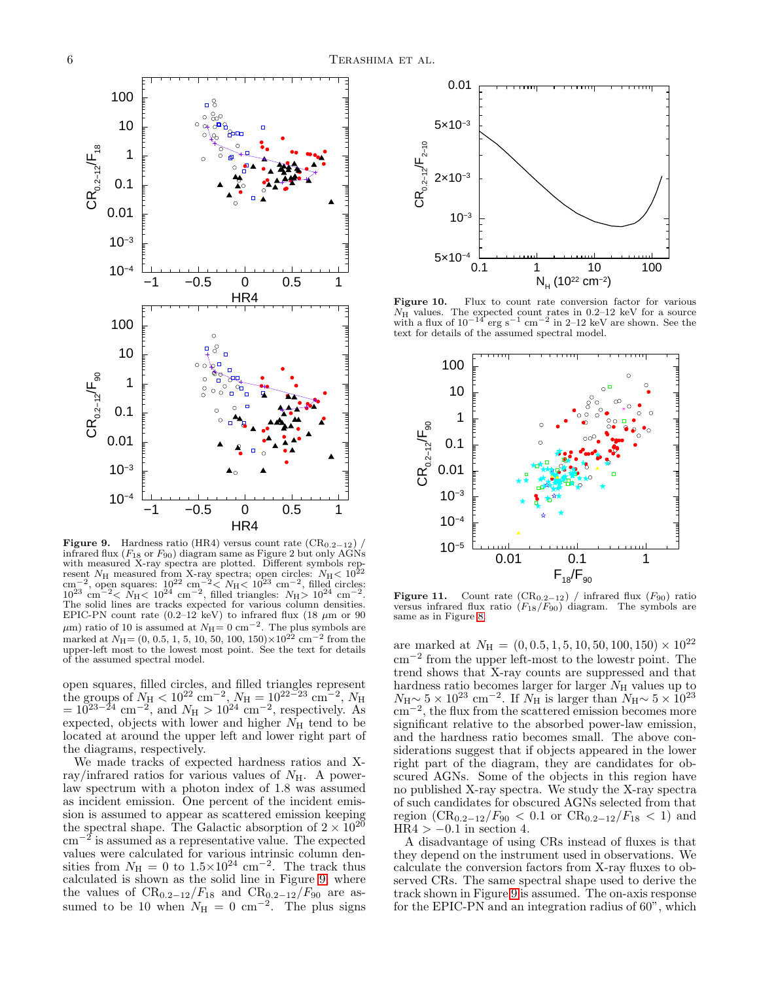

<span id="page-5-0"></span>Figure 9. Hardness ratio (HR4) versus count rate  $(CR_{0.2-12})$ infrared flux ( $F_{18}$  or  $F_{90}$ ) diagram same as Figure 2 but only AGNs with measured X-ray spectra are plotted. Different symbols represent  $N_{\rm H}$  measured from X-ray spectra; open circles:  $N_{\rm H}$  <  $10^{22}$  cm<sup>-2</sup>, open squares:  $10^{22}$  cm<sup>-2</sup> <  $N_{\rm H}$  <  $10^{23}$  cm<sup>-2</sup>, filled circl The solid lines are tracks expected for various column densities. EPIC-PN count rate  $(0.2-12 \text{ keV})$  to infrared flux  $(18 \mu \text{m or } 90 \text{ m})$  $\mu$ m) ratio of 10 is assumed at  $N_{\rm H} = 0$  cm<sup>-2</sup>. The plus symbols are marked at  $N_{\text{H}} = (0, 0.5, 1, 5, 10, 50, 100, 150) \times 10^{22}$  cm<sup>-2</sup> from the upper-left most to the lowest most point. See the text for details of the assumed spectral model.

open squares, filled circles, and filled triangles represent<br>the groups of  $N_{\rm H} < 10^{22}$  cm<sup>-2</sup>,  $N_{\rm H} = 10^{22-23}$  cm<sup>-2</sup>,  $N_{\rm H}$ <br>=  $10^{23-24}$  cm<sup>-2</sup>, and  $N_{\rm H} > 10^{24}$  cm<sup>-2</sup>, respectively. As expected, objects with lower and higher  $N_{\rm H}$  tend to be located at around the upper left and lower right part of the diagrams, respectively.

We made tracks of expected hardness ratios and Xray/infrared ratios for various values of  $N_{\rm H}$ . A powerlaw spectrum with a photon index of 1.8 was assumed as incident emission. One percent of the incident emission is assumed to appear as scattered emission keeping the spectral shape. The Galactic absorption of  $2 \times 10^{20}$ cm−<sup>2</sup> is assumed as a representative value. The expected values were calculated for various intrinsic column densities from  $N_{\rm H} = 0$  to  $1.5 \times 10^{24}$  cm<sup>-2</sup>. The track thus calculated is shown as the solid line in Figure [9,](#page-5-0) where the values of  $CR_{0.2-12}/F_{18}$  and  $CR_{0.2-12}/F_{90}$  are assumed to be 10 when  $N_{\rm H} = 0$  cm<sup>-2</sup>. The plus signs



Figure 10. Flux to count rate conversion factor for various  $N_{\rm H}$  values. The expected count rates in 0.2–12 keV for a source with a flux of  $10^{-14}$  erg s<sup>-1</sup> cm<sup>-2</sup> in 2–12 keV are shown. See the text for details of the assumed spectral model.

<span id="page-5-1"></span>

<span id="page-5-2"></span>**Figure 11.** Count rate  $(CR_{0.2-12})$  / infrared flux  $(F_{90})$  ratio versus infrared flux ratio  $(F_{18}/F_{90})$  diagram. The symbols are same as in Figure [8.](#page-4-1)

are marked at  $N_{\rm H} = (0, 0.5, 1, 5, 10, 50, 100, 150) \times 10^{22}$ cm<sup>−</sup><sup>2</sup> from the upper left-most to the lowestr point. The trend shows that X-ray counts are suppressed and that hardness ratio becomes larger for larger  $N_{\rm H}$  values up to  $N_{\rm H} \sim 5 \times 10^{23}$  cm<sup>-2</sup>. If  $N_{\rm H}$  is larger than  $N_{\rm H} \sim 5 \times 10^{23}$ cm<sup>−</sup><sup>2</sup> , the flux from the scattered emission becomes more significant relative to the absorbed power-law emission, and the hardness ratio becomes small. The above considerations suggest that if objects appeared in the lower right part of the diagram, they are candidates for obscured AGNs. Some of the objects in this region have no published X-ray spectra. We study the X-ray spectra of such candidates for obscured AGNs selected from that region  $(CR_{0.2-12}/F_{90} < 0.1$  or  $CR_{0.2-12}/F_{18} < 1$  and  $HR4 > -0.1$  in section 4.

A disadvantage of using CRs instead of fluxes is that they depend on the instrument used in observations. We calculate the conversion factors from X-ray fluxes to observed CRs. The same spectral shape used to derive the track shown in Figure [9](#page-5-0) is assumed. The on-axis response for the EPIC-PN and an integration radius of 60", which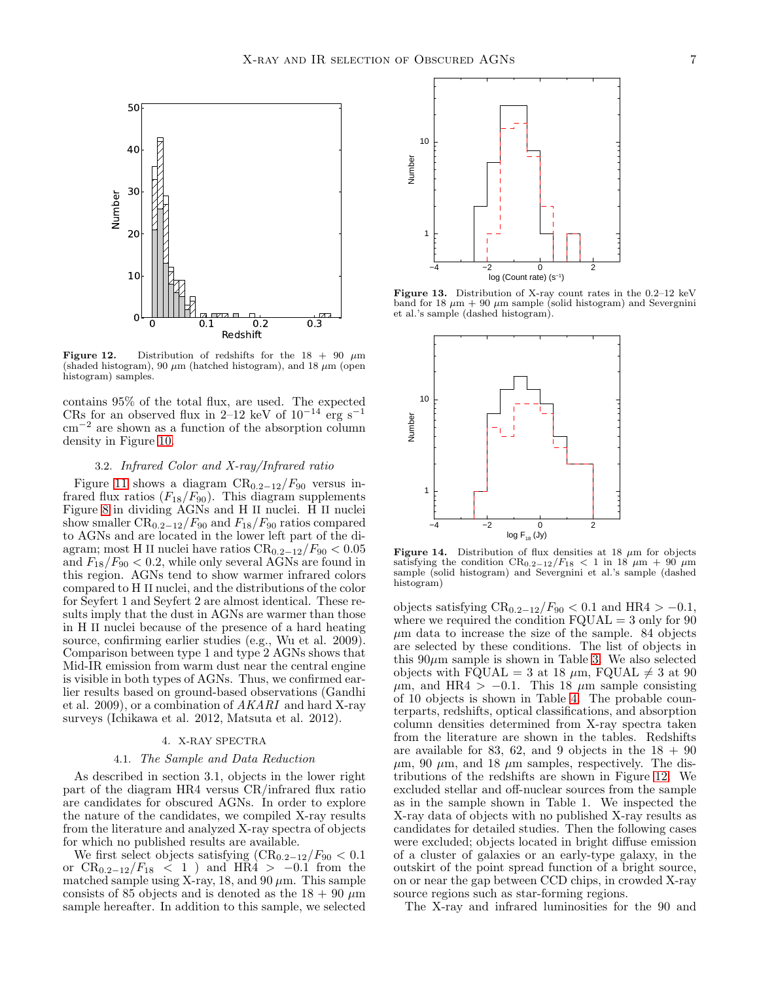

<span id="page-6-0"></span>Figure 12. Distribution of redshifts for the  $18 + 90 \mu m$ (shaded histogram), 90  $\mu$ m (hatched histogram), and 18  $\mu$ m (open histogram) samples.

contains 95% of the total flux, are used. The expected CRs for an observed flux in 2–12 keV of  $10^{-14}$  erg s<sup>-1</sup> cm<sup>−</sup><sup>2</sup> are shown as a function of the absorption column density in Figure [10.](#page-5-1)

#### 3.2. Infrared Color and X-ray/Infrared ratio

Figure [11](#page-5-2) shows a diagram  $CR_{0.2-12}/F_{90}$  versus infrared flux ratios  $(F_{18}/F_{90})$ . This diagram supplements Figure [8](#page-4-1) in dividing AGNs and H II nuclei. H II nuclei show smaller  $CR_{0.2-12}/F_{90}$  and  $F_{18}/F_{90}$  ratios compared to AGNs and are located in the lower left part of the diagram; most H II nuclei have ratios  $CR_{0.2-12}/F_{90} < 0.05$ and  $F_{18}/F_{90} < 0.2$ , while only several AGNs are found in this region. AGNs tend to show warmer infrared colors compared to H II nuclei, and the distributions of the color for Seyfert 1 and Seyfert 2 are almost identical. These results imply that the dust in AGNs are warmer than those in H II nuclei because of the presence of a hard heating source, confirming earlier studies (e.g., Wu et al. 2009). Comparison between type 1 and type 2 AGNs shows that Mid-IR emission from warm dust near the central engine is visible in both types of AGNs. Thus, we confirmed earlier results based on ground-based observations (Gandhi et al. 2009), or a combination of  $AKARI$  and hard X-ray surveys (Ichikawa et al. 2012, Matsuta et al. 2012).

#### 4. X-RAY SPECTRA

## 4.1. The Sample and Data Reduction

As described in section 3.1, objects in the lower right part of the diagram HR4 versus CR/infrared flux ratio are candidates for obscured AGNs. In order to explore the nature of the candidates, we compiled X-ray results from the literature and analyzed X-ray spectra of objects for which no published results are available.

We first select objects satisfying  $(\text{CR}_{0.2-12}/F_{90} < 0.1)$ or  $CR_{0.2-12}/F_{18} < 1$ ) and  $HR4 > -0.1$  from the matched sample using X-ray, 18, and 90  $\mu$ m. This sample consists of 85 objects and is denoted as the  $18 + 90 \ \mu m$ sample hereafter. In addition to this sample, we selected



Figure 13. Distribution of X-ray count rates in the 0.2–12 keV band for 18  $\mu$ m + 90  $\mu$ m sample (solid histogram) and Severgnini et al.'s sample (dashed histogram).

<span id="page-6-1"></span>

<span id="page-6-2"></span>Figure 14. Distribution of flux densities at 18  $\mu$ m for objects satisfying the condition  $CR_{0.2-12}/F_{18} < 1$  in 18  $\mu$ m + 90  $\mu$ m sample (solid histogram) and Severgnini et al.'s sample (dashed histogram)

objects satisfying  $CR_{0.2-12}/F_{90} < 0.1$  and HR4 > -0.1, where we required the condition  $F\text{QUAL} = 3$  only for 90  $\mu$ m data to increase the size of the sample. 84 objects are selected by these conditions. The list of objects in this  $90\mu$ m sample is shown in Table [3.](#page-25-0) We also selected objects with FQUAL = 3 at 18  $\mu$ m, FQUAL  $\neq$  3 at 90  $\mu$ m, and HR4 > −0.1. This 18  $\mu$ m sample consisting of 10 objects is shown in Table [4.](#page-27-0) The probable counterparts, redshifts, optical classifications, and absorption column densities determined from X-ray spectra taken from the literature are shown in the tables. Redshifts are available for 83, 62, and 9 objects in the  $18 + 90$  $\mu$ m, 90  $\mu$ m, and 18  $\mu$ m samples, respectively. The distributions of the redshifts are shown in Figure [12.](#page-6-0) We excluded stellar and off-nuclear sources from the sample as in the sample shown in Table 1. We inspected the X-ray data of objects with no published X-ray results as candidates for detailed studies. Then the following cases were excluded; objects located in bright diffuse emission of a cluster of galaxies or an early-type galaxy, in the outskirt of the point spread function of a bright source, on or near the gap between CCD chips, in crowded X-ray source regions such as star-forming regions.

The X-ray and infrared luminosities for the 90 and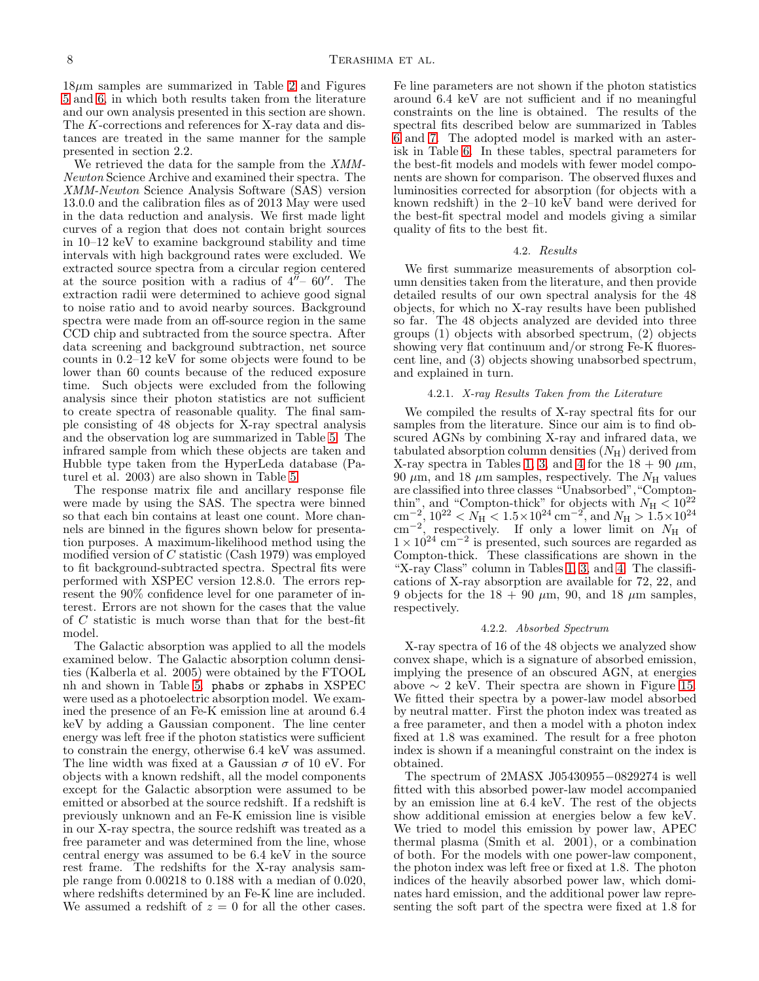$18\mu$ m samples are summarized in Table [2](#page-24-0) and Figures [5](#page-3-0) and [6,](#page-3-1) in which both results taken from the literature and our own analysis presented in this section are shown. The K-corrections and references for X-ray data and distances are treated in the same manner for the sample presented in section 2.2.

We retrieved the data for the sample from the XMM-Newton Science Archive and examined their spectra. The XMM-Newton Science Analysis Software (SAS) version 13.0.0 and the calibration files as of 2013 May were used in the data reduction and analysis. We first made light curves of a region that does not contain bright sources in 10–12 keV to examine background stability and time intervals with high background rates were excluded. We extracted source spectra from a circular region centered at the source position with a radius of  $4^{\prime\prime}$  – 60''. The extraction radii were determined to achieve good signal to noise ratio and to avoid nearby sources. Background spectra were made from an off-source region in the same CCD chip and subtracted from the source spectra. After data screening and background subtraction, net source counts in 0.2–12 keV for some objects were found to be lower than 60 counts because of the reduced exposure time. Such objects were excluded from the following analysis since their photon statistics are not sufficient to create spectra of reasonable quality. The final sample consisting of 48 objects for X-ray spectral analysis and the observation log are summarized in Table [5.](#page-28-0) The infrared sample from which these objects are taken and Hubble type taken from the HyperLeda database (Paturel et al. 2003) are also shown in Table [5.](#page-28-0)

The response matrix file and ancillary response file were made by using the SAS. The spectra were binned so that each bin contains at least one count. More channels are binned in the figures shown below for presentation purposes. A maximum-likelihood method using the modified version of C statistic (Cash 1979) was employed to fit background-subtracted spectra. Spectral fits were performed with XSPEC version 12.8.0. The errors represent the 90% confidence level for one parameter of interest. Errors are not shown for the cases that the value of C statistic is much worse than that for the best-fit model.

The Galactic absorption was applied to all the models examined below. The Galactic absorption column densities (Kalberla et al. 2005) were obtained by the FTOOL nh and shown in Table [5.](#page-28-0) phabs or zphabs in XSPEC were used as a photoelectric absorption model. We examined the presence of an Fe-K emission line at around 6.4 keV by adding a Gaussian component. The line center energy was left free if the photon statistics were sufficient to constrain the energy, otherwise 6.4 keV was assumed. The line width was fixed at a Gaussian  $\sigma$  of 10 eV. For objects with a known redshift, all the model components except for the Galactic absorption were assumed to be emitted or absorbed at the source redshift. If a redshift is previously unknown and an Fe-K emission line is visible in our X-ray spectra, the source redshift was treated as a free parameter and was determined from the line, whose central energy was assumed to be 6.4 keV in the source rest frame. The redshifts for the X-ray analysis sample range from 0.00218 to 0.188 with a median of 0.020, where redshifts determined by an Fe-K line are included. We assumed a redshift of  $z = 0$  for all the other cases.

Fe line parameters are not shown if the photon statistics around 6.4 keV are not sufficient and if no meaningful constraints on the line is obtained. The results of the spectral fits described below are summarized in Tables [6](#page-29-0) and [7.](#page-33-0) The adopted model is marked with an asterisk in Table [6.](#page-29-0) In these tables, spectral parameters for the best-fit models and models with fewer model components are shown for comparison. The observed fluxes and luminosities corrected for absorption (for objects with a known redshift) in the 2–10 keV band were derived for the best-fit spectral model and models giving a similar quality of fits to the best fit.

#### 4.2. Results

We first summarize measurements of absorption column densities taken from the literature, and then provide detailed results of our own spectral analysis for the 48 objects, for which no X-ray results have been published so far. The 48 objects analyzed are devided into three groups (1) objects with absorbed spectrum, (2) objects showing very flat continuum and/or strong Fe-K fluorescent line, and (3) objects showing unabsorbed spectrum, and explained in turn.

### 4.2.1. X-ray Results Taken from the Literature

We compiled the results of X-ray spectral fits for our samples from the literature. Since our aim is to find obscured AGNs by combining X-ray and infrared data, we tabulated absorption column densities  $(N_H)$  derived from X-ray spectra in Tables [1,](#page-23-0) [3,](#page-25-0) and [4](#page-27-0) for the  $18 + 90 \mu m$ , 90  $\mu$ m, and 18  $\mu$ m samples, respectively. The  $N_{\rm H}$  values are classified into three classes "Unabsorbed","Comptonthin", and "Compton-thick" for objects with  $N_{\rm H} < 10^{22}$ cm<sup>-2</sup>,  $10^{22} < N_{\rm H} < 1.5 \times 10^{24}$  cm<sup>-2</sup>, and  $N_{\rm H} > 1.5 \times 10^{24}$ cm<sup>-2</sup>, respectively. If only a lower limit on  $N_{\rm H}$  of  $1 \times 10^{24}$  cm<sup>-2</sup> is presented, such sources are regarded as Compton-thick. These classifications are shown in the "X-ray Class" column in Tables [1,](#page-23-0) [3,](#page-25-0) and [4.](#page-27-0) The classifications of X-ray absorption are available for 72, 22, and 9 objects for the  $18 + 90 \mu m$ , 90, and 18  $\mu$ m samples, respectively.

## 4.2.2. Absorbed Spectrum

X-ray spectra of 16 of the 48 objects we analyzed show convex shape, which is a signature of absorbed emission, implying the presence of an obscured AGN, at energies above  $\sim 2$  keV. Their spectra are shown in Figure [15.](#page-11-0) We fitted their spectra by a power-law model absorbed by neutral matter. First the photon index was treated as a free parameter, and then a model with a photon index fixed at 1.8 was examined. The result for a free photon index is shown if a meaningful constraint on the index is obtained.

The spectrum of 2MASX J05430955−0829274 is well fitted with this absorbed power-law model accompanied by an emission line at 6.4 keV. The rest of the objects show additional emission at energies below a few keV. We tried to model this emission by power law, APEC thermal plasma (Smith et al. 2001), or a combination of both. For the models with one power-law component, the photon index was left free or fixed at 1.8. The photon indices of the heavily absorbed power law, which dominates hard emission, and the additional power law representing the soft part of the spectra were fixed at 1.8 for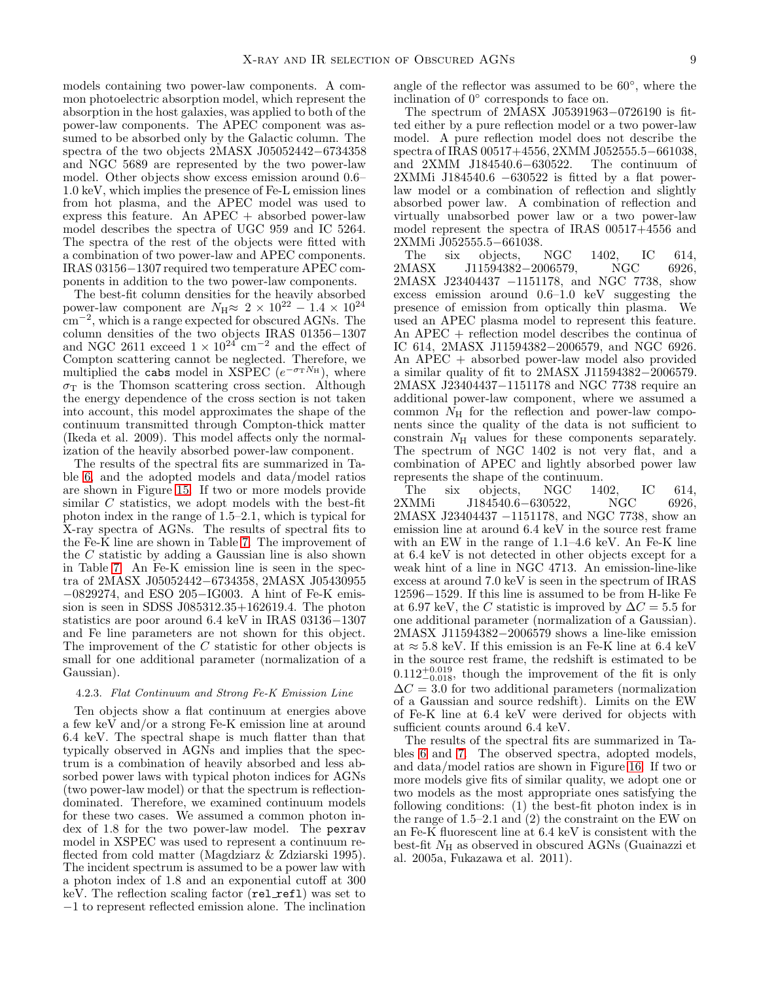models containing two power-law components. A common photoelectric absorption model, which represent the absorption in the host galaxies, was applied to both of the power-law components. The APEC component was assumed to be absorbed only by the Galactic column. The spectra of the two objects 2MASX J05052442−6734358 and NGC 5689 are represented by the two power-law model. Other objects show excess emission around 0.6– 1.0 keV, which implies the presence of Fe-L emission lines from hot plasma, and the APEC model was used to express this feature. An  $APEC +$  absorbed power-law model describes the spectra of UGC 959 and IC 5264. The spectra of the rest of the objects were fitted with a combination of two power-law and APEC components. IRAS 03156−1307 required two temperature APEC components in addition to the two power-law components.

The best-fit column densities for the heavily absorbed power-law component are  $N_{\rm H} \approx 2 \times 10^{22} - 1.4 \times 10^{24}$ cm−<sup>2</sup> , which is a range expected for obscured AGNs. The column densities of the two objects IRAS 01356−1307 and NGC 2611 exceed  $1 \times 10^{24}$  cm<sup>-2</sup> and the effect of Compton scattering cannot be neglected. Therefore, we multiplied the cabs model in XSPEC  $(e^{-\sigma_T N_H})$ , where  $\sigma_T$  is the Thomson scattering cross section. Although the energy dependence of the cross section is not taken into account, this model approximates the shape of the continuum transmitted through Compton-thick matter (Ikeda et al. 2009). This model affects only the normalization of the heavily absorbed power-law component.

The results of the spectral fits are summarized in Table [6,](#page-29-0) and the adopted models and data/model ratios are shown in Figure [15.](#page-11-0) If two or more models provide similar  $C$  statistics, we adopt models with the best-fit photon index in the range of 1.5–2.1, which is typical for X-ray spectra of AGNs. The results of spectral fits to the Fe-K line are shown in Table [7.](#page-33-0) The improvement of the C statistic by adding a Gaussian line is also shown in Table [7.](#page-33-0) An Fe-K emission line is seen in the spectra of 2MASX J05052442−6734358, 2MASX J05430955 −0829274, and ESO 205−IG003. A hint of Fe-K emission is seen in SDSS J085312.35+162619.4. The photon statistics are poor around 6.4 keV in IRAS 03136−1307 and Fe line parameters are not shown for this object. The improvement of the C statistic for other objects is small for one additional parameter (normalization of a Gaussian).

### 4.2.3. Flat Continuum and Strong Fe-K Emission Line

Ten objects show a flat continuum at energies above a few keV and/or a strong Fe-K emission line at around 6.4 keV. The spectral shape is much flatter than that typically observed in AGNs and implies that the spectrum is a combination of heavily absorbed and less absorbed power laws with typical photon indices for AGNs (two power-law model) or that the spectrum is reflectiondominated. Therefore, we examined continuum models for these two cases. We assumed a common photon index of 1.8 for the two power-law model. The pexrav model in XSPEC was used to represent a continuum reflected from cold matter (Magdziarz & Zdziarski 1995). The incident spectrum is assumed to be a power law with a photon index of 1.8 and an exponential cutoff at 300 keV. The reflection scaling factor (rel\_refl) was set to −1 to represent reflected emission alone. The inclination

angle of the reflector was assumed to be 60◦ , where the inclination of  $0^{\circ}$  corresponds to face on.

The spectrum of 2MASX J05391963−0726190 is fitted either by a pure reflection model or a two power-law model. A pure reflection model does not describe the spectra of IRAS 00517+4556, 2XMM J052555.5−661038, and 2XMM J184540.6−630522. The continuum of and 2XMM J184540.6-630522. 2XMMi J184540.6 −630522 is fitted by a flat powerlaw model or a combination of reflection and slightly absorbed power law. A combination of reflection and virtually unabsorbed power law or a two power-law model represent the spectra of IRAS 00517+4556 and 2XMMi J052555.5−661038.

The six objects, NGC 1402, IC 614,<br>2MASX J11594382-2006579. NGC 6926.  $J11594382-2006579$ , NGC 6926, 2MASX J23404437 −1151178, and NGC 7738, show excess emission around 0.6–1.0 keV suggesting the presence of emission from optically thin plasma. We used an APEC plasma model to represent this feature. An APEC + reflection model describes the continua of IC 614, 2MASX J11594382−2006579, and NGC 6926. An APEC + absorbed power-law model also provided a similar quality of fit to 2MASX J11594382−2006579. 2MASX J23404437−1151178 and NGC 7738 require an additional power-law component, where we assumed a common  $N_{\rm H}$  for the reflection and power-law components since the quality of the data is not sufficient to constrain  $N_{\rm H}$  values for these components separately. The spectrum of NGC 1402 is not very flat, and a combination of APEC and lightly absorbed power law represents the shape of the continuum.

The six objects, NGC 1402, IC 614,<br>2XMMi J184540.6–630522, NGC 6926, J184540.6-630522, 2MASX J23404437 −1151178, and NGC 7738, show an emission line at around 6.4 keV in the source rest frame with an EW in the range of 1.1–4.6 keV. An Fe-K line at 6.4 keV is not detected in other objects except for a weak hint of a line in NGC 4713. An emission-line-like excess at around 7.0 keV is seen in the spectrum of IRAS 12596−1529. If this line is assumed to be from H-like Fe at 6.97 keV, the C statistic is improved by  $\Delta C = 5.5$  for one additional parameter (normalization of a Gaussian). 2MASX J11594382−2006579 shows a line-like emission at  $\approx$  5.8 keV. If this emission is an Fe-K line at 6.4 keV in the source rest frame, the redshift is estimated to be  $0.112^{+0.019}_{-0.018}$ , though the improvement of the fit is only  $\Delta C = 3.0$  for two additional parameters (normalization of a Gaussian and source redshift). Limits on the EW of Fe-K line at 6.4 keV were derived for objects with sufficient counts around 6.4 keV.

The results of the spectral fits are summarized in Tables [6](#page-29-0) and [7.](#page-33-0) The observed spectra, adopted models, and data/model ratios are shown in Figure [16.](#page-13-0) If two or more models give fits of similar quality, we adopt one or two models as the most appropriate ones satisfying the following conditions: (1) the best-fit photon index is in the range of 1.5–2.1 and (2) the constraint on the EW on an Fe-K fluorescent line at 6.4 keV is consistent with the best-fit  $N_{\rm H}$  as observed in obscured AGNs (Guainazzi et al. 2005a, Fukazawa et al. 2011).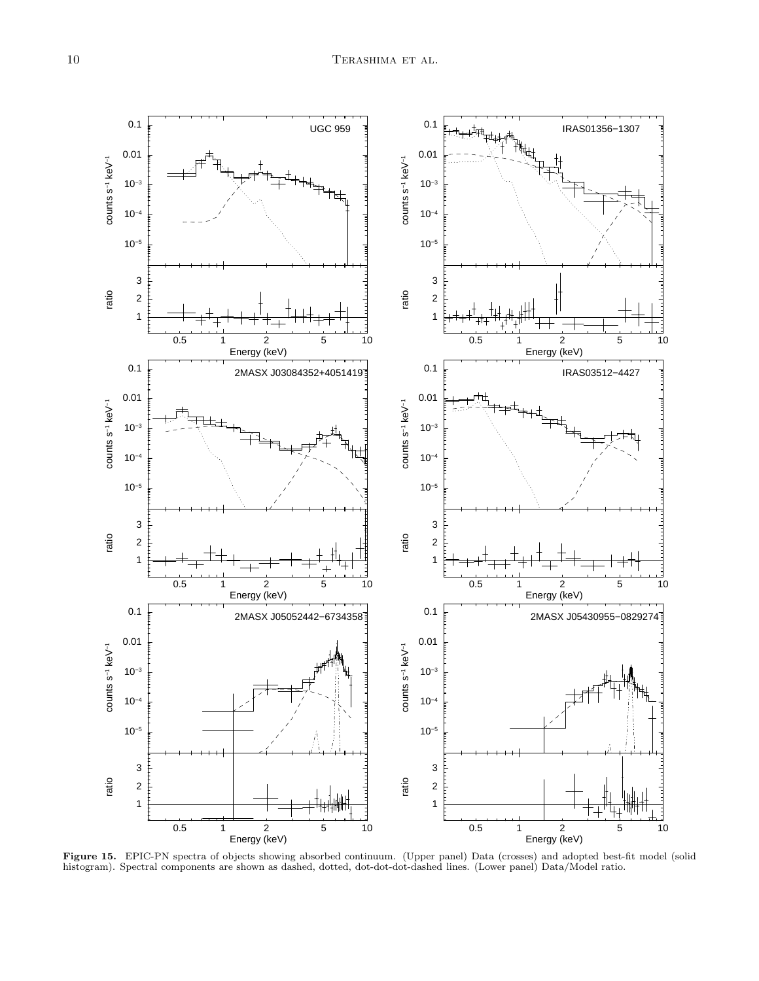

Figure 15. EPIC-PN spectra of objects showing absorbed continuum. (Upper panel) Data (crosses) and adopted best-fit model (solid histogram). Spectral components are shown as dashed, dotted, dot-dot-dot-dashed lines. (Lower panel) Data/Model ratio.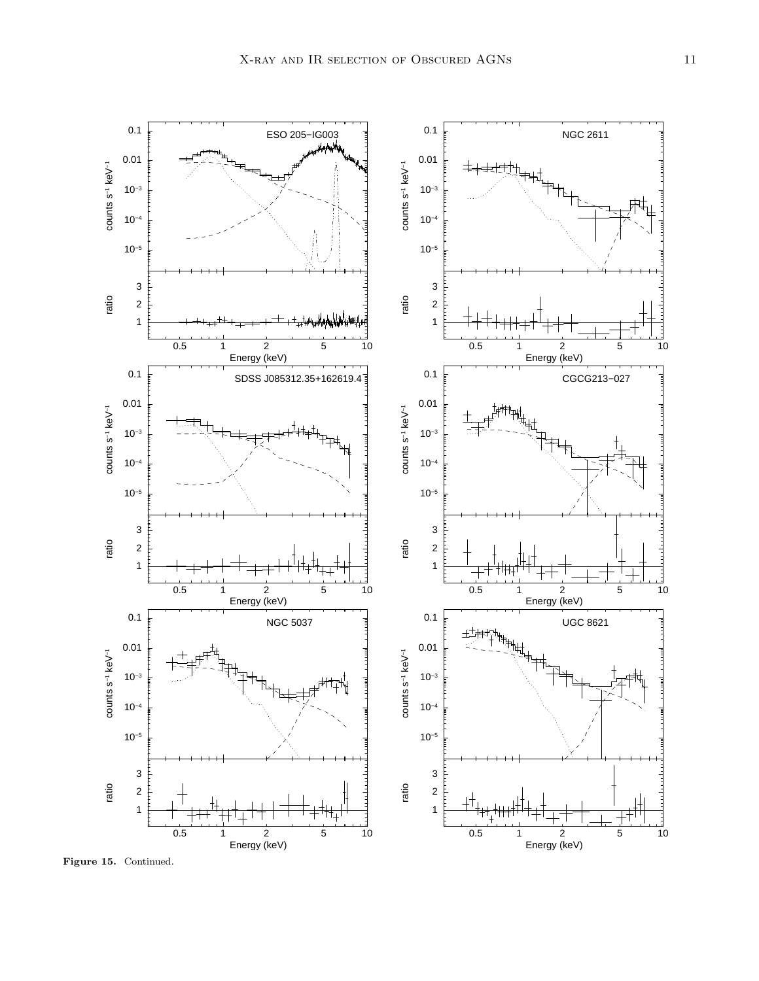

Figure 15. Continued.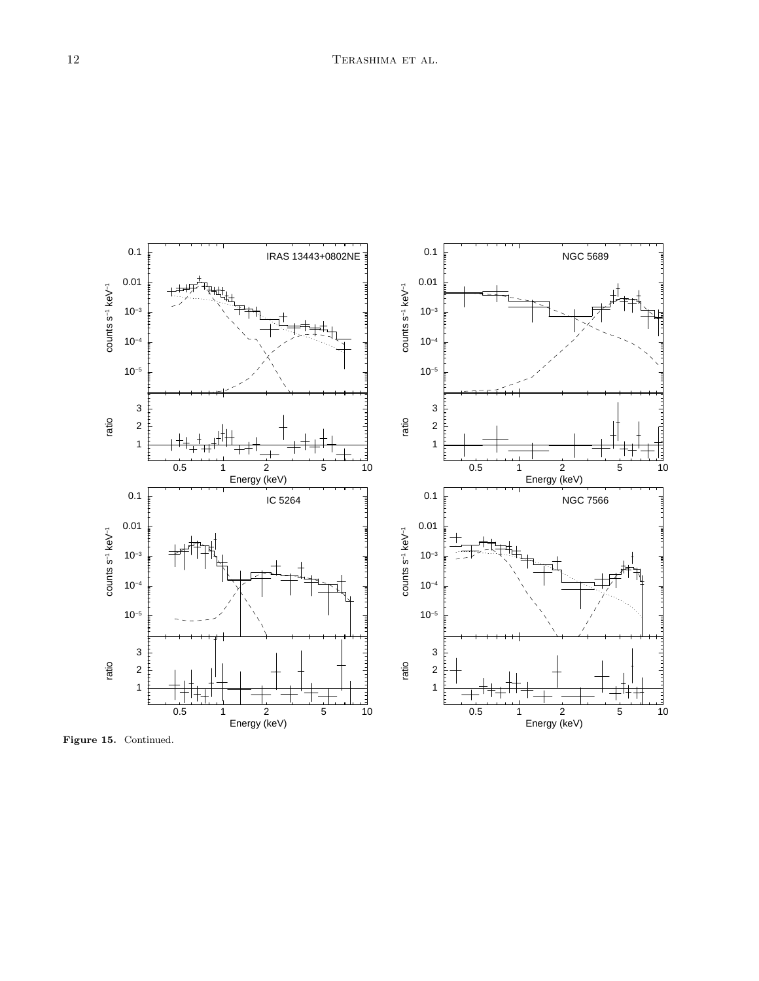

<span id="page-11-0"></span>Figure 15. Continued.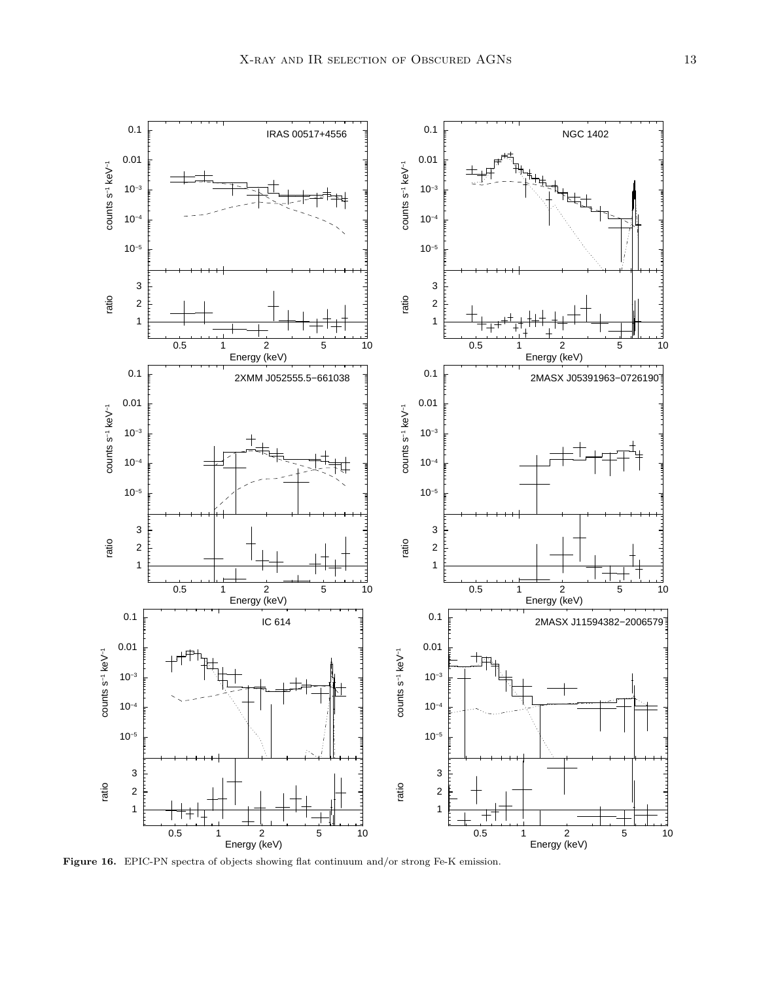

Figure 16. EPIC-PN spectra of objects showing flat continuum and/or strong Fe-K emission.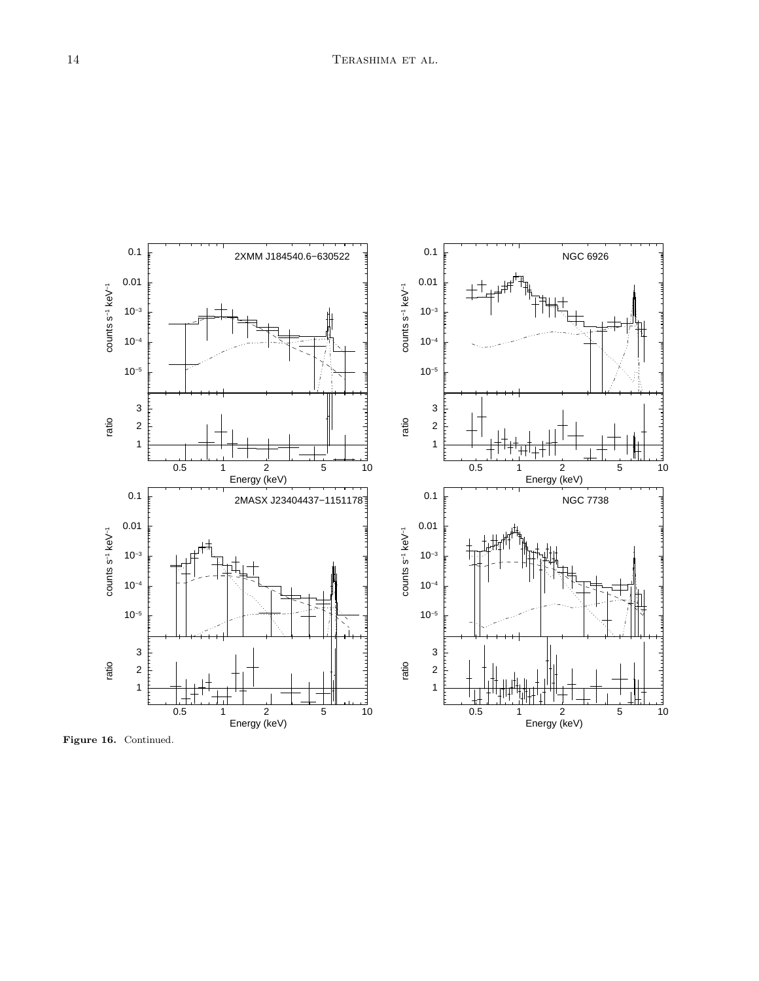

<span id="page-13-0"></span>Figure 16. Continued.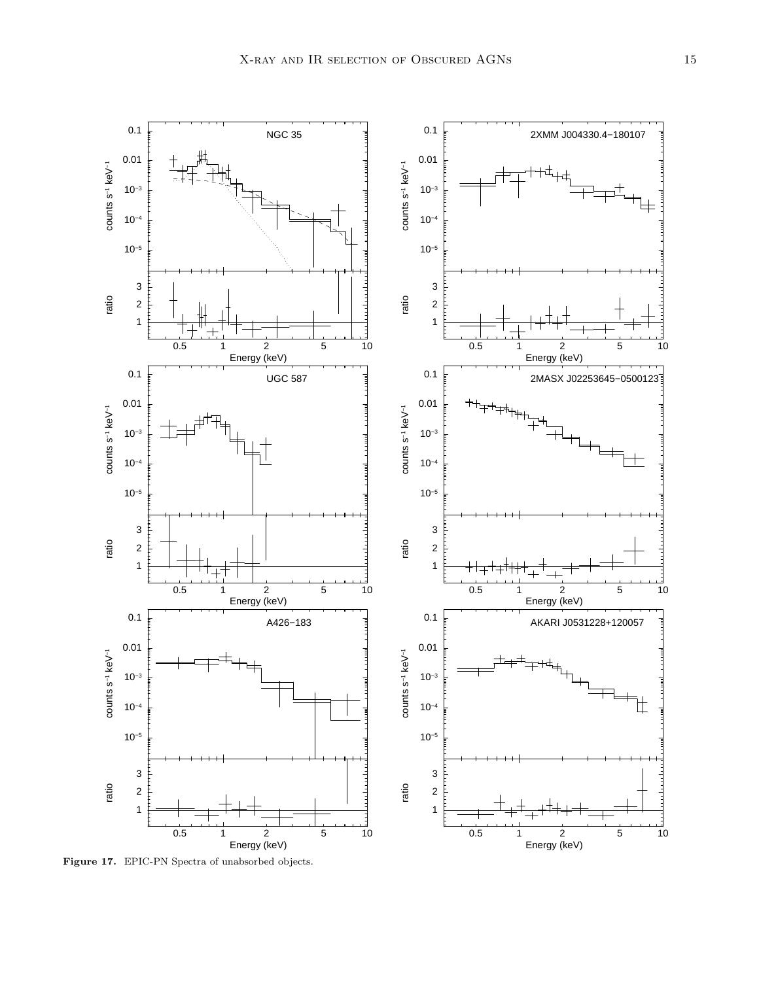

Figure 17. EPIC-PN Spectra of unabsorbed objects.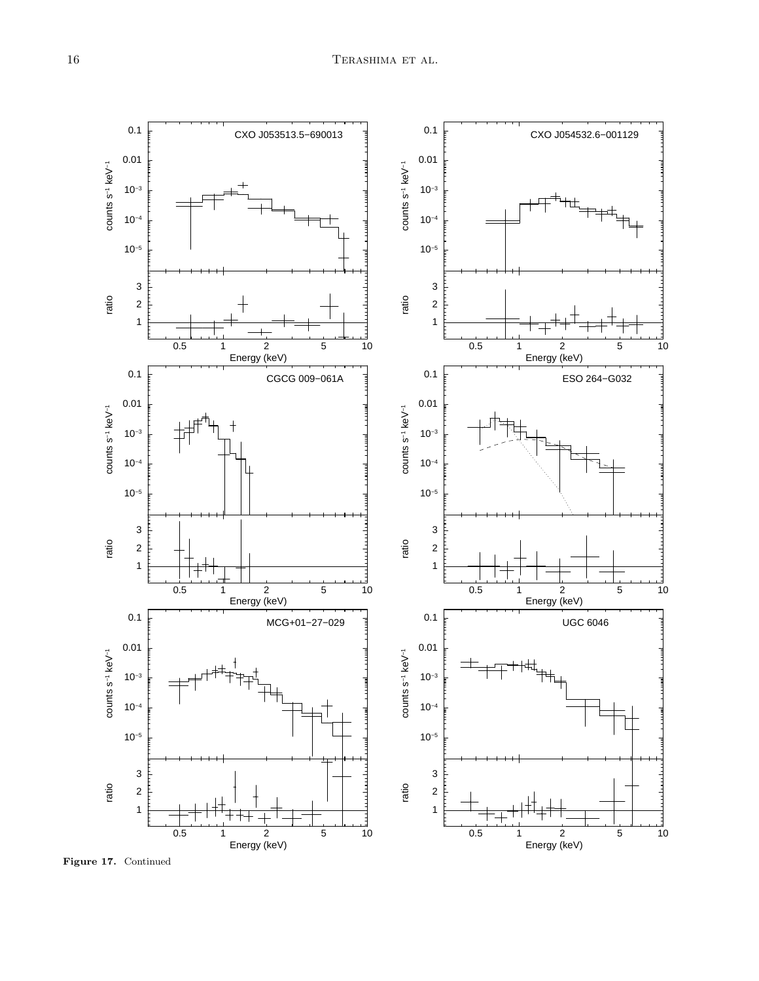

Figure 17. Continued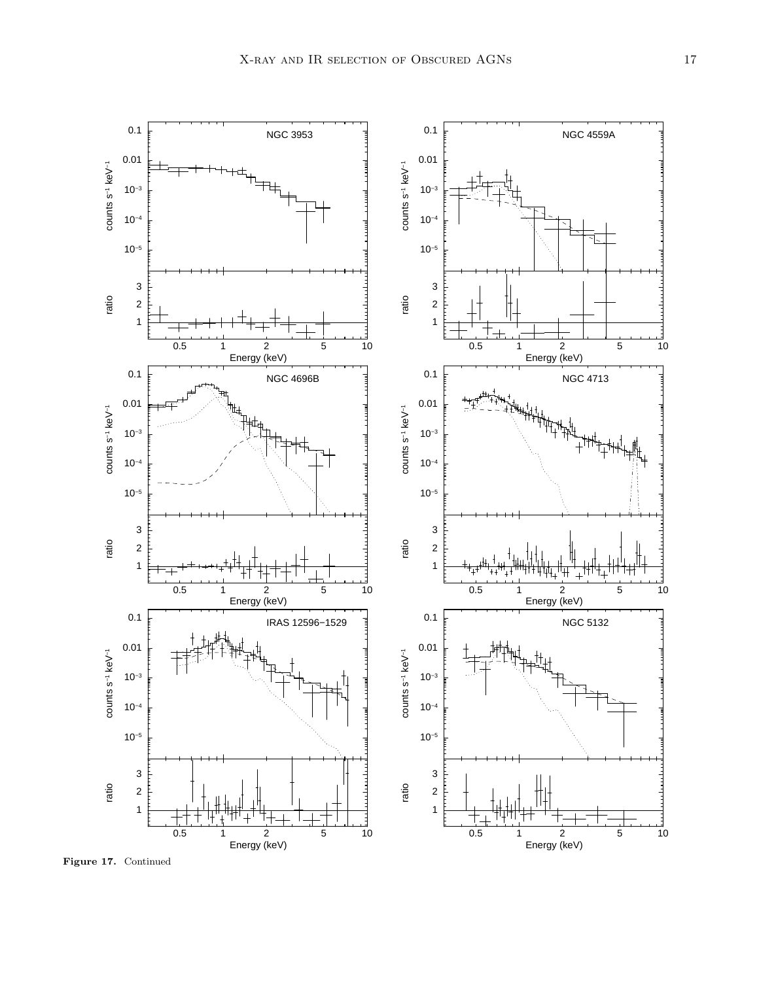

Figure 17. Continued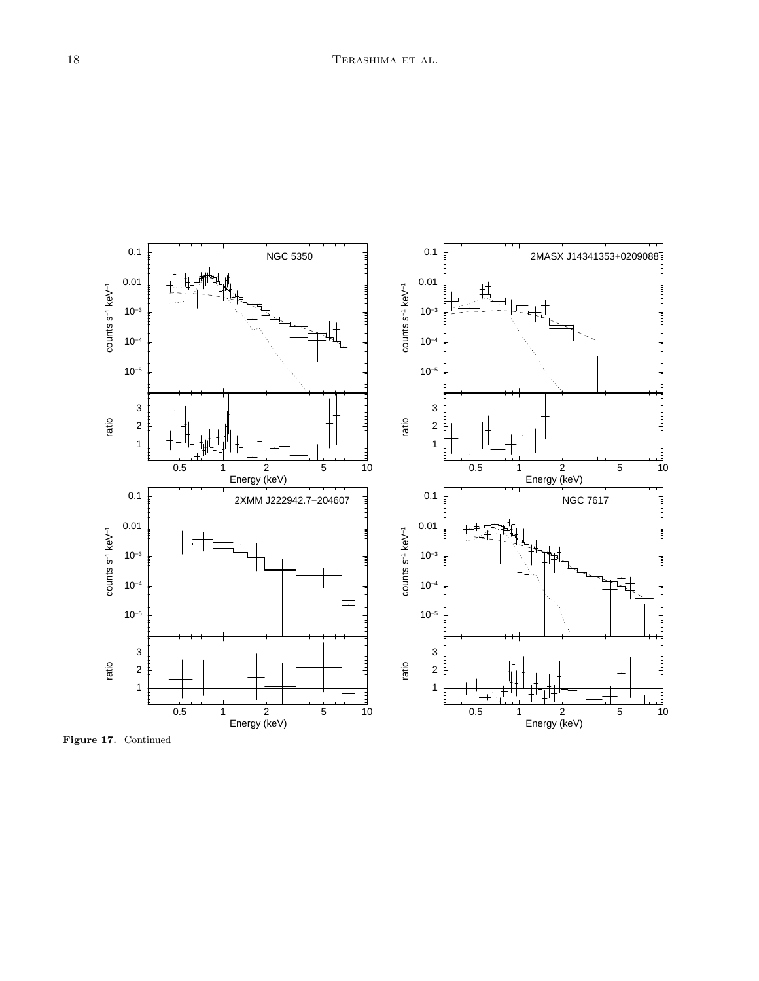

<span id="page-17-0"></span>Figure 17. Continued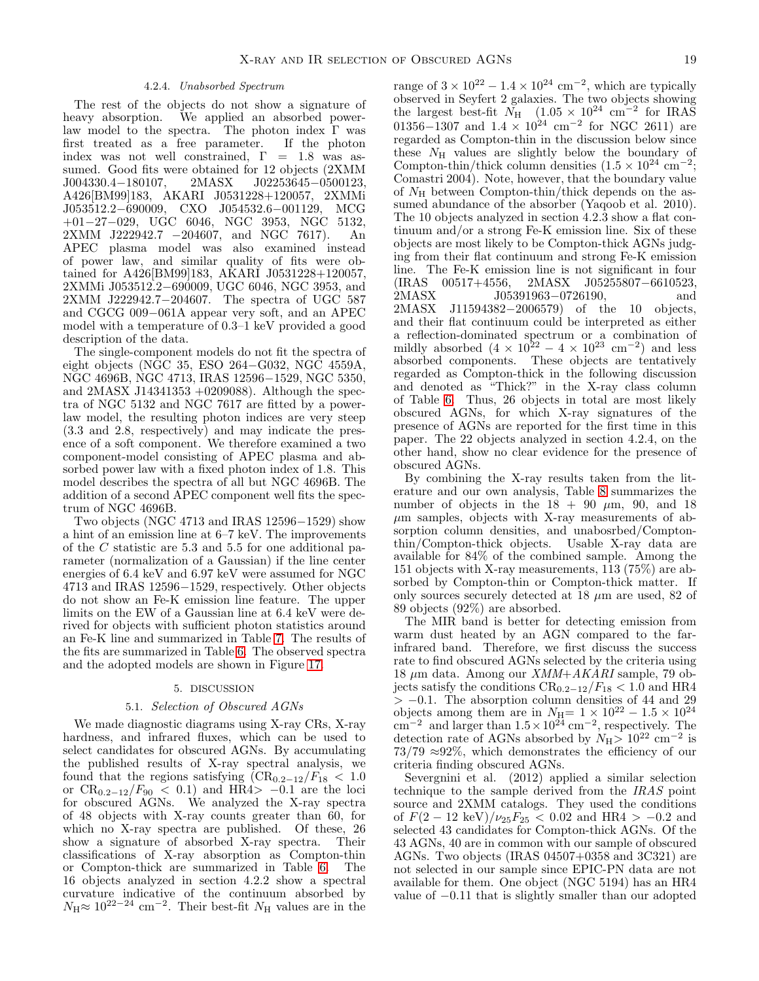# 4.2.4. Unabsorbed Spectrum

The rest of the objects do not show a signature of heavy absorption. We applied an absorbed powerlaw model to the spectra. The photon index  $\Gamma$  was<br>first treated as a free parameter. If the photon first treated as a free parameter. index was not well constrained,  $\Gamma = 1.8$  was assumed. Good fits were obtained for 12 objects (2XMM<br>J004330.4–180107, 2MASX J02253645–0500123. J02253645-0500123, A426[BM99]183, AKARI J0531228+120057, 2XMMi J053512.2−690009, CXO J054532.6−001129, MCG +01−27−029, UGC 6046, NGC 3953, NGC 5132, 2XMM J222942.7 −204607, and NGC 7617). An APEC plasma model was also examined instead of power law, and similar quality of fits were obtained for A426[BM99]183, AKARI J0531228+120057, 2XMMi J053512.2−690009, UGC 6046, NGC 3953, and 2XMM J222942.7−204607. The spectra of UGC 587 and CGCG 009−061A appear very soft, and an APEC model with a temperature of 0.3–1 keV provided a good description of the data.

The single-component models do not fit the spectra of eight objects (NGC 35, ESO 264−G032, NGC 4559A, NGC 4696B, NGC 4713, IRAS 12596−1529, NGC 5350, and 2MASX J14341353 +0209088). Although the spectra of NGC 5132 and NGC 7617 are fitted by a powerlaw model, the resulting photon indices are very steep (3.3 and 2.8, respectively) and may indicate the presence of a soft component. We therefore examined a two component-model consisting of APEC plasma and absorbed power law with a fixed photon index of 1.8. This model describes the spectra of all but NGC 4696B. The addition of a second APEC component well fits the spectrum of NGC 4696B.

Two objects (NGC 4713 and IRAS 12596−1529) show a hint of an emission line at 6–7 keV. The improvements of the C statistic are 5.3 and 5.5 for one additional parameter (normalization of a Gaussian) if the line center energies of 6.4 keV and 6.97 keV were assumed for NGC 4713 and IRAS 12596−1529, respectively. Other objects do not show an Fe-K emission line feature. The upper limits on the EW of a Gaussian line at 6.4 keV were derived for objects with sufficient photon statistics around an Fe-K line and summarized in Table [7.](#page-33-0) The results of the fits are summarized in Table [6.](#page-29-0) The observed spectra and the adopted models are shown in Figure [17.](#page-17-0)

## 5. DISCUSSION

### 5.1. Selection of Obscured AGNs

We made diagnostic diagrams using X-ray CRs, X-ray hardness, and infrared fluxes, which can be used to select candidates for obscured AGNs. By accumulating the published results of X-ray spectral analysis, we found that the regions satisfying  $(\text{CR}_{0.2-12}/F_{18} < 1.0$ or  $CR_{0.2-12}/F_{90} < 0.1$  and HR4> -0.1 are the loci for obscured AGNs. We analyzed the X-ray spectra of 48 objects with X-ray counts greater than 60, for which no X-ray spectra are published. Of these, 26 show a signature of absorbed X-ray spectra. Their classifications of X-ray absorption as Compton-thin or Compton-thick are summarized in Table [6.](#page-29-0) The 16 objects analyzed in section 4.2.2 show a spectral curvature indicative of the continuum absorbed by  $N_{\rm H} \approx 10^{22-24}$  cm<sup>-2</sup>. Their best-fit  $N_{\rm H}$  values are in the

range of  $3 \times 10^{22} - 1.4 \times 10^{24}$  cm<sup>-2</sup>, which are typically observed in Seyfert 2 galaxies. The two objects showing the largest best-fit  $N_{\rm H}$  (1.05 × 10<sup>24</sup> cm<sup>-2</sup> for IRAS 01356–1307 and  $1.4 \times 10^{24}$  cm<sup>-2</sup> for NGC 2611) are regarded as Compton-thin in the discussion below since these  $N_H$  values are slightly below the boundary of Compton-thin/thick column densities  $(1.5 \times 10^{24} \text{ cm}^{-2})$ ; Comastri 2004). Note, however, that the boundary value of  $N_{\rm H}$  between Compton-thin/thick depends on the assumed abundance of the absorber (Yaqoob et al. 2010). The 10 objects analyzed in section 4.2.3 show a flat continuum and/or a strong Fe-K emission line. Six of these objects are most likely to be Compton-thick AGNs judging from their flat continuum and strong Fe-K emission line. The Fe-K emission line is not significant in four (IRAS 00517+4556, 2MASX J05255807−6610523, 2MASX J05391963–0726190, and 2MASX J11594382−2006579) of the 10 objects, and their flat continuum could be interpreted as either a reflection-dominated spectrum or a combination of mildly absorbed  $(4 \times 10^{22} - 4 \times 10^{23} \text{ cm}^{-2})$  and less absorbed components. These objects are tentatively regarded as Compton-thick in the following discussion and denoted as "Thick?" in the X-ray class column of Table [6.](#page-29-0) Thus, 26 objects in total are most likely obscured AGNs, for which X-ray signatures of the presence of AGNs are reported for the first time in this paper. The 22 objects analyzed in section 4.2.4, on the other hand, show no clear evidence for the presence of obscured AGNs.

By combining the X-ray results taken from the literature and our own analysis, Table [8](#page-35-0) summarizes the number of objects in the  $18 + 90 \mu m$ , 90, and 18  $\mu$ m samples, objects with X-ray measurements of absorption column densities, and unabosrbed/Comptonthin/Compton-thick objects. Usable X-ray data are available for 84% of the combined sample. Among the 151 objects with X-ray measurements, 113 (75%) are absorbed by Compton-thin or Compton-thick matter. If only sources securely detected at  $18 \mu m$  are used, 82 of 89 objects (92%) are absorbed.

The MIR band is better for detecting emission from warm dust heated by an AGN compared to the farinfrared band. Therefore, we first discuss the success rate to find obscured AGNs selected by the criteria using 18  $\mu$ m data. Among our *XMM+AKARI* sample, 79 objects satisfy the conditions  $CR_{0.2-12}/F_{18} < 1.0$  and HR4  $> -0.1$ . The absorption column densities of 44 and 29 objects among them are in  $N_{\text{H}}= 1 \times 10^{22} - 1.5 \times 10^{24}$ cm<sup>-2</sup> and larger than  $1.5 \times 10^{24}$  cm<sup>-2</sup>, respectively. The detection rate of AGNs absorbed by  $N_{\rm H}$  >  $10^{22}$  cm<sup>-2</sup> is  $73/79 \approx 92\%$ , which demonstrates the efficiency of our criteria finding obscured AGNs.

Severgnini et al. (2012) applied a similar selection technique to the sample derived from the IRAS point source and 2XMM catalogs. They used the conditions of  $F(2 - 12 \text{ keV})/\nu_{25}F_{25} < 0.02 \text{ and HR4} > -0.2 \text{ and}$ selected 43 candidates for Compton-thick AGNs. Of the 43 AGNs, 40 are in common with our sample of obscured AGNs. Two objects (IRAS 04507+0358 and 3C321) are not selected in our sample since EPIC-PN data are not available for them. One object (NGC 5194) has an HR4 value of −0.11 that is slightly smaller than our adopted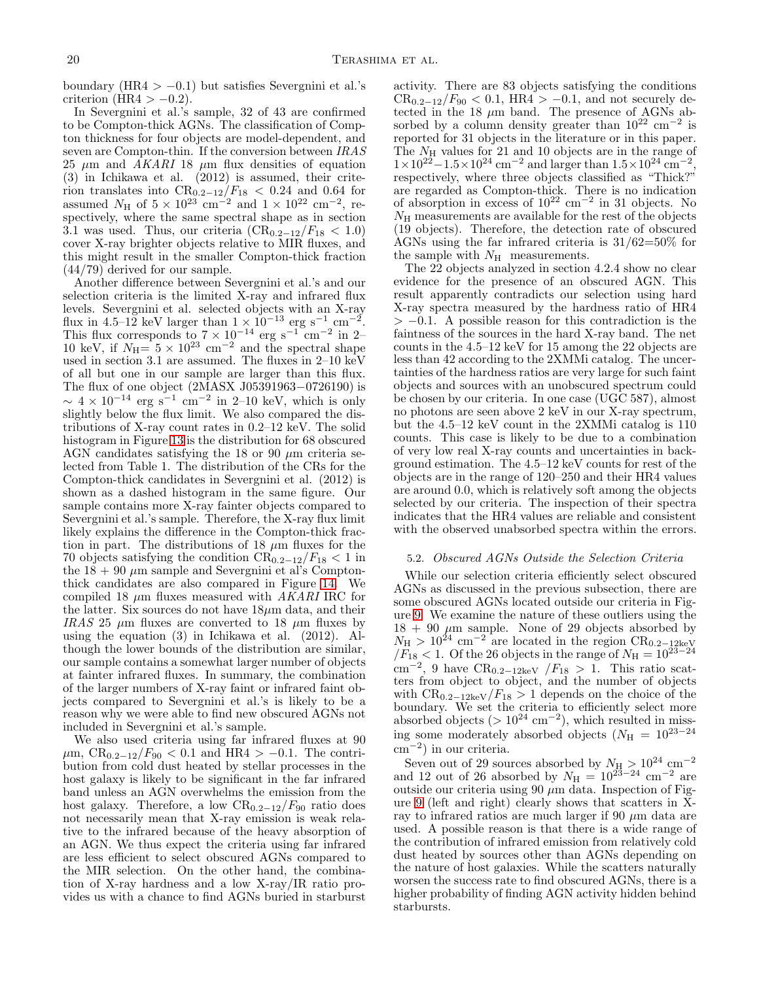boundary (HR4 >  $-0.1$ ) but satisfies Severgnini et al.'s criterion (HR4 >  $-0.2$ ).

In Severgnini et al.'s sample, 32 of 43 are confirmed to be Compton-thick AGNs. The classification of Compton thickness for four objects are model-dependent, and seven are Compton-thin. If the conversion between IRAS 25  $\mu$ m and AKARI 18  $\mu$ m flux densities of equation (3) in Ichikawa et al. (2012) is assumed, their criterion translates into  $CR_{0.2-12}/F_{18} < 0.24$  and 0.64 for assumed  $N_{\rm H}$  of  $5 \times 10^{23}$  cm<sup>-2</sup> and  $1 \times 10^{22}$  cm<sup>-2</sup>, respectively, where the same spectral shape as in section 3.1 was used. Thus, our criteria  $(CR_{0.2-12}/F_{18} < 1.0)$ cover X-ray brighter objects relative to MIR fluxes, and this might result in the smaller Compton-thick fraction (44/79) derived for our sample.

Another difference between Severgnini et al.'s and our selection criteria is the limited X-ray and infrared flux levels. Severgnini et al. selected objects with an X-ray flux in 4.5–12 keV larger than  $1 \times 10^{-13}$  erg s<sup>-1</sup> cm<sup>-2</sup>.<br>This flux corresponds to  $7 \times 10^{-14}$  erg s<sup>-1</sup> cm<sup>-2</sup> in 2–<br>10 keV, if  $N_{\rm H} = 5 \times 10^{23}$  cm<sup>-2</sup> and the spectral shape used in section 3.1 are assumed. The fluxes in 2–10 keV of all but one in our sample are larger than this flux. The flux of one object (2MASX J05391963−0726190) is  $\sim 4 \times 10^{-14}$  erg s<sup>-1</sup> cm<sup>-2</sup> in 2-10 keV, which is only slightly below the flux limit. We also compared the distributions of X-ray count rates in 0.2–12 keV. The solid histogram in Figure [13](#page-6-1) is the distribution for 68 obscured AGN candidates satisfying the 18 or 90  $\mu$ m criteria selected from Table 1. The distribution of the CRs for the Compton-thick candidates in Severgnini et al. (2012) is shown as a dashed histogram in the same figure. Our sample contains more X-ray fainter objects compared to Severgnini et al.'s sample. Therefore, the X-ray flux limit likely explains the difference in the Compton-thick fraction in part. The distributions of 18  $\mu$ m fluxes for the 70 objects satisfying the condition  $CR_{0.2-12}/F_{18} < 1$  in the  $18 + 90 \ \mu m$  sample and Severgnini et al's Comptonthick candidates are also compared in Figure [14.](#page-6-2) We compiled 18  $\mu$ m fluxes measured with AKARI IRC for the latter. Six sources do not have  $18\mu$ m data, and their IRAS 25  $\mu$ m fluxes are converted to 18  $\mu$ m fluxes by using the equation (3) in Ichikawa et al. (2012). Although the lower bounds of the distribution are similar, our sample contains a somewhat larger number of objects at fainter infrared fluxes. In summary, the combination of the larger numbers of X-ray faint or infrared faint objects compared to Severgnini et al.'s is likely to be a reason why we were able to find new obscured AGNs not included in Severgnini et al.'s sample.

We also used criteria using far infrared fluxes at 90  $\mu$ m, CR<sub>0.2−12</sub>/F<sub>90</sub> < 0.1 and HR4 > −0.1. The contribution from cold dust heated by stellar processes in the host galaxy is likely to be significant in the far infrared band unless an AGN overwhelms the emission from the host galaxy. Therefore, a low  $CR_{0.2-12}/F_{90}$  ratio does not necessarily mean that X-ray emission is weak relative to the infrared because of the heavy absorption of an AGN. We thus expect the criteria using far infrared are less efficient to select obscured AGNs compared to the MIR selection. On the other hand, the combination of X-ray hardness and a low X-ray/IR ratio provides us with a chance to find AGNs buried in starburst

activity. There are 83 objects satisfying the conditions  $CR_{0.2-12}/F_{90} < 0.1$ , HR4 > -0.1, and not securely detected in the  $18 \mu m$  band. The presence of AGNs absorbed by a column density greater than  $10^{22}$  cm<sup>-2</sup> is reported for 31 objects in the literature or in this paper. The  $N_{\rm H}$  values for 21 and 10 objects are in the range of  $1 \times 10^{22} - 1.5 \times 10^{24}$  cm<sup>-2</sup> and larger than  $1.5 \times 10^{24}$  cm<sup>-2</sup>, respectively, where three objects classified as "Thick?" are regarded as Compton-thick. There is no indication of absorption in excess of  $10^{22}$  cm<sup>-2</sup> in 31 objects. No  $N_{\rm H}$  measurements are available for the rest of the objects (19 objects). Therefore, the detection rate of obscured AGNs using the far infrared criteria is 31/62=50% for the sample with  $N_{\rm H}$  measurements.

The 22 objects analyzed in section 4.2.4 show no clear evidence for the presence of an obscured AGN. This result apparently contradicts our selection using hard X-ray spectra measured by the hardness ratio of HR4  $> -0.1$ . A possible reason for this contradiction is the faintness of the sources in the hard X-ray band. The net counts in the 4.5–12 keV for 15 among the 22 objects are less than 42 according to the 2XMMi catalog. The uncertainties of the hardness ratios are very large for such faint objects and sources with an unobscured spectrum could be chosen by our criteria. In one case (UGC 587), almost no photons are seen above 2 keV in our X-ray spectrum, but the 4.5–12 keV count in the 2XMMi catalog is 110 counts. This case is likely to be due to a combination of very low real X-ray counts and uncertainties in background estimation. The 4.5–12 keV counts for rest of the objects are in the range of 120–250 and their HR4 values are around 0.0, which is relatively soft among the objects selected by our criteria. The inspection of their spectra indicates that the HR4 values are reliable and consistent with the observed unabsorbed spectra within the errors.

## 5.2. Obscured AGNs Outside the Selection Criteria

While our selection criteria efficiently select obscured AGNs as discussed in the previous subsection, there are some obscured AGNs located outside our criteria in Figure [9.](#page-5-0) We examine the nature of these outliers using the  $18 + 90 \mu m$  sample. None of 29 objects absorbed by  $N_H > 10^{24} \text{ cm}^{-2}$  are located in the region  $CR_{0.2-12\text{keV}}$  $/F_{18}$  < 1. Of the 26 objects in the range of  $N_{\rm H} = 10^{23-24}$  $\text{cm}^{-2}$ , 9 have  $\text{CR}_{0.2-12\text{keV}}$  / $F_{18} > 1$ . This ratio scatters from object to object, and the number of objects with  $CR_{0.2-12\text{keV}}/F_{18} > 1$  depends on the choice of the boundary. We set the criteria to efficiently select more absorbed objects  $(>10^{24} \text{ cm}^{-2})$ , which resulted in missing some moderately absorbed objects ( $N_{\rm H} = 10^{23-24}$ cm<sup>−</sup><sup>2</sup> ) in our criteria.

Seven out of 29 sources absorbed by  $N_{\rm H} > 10^{24}$  cm<sup>-2</sup> and 12 out of 26 absorbed by  $N_{\rm H} = 10^{23-24}$  cm<sup>-2</sup> are outside our criteria using 90  $\mu$ m data. Inspection of Figure [9](#page-5-0) (left and right) clearly shows that scatters in Xray to infrared ratios are much larger if 90  $\mu$ m data are used. A possible reason is that there is a wide range of the contribution of infrared emission from relatively cold dust heated by sources other than AGNs depending on the nature of host galaxies. While the scatters naturally worsen the success rate to find obscured AGNs, there is a higher probability of finding AGN activity hidden behind starbursts.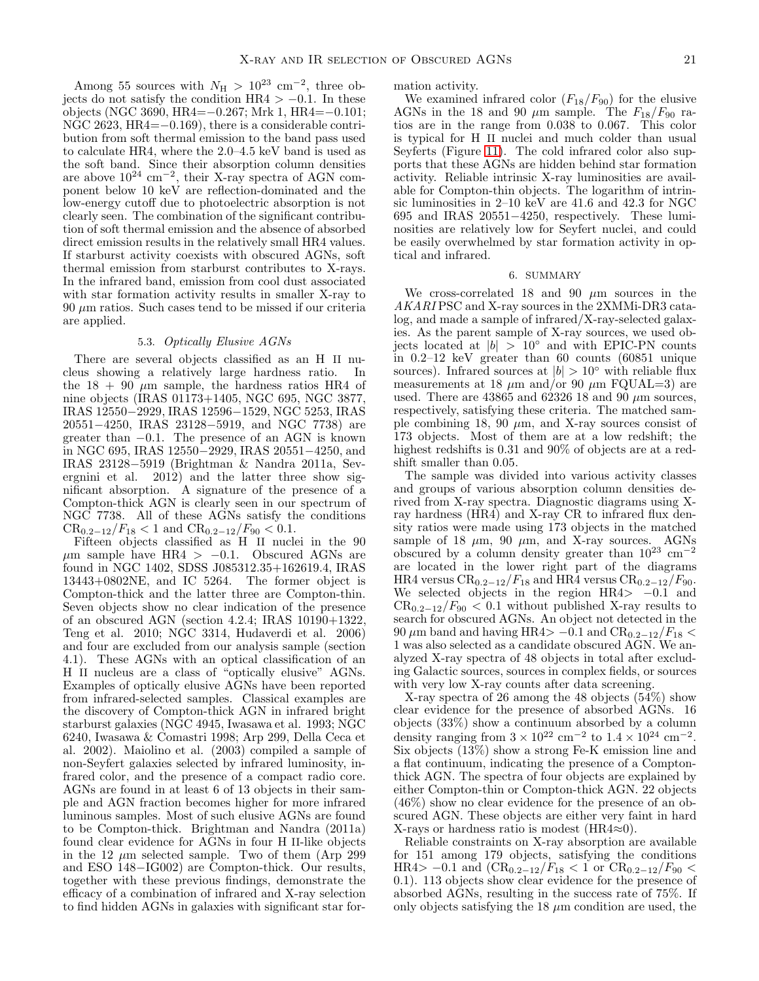Among 55 sources with  $N_{\rm H} > 10^{23}$  cm<sup>-2</sup>, three objects do not satisfy the condition HR4  $> -0.1$ . In these objects (NGC 3690, HR4=−0.267; Mrk 1, HR4=−0.101; NGC 2623, HR4=−0.169), there is a considerable contribution from soft thermal emission to the band pass used to calculate HR4, where the 2.0–4.5 keV band is used as the soft band. Since their absorption column densities are above  $10^{24}$  cm<sup>-2</sup>, their X-ray spectra of AGN component below 10 keV are reflection-dominated and the low-energy cutoff due to photoelectric absorption is not clearly seen. The combination of the significant contribution of soft thermal emission and the absence of absorbed direct emission results in the relatively small HR4 values. If starburst activity coexists with obscured AGNs, soft thermal emission from starburst contributes to X-rays. In the infrared band, emission from cool dust associated with star formation activity results in smaller X-ray to  $90 \mu m$  ratios. Such cases tend to be missed if our criteria are applied.

## 5.3. Optically Elusive AGNs

There are several objects classified as an H II nucleus showing a relatively large hardness ratio. In the  $18 + 90 \mu m$  sample, the hardness ratios HR4 of nine objects (IRAS 01173+1405, NGC 695, NGC 3877, IRAS 12550−2929, IRAS 12596−1529, NGC 5253, IRAS 20551−4250, IRAS 23128−5919, and NGC 7738) are greater than −0.1. The presence of an AGN is known in NGC 695, IRAS 12550−2929, IRAS 20551−4250, and IRAS 23128−5919 (Brightman & Nandra 2011a, Severgnini et al. 2012) and the latter three show significant absorption. A signature of the presence of a Compton-thick AGN is clearly seen in our spectrum of NGC 7738. All of these AGNs satisfy the conditions  $CR_{0.2-12}/F_{18} < 1$  and  $CR_{0.2-12}/F_{90} < 0.1$ .

Fifteen objects classified as H II nuclei in the 90  $\mu$ m sample have HR4 > −0.1. Obscured AGNs are found in NGC 1402, SDSS J085312.35+162619.4, IRAS 13443+0802NE, and IC 5264. The former object is Compton-thick and the latter three are Compton-thin. Seven objects show no clear indication of the presence of an obscured AGN (section 4.2.4; IRAS 10190+1322, Teng et al. 2010; NGC 3314, Hudaverdi et al. 2006) and four are excluded from our analysis sample (section 4.1). These AGNs with an optical classification of an H II nucleus are a class of "optically elusive" AGNs. Examples of optically elusive AGNs have been reported from infrared-selected samples. Classical examples are the discovery of Compton-thick AGN in infrared bright starburst galaxies (NGC 4945, Iwasawa et al. 1993; NGC 6240, Iwasawa & Comastri 1998; Arp 299, Della Ceca et al. 2002). Maiolino et al. (2003) compiled a sample of non-Seyfert galaxies selected by infrared luminosity, infrared color, and the presence of a compact radio core. AGNs are found in at least 6 of 13 objects in their sample and AGN fraction becomes higher for more infrared luminous samples. Most of such elusive AGNs are found to be Compton-thick. Brightman and Nandra (2011a) found clear evidence for AGNs in four H II-like objects in the 12  $\mu$ m selected sample. Two of them (Arp 299 and ESO 148−IG002) are Compton-thick. Our results, together with these previous findings, demonstrate the efficacy of a combination of infrared and X-ray selection to find hidden AGNs in galaxies with significant star formation activity.

We examined infrared color  $(F_{18}/F_{90})$  for the elusive AGNs in the 18 and 90  $\mu$ m sample. The  $F_{18}/F_{90}$  ratios are in the range from 0.038 to 0.067. This color is typical for H II nuclei and much colder than usual Seyferts (Figure [11\)](#page-5-2). The cold infrared color also supports that these AGNs are hidden behind star formation activity. Reliable intrinsic X-ray luminosities are available for Compton-thin objects. The logarithm of intrinsic luminosities in 2–10 keV are 41.6 and 42.3 for NGC 695 and IRAS 20551−4250, respectively. These luminosities are relatively low for Seyfert nuclei, and could be easily overwhelmed by star formation activity in optical and infrared.

#### 6. SUMMARY

We cross-correlated 18 and 90  $\mu$ m sources in the AKARI PSC and X-ray sources in the 2XMMi-DR3 catalog, and made a sample of infrared/X-ray-selected galaxies. As the parent sample of X-ray sources, we used objects located at  $|b| > 10°$  and with EPIC-PN counts in 0.2–12 keV greater than 60 counts (60851 unique sources). Infrared sources at  $|b| > 10°$  with reliable flux measurements at 18  $\mu$ m and/or 90  $\mu$ m FQUAL=3) are used. There are  $43865$  and  $62326$  18 and 90  $\mu$ m sources, respectively, satisfying these criteria. The matched sample combining 18, 90  $\mu$ m, and X-ray sources consist of 173 objects. Most of them are at a low redshift; the highest redshifts is 0.31 and 90% of objects are at a redshift smaller than 0.05.

The sample was divided into various activity classes and groups of various absorption column densities derived from X-ray spectra. Diagnostic diagrams using Xray hardness (HR4) and X-ray CR to infrared flux density ratios were made using 173 objects in the matched sample of 18  $\mu$ m, 90  $\mu$ m, and X-ray sources. AGNs obscured by a column density greater than  $10^{23}$  cm<sup>-2</sup> are located in the lower right part of the diagrams HR4 versus CR<sub>0.2−12</sub>/ $F_{18}$  and HR4 versus CR<sub>0.2−12</sub>/ $F_{90}$ . We selected objects in the region  $HR4 > -0.1$  and  $CR_{0.2-12}/F_{90} < 0.1$  without published X-ray results to search for obscured AGNs. An object not detected in the  $90 \mu m$  band and having HR4>  $-0.1$  and  $CR_{0.2-12}/F_{18}$  < 1 was also selected as a candidate obscured AGN. We analyzed X-ray spectra of 48 objects in total after excluding Galactic sources, sources in complex fields, or sources with very low X-ray counts after data screening.

X-ray spectra of 26 among the 48 objects (54%) show clear evidence for the presence of absorbed AGNs. 16 objects (33%) show a continuum absorbed by a column density ranging from  $3 \times 10^{22}$  cm<sup>-2</sup> to  $1.4 \times 10^{24}$  cm<sup>-2</sup>. Six objects  $(13\%)$  show a strong Fe-K emission line and a flat continuum, indicating the presence of a Comptonthick AGN. The spectra of four objects are explained by either Compton-thin or Compton-thick AGN. 22 objects (46%) show no clear evidence for the presence of an obscured AGN. These objects are either very faint in hard X-rays or hardness ratio is modest (HR4≈0).

Reliable constraints on X-ray absorption are available for 151 among 179 objects, satisfying the conditions HR4> −0.1 and  $(\text{CR}_{0.2-12}/F_{18}$  < 1 or  $\text{CR}_{0.2-12}/F_{90}$  < 0.1). 113 objects show clear evidence for the presence of absorbed AGNs, resulting in the success rate of 75%. If only objects satisfying the  $18 \mu m$  condition are used, the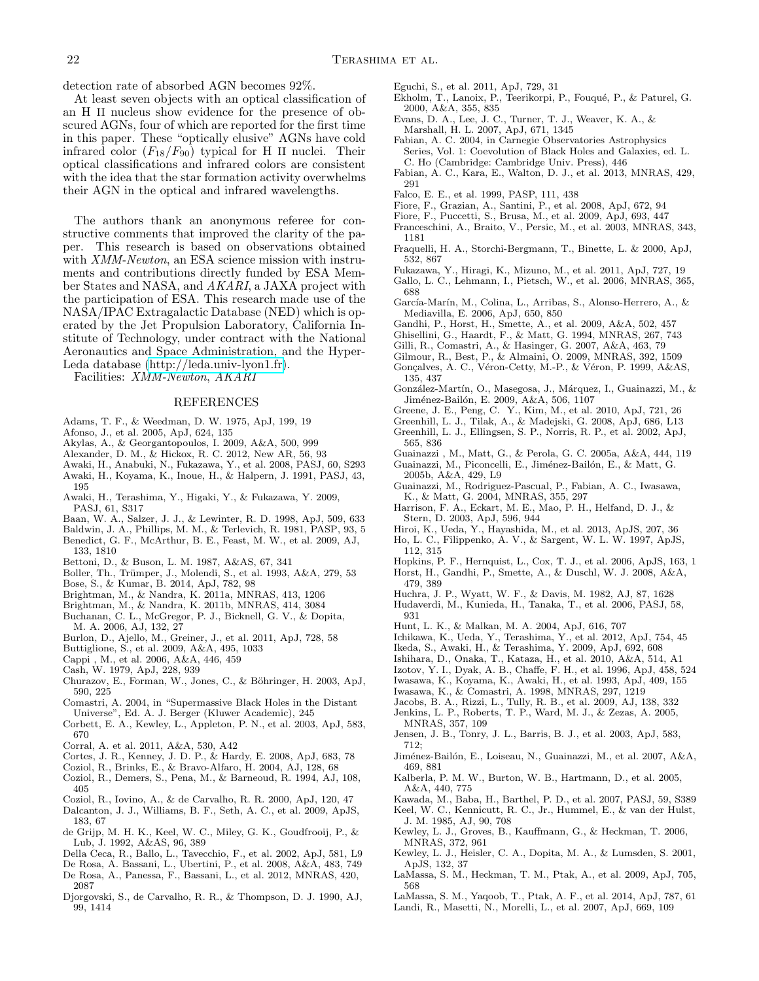detection rate of absorbed AGN becomes 92%.

At least seven objects with an optical classification of an H II nucleus show evidence for the presence of obscured AGNs, four of which are reported for the first time in this paper. These "optically elusive" AGNs have cold infrared color  $(F_{18}/F_{90})$  typical for H II nuclei. Their optical classifications and infrared colors are consistent with the idea that the star formation activity overwhelms their AGN in the optical and infrared wavelengths.

The authors thank an anonymous referee for constructive comments that improved the clarity of the paper. This research is based on observations obtained with *XMM-Newton*, an ESA science mission with instruments and contributions directly funded by ESA Member States and NASA, and AKARI, a JAXA project with the participation of ESA. This research made use of the NASA/IPAC Extragalactic Database (NED) which is operated by the Jet Propulsion Laboratory, California Institute of Technology, under contract with the National Aeronautics and Space Administration, and the Hyper-Leda database [\(http://leda.univ-lyon1.fr\)](http://leda.univ-lyon1.fr).

Facilities: XMM-Newton, AKARI

#### REFERENCES

- Adams, T. F., & Weedman, D. W. 1975, ApJ, 199, 19
- Afonso, J., et al. 2005, ApJ, 624, 135
- Akylas, A., & Georgantopoulos, I. 2009, A&A, 500, 999
- Alexander, D. M., & Hickox, R. C. 2012, New AR, 56, 93
- Awaki, H., Anabuki, N., Fukazawa, Y., et al. 2008, PASJ, 60, S293 Awaki, H., Koyama, K., Inoue, H., & Halpern, J. 1991, PASJ, 43, 195
- Awaki, H., Terashima, Y., Higaki, Y., & Fukazawa, Y. 2009, PASJ, 61, S317
- Baan, W. A., Salzer, J. J., & Lewinter, R. D. 1998, ApJ, 509, 633
- Baldwin, J. A., Phillips, M. M., & Terlevich, R. 1981, PASP, 93, 5
- Benedict, G. F., McArthur, B. E., Feast, M. W., et al. 2009, AJ, 133, 1810
- Bettoni, D., & Buson, L. M. 1987, A&AS, 67, 341
- Boller, Th., Trümper, J., Molendi, S., et al. 1993, A&A, 279, 53
- Bose, S., & Kumar, B. 2014, ApJ, 782, 98
- Brightman, M., & Nandra, K. 2011a, MNRAS, 413, 1206
- Brightman, M., & Nandra, K. 2011b, MNRAS, 414, 3084
- Buchanan, C. L., McGregor, P. J., Bicknell, G. V., & Dopita, M. A. 2006, AJ, 132, 27
- Burlon, D., Ajello, M., Greiner, J., et al. 2011, ApJ, 728, 58
- Buttiglione, S., et al. 2009, A&A, 495, 1033
- Cappi , M., et al. 2006, A&A, 446, 459
- Cash, W. 1979, ApJ, 228, 939
- Churazov, E., Forman, W., Jones, C., & Böhringer, H. 2003, ApJ, 590, 225
- Comastri, A. 2004, in "Supermassive Black Holes in the Distant Universe", Ed. A. J. Berger (Kluwer Academic), 245
- Corbett, E. A., Kewley, L., Appleton, P. N., et al. 2003, ApJ, 583, 670
- Corral, A. et al. 2011, A&A, 530, A42
- Cortes, J. R., Kenney, J. D. P., & Hardy, E. 2008, ApJ, 683, 78
- Coziol, R., Brinks, E., & Bravo-Alfaro, H. 2004, AJ, 128, 68
- Coziol, R., Demers, S., Pena, M., & Barneoud, R. 1994, AJ, 108, 405
- Coziol, R., Iovino, A., & de Carvalho, R. R. 2000, ApJ, 120, 47
- Dalcanton, J. J., Williams, B. F., Seth, A. C., et al. 2009, ApJS, 183, 67
- de Grijp, M. H. K., Keel, W. C., Miley, G. K., Goudfrooij, P., & Lub, J. 1992, A&AS, 96, 389
- Della Ceca, R., Ballo, L., Tavecchio, F., et al. 2002, ApJ, 581, L9
- De Rosa, A. Bassani, L., Ubertini, P., et al. 2008, A&A, 483, 749
- De Rosa, A., Panessa, F., Bassani, L., et al. 2012, MNRAS, 420, 2087
- Djorgovski, S., de Carvalho, R. R., & Thompson, D. J. 1990, AJ, 99, 1414
- Eguchi, S., et al. 2011, ApJ, 729, 31
- Ekholm, T., Lanoix, P., Teerikorpi, P., Fouqué, P., & Paturel, G. 2000, A&A, 355, 835
- Evans, D. A., Lee, J. C., Turner, T. J., Weaver, K. A., & Marshall, H. L. 2007, ApJ, 671, 1345
- Fabian, A. C. 2004, in Carnegie Observatories Astrophysics Series, Vol. 1: Coevolution of Black Holes and Galaxies, ed. L. C. Ho (Cambridge: Cambridge Univ. Press), 446
- Fabian, A. C., Kara, E., Walton, D. J., et al. 2013, MNRAS, 429, 291
- Falco, E. E., et al. 1999, PASP, 111, 438
- Fiore, F., Grazian, A., Santini, P., et al. 2008, ApJ, 672, 94
- Fiore, F., Puccetti, S., Brusa, M., et al. 2009, ApJ, 693, 447
- Franceschini, A., Braito, V., Persic, M., et al. 2003, MNRAS, 343, 1181
- Fraquelli, H. A., Storchi-Bergmann, T., Binette, L. & 2000, ApJ, 532, 867
- Fukazawa, Y., Hiragi, K., Mizuno, M., et al. 2011, ApJ, 727, 19
- Gallo, L. C., Lehmann, I., Pietsch, W., et al. 2006, MNRAS, 365, 688
- García-Marín, M., Colina, L., Arribas, S., Alonso-Herrero, A., & Mediavilla, E. 2006, ApJ, 650, 850
- Gandhi, P., Horst, H., Smette, A., et al. 2009, A&A, 502, 457
- Ghisellini, G., Haardt, F., & Matt, G. 1994, MNRAS, 267, 743
- Gilli, R., Comastri, A., & Hasinger, G. 2007, A&A, 463, 79
- Gilmour, R., Best, P., & Almaini, O. 2009, MNRAS, 392, 1509
- Gonçalves, A. C., Véron-Cetty, M.-P., & Véron, P. 1999, A&AS, 135, 437
- González-Martín, O., Masegosa, J., Márquez, I., Guainazzi, M., & Jiménez-Bailón, E. 2009, A&A, 506, 1107
- Greene, J. E., Peng, C. Y., Kim, M., et al. 2010, ApJ, 721, 26
- Greenhill, L. J., Tilak, A., & Madejski, G. 2008, ApJ, 686, L13
- Greenhill, L. J., Ellingsen, S. P., Norris, R. P., et al. 2002, ApJ, 565, 836
- Guainazzi , M., Matt, G., & Perola, G. C. 2005a, A&A, 444, 119
- Guainazzi, M., Piconcelli, E., Jiménez-Bailón, E., & Matt, G.
- 2005b, A&A, 429, L9 Guainazzi, M., Rodriguez-Pascual, P., Fabian, A. C., Iwasawa,
- K., & Matt, G. 2004, MNRAS, 355, 297 Harrison, F. A., Eckart, M. E., Mao, P. H., Helfand, D. J., &
- Stern, D. 2003, ApJ, 596, 944
- Hiroi, K., Ueda, Y., Hayashida, M., et al. 2013, ApJS, 207, 36 Ho, L. C., Filippenko, A. V., & Sargent, W. L. W. 1997, ApJS,
- 112, 315 Hopkins, P. F., Hernquist, L., Cox, T. J., et al. 2006, ApJS, 163, 1
- Horst, H., Gandhi, P., Smette, A., & Duschl, W. J. 2008, A&A,
- 479, 389
- Huchra, J. P., Wyatt, W. F., & Davis, M. 1982, AJ, 87, 1628
- Hudaverdi, M., Kunieda, H., Tanaka, T., et al. 2006, PASJ, 58, 931
- Hunt, L. K., & Malkan, M. A. 2004, ApJ, 616, 707
- Ichikawa, K., Ueda, Y., Terashima, Y., et al. 2012, ApJ, 754, 45
- Ikeda, S., Awaki, H., & Terashima, Y. 2009, ApJ, 692, 608
- Ishihara, D., Onaka, T., Kataza, H., et al. 2010, A&A, 514, A1
- Izotov, Y. I., Dyak, A. B., Chaffe, F. H., et al. 1996, ApJ, 458, 524
- Iwasawa, K., Koyama, K., Awaki, H., et al. 1993, ApJ, 409, 155
- Iwasawa, K., & Comastri, A. 1998, MNRAS, 297, 1219
- Jacobs, B. A., Rizzi, L., Tully, R. B., et al. 2009, AJ, 138, 332
- Jenkins, L. P., Roberts, T. P., Ward, M. J., & Zezas, A. 2005, MNRAS, 357, 109
- Jensen, J. B., Tonry, J. L., Barris, B. J., et al. 2003, ApJ, 583, 712;
- Jiménez-Bailón, E., Loiseau, N., Guainazzi, M., et al. 2007, A&A, 469, 881
- Kalberla, P. M. W., Burton, W. B., Hartmann, D., et al. 2005, A&A, 440, 775
- Kawada, M., Baba, H., Barthel, P. D., et al. 2007, PASJ, 59, S389
- Keel, W. C., Kennicutt, R. C., Jr., Hummel, E., & van der Hulst,
- J. M. 1985, AJ, 90, 708 Kewley, L. J., Groves, B., Kauffmann, G., & Heckman, T. 2006,
- MNRAS, 372, 961 Kewley, L. J., Heisler, C. A., Dopita, M. A., & Lumsden, S. 2001,
- ApJS, 132, 37
- LaMassa, S. M., Heckman, T. M., Ptak, A., et al. 2009, ApJ, 705, 568
- LaMassa, S. M., Yaqoob, T., Ptak, A. F., et al. 2014, ApJ, 787, 61
- Landi, R., Masetti, N., Morelli, L., et al. 2007, ApJ, 669, 109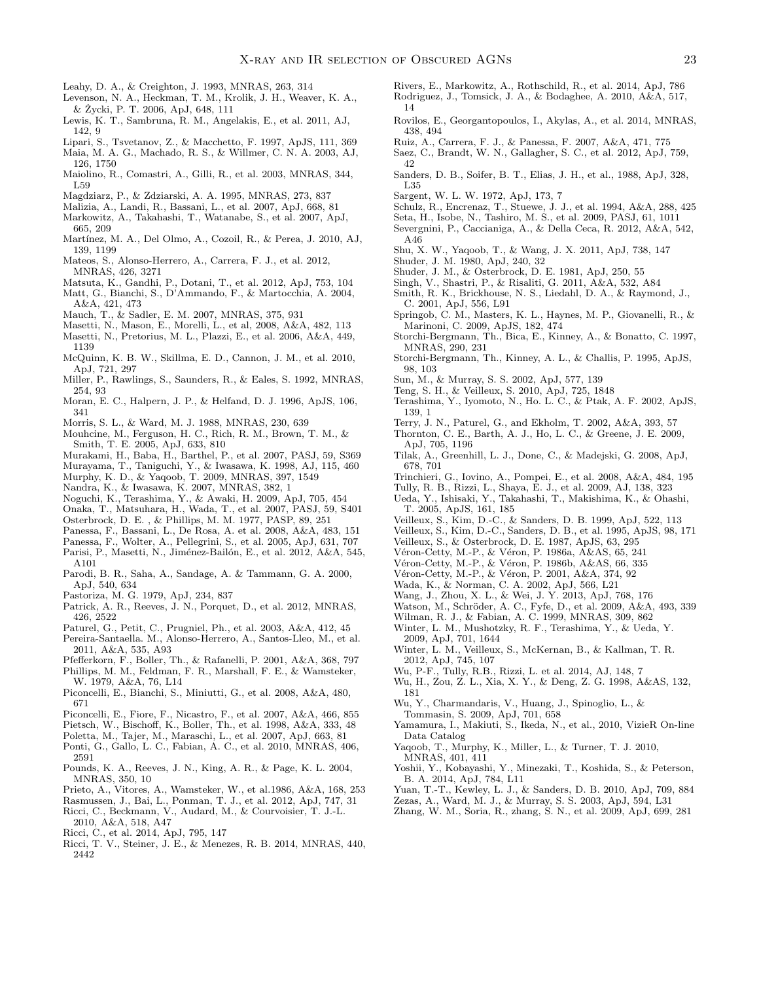- Leahy, D. A., & Creighton, J. 1993, MNRAS, 263, 314
- Levenson, N. A., Heckman, T. M., Krolik, J. H., Weaver, K. A., & Zycki, P. T. 2006, ApJ, 648, 111 ˙
- Lewis, K. T., Sambruna, R. M., Angelakis, E., et al. 2011, AJ, 142, 9
- Lipari, S., Tsvetanov, Z., & Macchetto, F. 1997, ApJS, 111, 369
- Maia, M. A. G., Machado, R. S., & Willmer, C. N. A. 2003, AJ, 126, 1750
- Maiolino, R., Comastri, A., Gilli, R., et al. 2003, MNRAS, 344, L59
- Magdziarz, P., & Zdziarski, A. A. 1995, MNRAS, 273, 837
- Malizia, A., Landi, R., Bassani, L., et al. 2007, ApJ, 668, 81
- Markowitz, A., Takahashi, T., Watanabe, S., et al. 2007, ApJ, 665, 209
- Martínez, M. A., Del Olmo, A., Cozoil, R., & Perea, J. 2010, AJ, 139, 1199
- Mateos, S., Alonso-Herrero, A., Carrera, F. J., et al. 2012, MNRAS, 426, 3271
- Matsuta, K., Gandhi, P., Dotani, T., et al. 2012, ApJ, 753, 104 Matt, G., Bianchi, S., D'Ammando, F., & Martocchia, A. 2004, A&A, 421, 473
- Mauch, T., & Sadler, E. M. 2007, MNRAS, 375, 931
- Masetti, N., Mason, E., Morelli, L., et al, 2008, A&A, 482, 113
- Masetti, N., Pretorius, M. L., Plazzi, E., et al. 2006, A&A, 449, 1139
- McQuinn, K. B. W., Skillma, E. D., Cannon, J. M., et al. 2010, ApJ, 721, 297
- Miller, P., Rawlings, S., Saunders, R., & Eales, S. 1992, MNRAS, 254, 93
- Moran, E. C., Halpern, J. P., & Helfand, D. J. 1996, ApJS, 106, 341
- Morris, S. L., & Ward, M. J. 1988, MNRAS, 230, 639
- Mouhcine, M., Ferguson, H. C., Rich, R. M., Brown, T. M., & Smith, T. E. 2005, ApJ, 633, 810
- Murakami, H., Baba, H., Barthel, P., et al. 2007, PASJ, 59, S369
- Murayama, T., Taniguchi, Y., & Iwasawa, K. 1998, AJ, 115, 460
- Murphy, K. D., & Yaqoob, T. 2009, MNRAS, 397, 1549
- Nandra, K., & Iwasawa, K. 2007, MNRAS, 382, 1
- Noguchi, K., Terashima, Y., & Awaki, H. 2009, ApJ, 705, 454
- Onaka, T., Matsuhara, H., Wada, T., et al. 2007, PASJ, 59, S401 Osterbrock, D. E. , & Phillips, M. M. 1977, PASP, 89, 251
- Panessa, F., Bassani, L., De Rosa, A. et al. 2008, A&A, 483, 151
- Panessa, F., Wolter, A., Pellegrini, S., et al. 2005, ApJ, 631, 707
- Parisi, P., Masetti, N., Jiménez-Bailón, E., et al. 2012, A&A, 545, A101
- Parodi, B. R., Saha, A., Sandage, A. & Tammann, G. A. 2000, ApJ, 540, 634
- Pastoriza, M. G. 1979, ApJ, 234, 837
- Patrick, A. R., Reeves, J. N., Porquet, D., et al. 2012, MNRAS, 426, 2522
- Paturel, G., Petit, C., Prugniel, Ph., et al. 2003, A&A, 412, 45
- Pereira-Santaella. M., Alonso-Herrero, A., Santos-Lleo, M., et al. 2011, A&A, 535, A93
- Pfefferkorn, F., Boller, Th., & Rafanelli, P. 2001, A&A, 368, 797
- Phillips, M. M., Feldman, F. R., Marshall, F. E., & Wamsteker, W. 1979, A&A, 76, L14
- Piconcelli, E., Bianchi, S., Miniutti, G., et al. 2008, A&A, 480, 671
- Piconcelli, E., Fiore, F., Nicastro, F., et al. 2007, A&A, 466, 855
- Pietsch, W., Bischoff, K., Boller, Th., et al. 1998, A&A, 333, 48
- Poletta, M., Tajer, M., Maraschi, L., et al. 2007, ApJ, 663, 81
- Ponti, G., Gallo, L. C., Fabian, A. C., et al. 2010, MNRAS, 406, 2591
- Pounds, K. A., Reeves, J. N., King, A. R., & Page, K. L. 2004, MNRAS, 350, 10
- Prieto, A., Vitores, A., Wamsteker, W., et al.1986, A&A, 168, 253
- Rasmussen, J., Bai, L., Ponman, T. J., et al. 2012, ApJ, 747, 31
- Ricci, C., Beckmann, V., Audard, M., & Courvoisier, T. J.-L.
- 2010, A&A, 518, A47
- Ricci, C., et al. 2014, ApJ, 795, 147
- Ricci, T. V., Steiner, J. E., & Menezes, R. B. 2014, MNRAS, 440, 2442
- Rivers, E., Markowitz, A., Rothschild, R., et al. 2014, ApJ, 786
- Rodriguez, J., Tomsick, J. A., & Bodaghee, A. 2010, A&A, 517, 14
- Rovilos, E., Georgantopoulos, I., Akylas, A., et al. 2014, MNRAS, 438, 494
- Ruiz, A., Carrera, F. J., & Panessa, F. 2007, A&A, 471, 775 Saez, C., Brandt, W. N., Gallagher, S. C., et al. 2012, ApJ, 759,
- 42
- Sanders, D. B., Soifer, B. T., Elias, J. H., et al., 1988, ApJ, 328, L35
- Sargent, W. L. W. 1972, ApJ, 173, 7
- Schulz, R., Encrenaz, T., Stuewe, J. J., et al. 1994, A&A, 288, 425
- Seta, H., Isobe, N., Tashiro, M. S., et al. 2009, PASJ, 61, 1011
- Severgnini, P., Caccianiga, A., & Della Ceca, R. 2012, A&A, 542, A46
- Shu, X. W., Yaqoob, T., & Wang, J. X. 2011, ApJ, 738, 147
- Shuder, J. M. 1980, ApJ, 240, 32
- Shuder, J. M., & Osterbrock, D. E. 1981, ApJ, 250, 55
- Singh, V., Shastri, P., & Risaliti, G. 2011, A&A, 532, A84 Smith, R. K., Brickhouse, N. S., Liedahl, D. A., & Raymond, J., C. 2001, ApJ, 556, L91
- Springob, C. M., Masters, K. L., Haynes, M. P., Giovanelli, R., & Marinoni, C. 2009, ApJS, 182, 474
- Storchi-Bergmann, Th., Bica, E., Kinney, A., & Bonatto, C. 1997, MNRAS, 290, 231
- Storchi-Bergmann, Th., Kinney, A. L., & Challis, P. 1995, ApJS, 98, 103
- Sun, M., & Murray, S. S. 2002, ApJ, 577, 139
- Teng, S. H., & Veilleux, S. 2010, ApJ, 725, 1848
- Terashima, Y., Iyomoto, N., Ho. L. C., & Ptak, A. F. 2002, ApJS, 139, 1
- Terry, J. N., Paturel, G., and Ekholm, T. 2002, A&A, 393, 57
- Thornton, C. E., Barth, A. J., Ho, L. C., & Greene, J. E. 2009, ApJ, 705, 1196
- Tilak, A., Greenhill, L. J., Done, C., & Madejski, G. 2008, ApJ, 678, 701
- Trinchieri, G., Iovino, A., Pompei, E., et al. 2008, A&A, 484, 195
- Tully, R. B., Rizzi, L., Shaya, E. J., et al. 2009, AJ, 138, 323
- Ueda, Y., Ishisaki, Y., Takahashi, T., Makishima, K., & Ohashi, T. 2005, ApJS, 161, 185
- Veilleux, S., Kim, D.-C., & Sanders, D. B. 1999, ApJ, 522, 113
- Veilleux, S., Kim, D.-C., Sanders, D. B., et al. 1995, ApJS, 98, 171
- Veilleux, S., & Osterbrock, D. E. 1987, ApJS, 63, 295
- Véron-Cetty, M.-P., & Véron, P. 1986a, A&AS, 65, 241
- Véron-Cetty, M.-P., & Véron, P. 1986b, A&AS, 66, 335 Véron-Cetty, M.-P., & Véron, P. 2001, A&A, 374, 92
- 
- Wada, K., & Norman, C. A. 2002, ApJ, 566, L21
- Wang, J., Zhou, X. L., & Wei, J. Y. 2013, ApJ, 768, 176
- Watson, M., Schröder, A. C., Fyfe, D., et al. 2009, A&A, 493, 339
- Wilman, R. J., & Fabian, A. C. 1999, MNRAS, 309, 862
- Winter, L. M., Mushotzky, R. F., Terashima, Y., & Ueda, Y. 2009, ApJ, 701, 1644
- Winter, L. M., Veilleux, S., McKernan, B., & Kallman, T. R. 2012, ApJ, 745, 107
- Wu, P-F., Tully, R.B., Rizzi, L. et al. 2014, AJ, 148, 7
- Wu, H., Zou, Z. L., Xia, X. Y., & Deng, Z. G. 1998, A&AS, 132, 181
- Wu, Y., Charmandaris, V., Huang, J., Spinoglio, L., &
- Tommasin, S. 2009, ApJ, 701, 658 Yamamura, I., Makiuti, S., Ikeda, N., et al., 2010, VizieR On-line Data Catalog
- Yaqoob, T., Murphy, K., Miller, L., & Turner, T. J. 2010, MNRAS, 401, 411
- Yoshii, Y., Kobayashi, Y., Minezaki, T., Koshida, S., & Peterson, B. A. 2014, ApJ, 784, L11
- Yuan, T.-T., Kewley, L. J., & Sanders, D. B. 2010, ApJ, 709, 884
- Zezas, A., Ward, M. J., & Murray, S. S. 2003, ApJ, 594, L31
- Zhang, W. M., Soria, R., zhang, S. N., et al. 2009, ApJ, 699, 281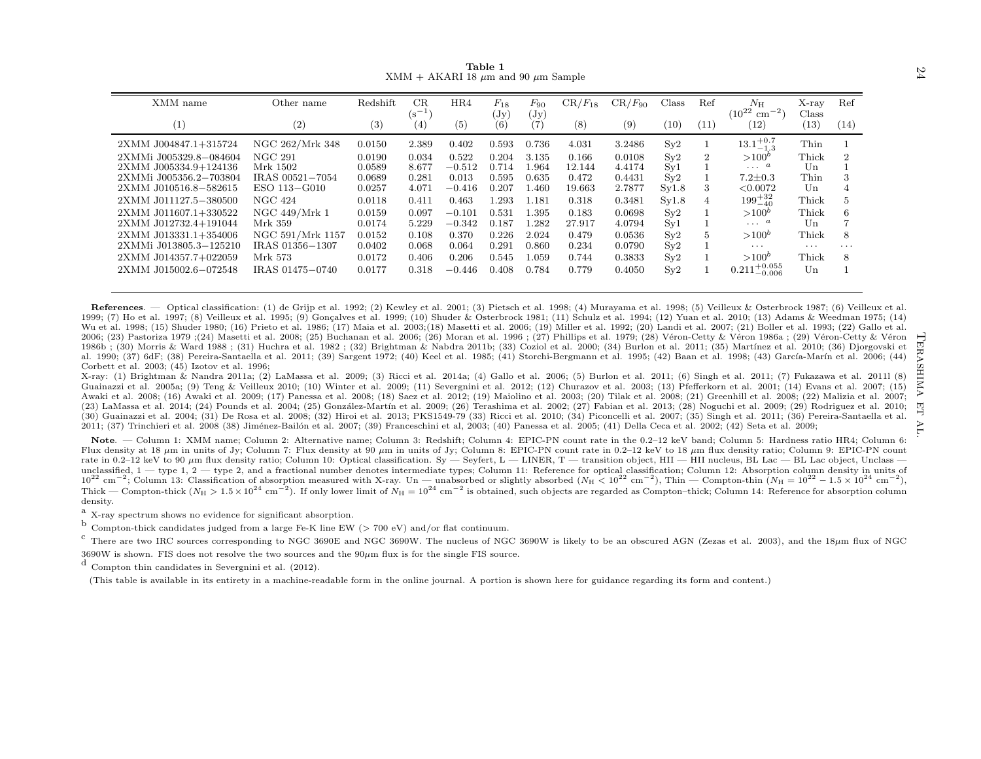<span id="page-23-0"></span>

|                                                                                                                                                                                                                                                                                                                                                                                                                                                                                                                                                                                                                                                                                                                                                                                                                                                                                                                                                                                                                                                                                                                                                                                                                                                  |                             |                  |                  | XMM + AKARI 18 $\mu$ m and 90 $\mu$ m Sample | Table 1                     |                             |                 |                  |              |                |                                            |                |                     |  |
|--------------------------------------------------------------------------------------------------------------------------------------------------------------------------------------------------------------------------------------------------------------------------------------------------------------------------------------------------------------------------------------------------------------------------------------------------------------------------------------------------------------------------------------------------------------------------------------------------------------------------------------------------------------------------------------------------------------------------------------------------------------------------------------------------------------------------------------------------------------------------------------------------------------------------------------------------------------------------------------------------------------------------------------------------------------------------------------------------------------------------------------------------------------------------------------------------------------------------------------------------|-----------------------------|------------------|------------------|----------------------------------------------|-----------------------------|-----------------------------|-----------------|------------------|--------------|----------------|--------------------------------------------|----------------|---------------------|--|
| XMM name                                                                                                                                                                                                                                                                                                                                                                                                                                                                                                                                                                                                                                                                                                                                                                                                                                                                                                                                                                                                                                                                                                                                                                                                                                         | Other name                  | Redshift         | CR<br>$(s^{-1})$ | HR4                                          | $F_{18}$<br>$(\mathrm{Jy})$ | $F_{90}$<br>$(\mathrm{Jy})$ | $CR/F_{18}$     | $CR/F_{90}$      | Class        | Ref            | $N_{\rm H}$<br>$(10^{22} \text{ cm}^{-2})$ | X-ray<br>Class | Ref                 |  |
| (1)                                                                                                                                                                                                                                                                                                                                                                                                                                                                                                                                                                                                                                                                                                                                                                                                                                                                                                                                                                                                                                                                                                                                                                                                                                              | (2)                         | (3)              | (4)              | (5)                                          | (6)                         | (7)                         | (8)             | (9)              | (10)         | (11)           | (12)                                       | (13)           | (14)                |  |
| 2XMM J004847.1+315724                                                                                                                                                                                                                                                                                                                                                                                                                                                                                                                                                                                                                                                                                                                                                                                                                                                                                                                                                                                                                                                                                                                                                                                                                            | NGC 262/Mrk 348             | 0.0150           | 2.389            | 0.402                                        | 0.593                       | 0.736                       | 4.031           | 3.2486           | $S_y2$       | 1              | $13.1^{+0.7}_{-1.3}$                       | Thin           |                     |  |
| 2XMMi J005329.8-084604                                                                                                                                                                                                                                                                                                                                                                                                                                                                                                                                                                                                                                                                                                                                                                                                                                                                                                                                                                                                                                                                                                                                                                                                                           | NGC 291                     | 0.0190           | 0.034            | 0.522                                        | 0.204                       | 3.135                       | 0.166           | 0.0108           | Sy2          | $\overline{2}$ | $> 100^b$                                  | Thick          | $\overline{2}$      |  |
| 2XMM J005334.9+124136                                                                                                                                                                                                                                                                                                                                                                                                                                                                                                                                                                                                                                                                                                                                                                                                                                                                                                                                                                                                                                                                                                                                                                                                                            | Mrk 1502<br>IRAS 00521-7054 | 0.0589           | 8.677            | $-0.512$                                     | 0.714<br>0.595              | 1.964<br>0.635              | 12.144          | 4.4174<br>0.4431 | Sv1          |                | $\cdots$ $a$<br>$7.2 \pm 0.3$              | Un<br>Thin     |                     |  |
| 2XMMi J005356.2-703804<br>2XMM J010516.8-582615                                                                                                                                                                                                                                                                                                                                                                                                                                                                                                                                                                                                                                                                                                                                                                                                                                                                                                                                                                                                                                                                                                                                                                                                  | ESO 113-G010                | 0.0689<br>0.0257 | 0.281<br>4.071   | 0.013<br>$-0.416$                            | 0.207                       | 1.460                       | 0.472<br>19.663 | 2.7877           | Sy2<br>Syl.8 |                | < 0.0072                                   | Un             | 3<br>$\overline{A}$ |  |
| 2XMM J011127.5-380500                                                                                                                                                                                                                                                                                                                                                                                                                                                                                                                                                                                                                                                                                                                                                                                                                                                                                                                                                                                                                                                                                                                                                                                                                            | <b>NGC 424</b>              | 0.0118           | 0.411            | 0.463                                        | 1.293                       | 1.181                       | 0.318           | 0.3481           | Sv1.8        | $\overline{4}$ | $199^{+32}_{-40}$                          | Thick          | 5                   |  |
| 2XMM J011607.1+330522                                                                                                                                                                                                                                                                                                                                                                                                                                                                                                                                                                                                                                                                                                                                                                                                                                                                                                                                                                                                                                                                                                                                                                                                                            | NGC 449/Mrk 1               | 0.0159           | 0.097            | $-0.101$                                     | 0.531                       | 1.395                       | 0.183           | 0.0698           | Sy2          |                | $> 100^b$                                  | Thick          | 6                   |  |
| 2XMM J012732.4+191044                                                                                                                                                                                                                                                                                                                                                                                                                                                                                                                                                                                                                                                                                                                                                                                                                                                                                                                                                                                                                                                                                                                                                                                                                            | Mrk 359                     | 0.0174           | 5.229            | $-0.342$                                     | 0.187                       | 1.282                       | 27.917          | 4.0794           | Syl          |                | $\dots a$                                  | Un             |                     |  |
| 2XMM J013331.1+354006                                                                                                                                                                                                                                                                                                                                                                                                                                                                                                                                                                                                                                                                                                                                                                                                                                                                                                                                                                                                                                                                                                                                                                                                                            | NGC 591/Mrk 1157            | 0.0152           | 0.108            | 0.370                                        | 0.226                       | 2.024                       | 0.479           | 0.0536           | Sy2          |                | $> 100^b$                                  | Thick          | 8                   |  |
| 2XMMi J013805.3-125210                                                                                                                                                                                                                                                                                                                                                                                                                                                                                                                                                                                                                                                                                                                                                                                                                                                                                                                                                                                                                                                                                                                                                                                                                           | IRAS 01356-1307             | 0.0402           | 0.068            | 0.064                                        | 0.291                       | 0.860                       | 0.234           | 0.0790           | Sy2          |                | $\cdots$                                   | $\cdots$       | $\cdots$            |  |
| 2XMM J014357.7+022059                                                                                                                                                                                                                                                                                                                                                                                                                                                                                                                                                                                                                                                                                                                                                                                                                                                                                                                                                                                                                                                                                                                                                                                                                            | Mrk 573                     | 0.0172           | 0.406            | 0.206                                        | 0.545                       | 1.059                       | 0.744           | 0.3833           | Sv2          |                | $>100^b$                                   | Thick          | 8                   |  |
| 2XMM J015002.6-072548                                                                                                                                                                                                                                                                                                                                                                                                                                                                                                                                                                                                                                                                                                                                                                                                                                                                                                                                                                                                                                                                                                                                                                                                                            | IRAS 01475-0740             | 0.0177           | 0.318            | $-0.446$                                     | 0.408                       | 0.784                       | 0.779           | 0.4050           | Sy2          |                | $0.211^{+0.055}_{-0.006}$                  | Un             |                     |  |
| References. — Optical classification: (1) de Grijp et al. 1992; (2) Kewley et al. 2001; (3) Pietsch et al. 1998; (4) Murayama et al. 1998; (5) Veilleux & Osterbrock 1987; (6) Veilleux et al.<br>1999; (7) Ho et al. 1997; (8) Veilleux et al. 1995; (9) Goncalves et al. 1999; (10) Shuder & Osterbrock 1981; (11) Schulz et al. 1994; (12) Yuan et al. 2010; (13) Adams & Weedman 1975; (14)<br>Wu et al. 1998; (15) Shuder 1980; (16) Prieto et al. 1986; (17) Maia et al. 2003;(18) Masetti et al. 2006; (19) Miller et al. 1992; (20) Landi et al. 2007; (21) Boller et al. 1993; (22) Gallo et al.<br>2006; (23) Pastoriza 1979; (24) Masetti et al. 2008; (25) Buchanan et al. 2006; (26) Moran et al. 1996; (27) Phillips et al. 1979; (28) Véron-Cetty & Véron 1986a; (29) Véron-Cetty & Véron<br>1986b; (30) Morris & Ward 1988; (31) Huchra et al. 1982; (32) Brightman & Nabdra 2011b; (33) Coziol et al. 2000; (34) Burlon et al. 2011; (35) Martínez et al. 2010; (36) Djorgovski et<br>al. 1990; (37) 6dF; (38) Pereira-Santaella et al. 2011; (39) Sargent 1972; (40) Keel et al. 1985; (41) Storchi-Bergmann et al. 1995; (42) Baan et al. 1998; (43) García-Marín et al. 2006; (44)                                           |                             |                  |                  |                                              |                             |                             |                 |                  |              |                |                                            |                |                     |  |
| Corbett et al. 2003; (45) Izotov et al. 1996;<br>X-ray: (1) Brightman & Nandra 2011a; (2) LaMassa et al. 2009; (3) Ricci et al. 2014a; (4) Gallo et al. 2006; (5) Burlon et al. 2011; (6) Singh et al. 2011; (7) Fukazawa et al. 2011[ (8)<br>Guainazzi et al. 2005a; (9) Teng & Veilleux 2010; (10) Winter et al. 2009; (11) Severgnini et al. 2012; (12) Churazov et al. 2003; (13) Pfefferkorn et al. 2001; (14) Evans et al. 2007; (15)<br>Awaki et al. 2008; (16) Awaki et al. 2009; (17) Panessa et al. 2008; (18) Saez et al. 2012; (19) Maiolino et al. 2003; (20) Tilak et al. 2008; (21) Greenhill et al. 2008; (22) Malizia et al. 2007;<br>(23) LaMassa et al. 2014; (24) Pounds et al. 2004; (25) González-Martín et al. 2009; (26) Terashima et al. 2002; (27) Fabian et al. 2013; (28) Noguchi et al. 2009; (29) Rodriguez et al. 2010;<br>(30) Guainazzi et al. 2004; (31) De Rosa et al. 2008; (32) Hiroi et al. 2013; PKS1549-79 (33) Ricci et al. 2010; (34) Piconcelli et al. 2007; (35) Singh et al. 2011; (36) Pereira-Santaella et al.<br>2011; (37) Trinchieri et al. 2008 (38) Jiménez-Bailón et al. 2007; (39) Franceschini et al, 2003; (40) Panessa et al. 2005; (41) Della Ceca et al. 2002; (42) Seta et al. 2009; |                             |                  |                  |                                              |                             |                             |                 |                  |              |                |                                            |                |                     |  |

Note. — Column 1: XMM name; Column 2: Alternative name; Column 3: Redshift; Column 4: EPIC-PN count rate in the 0.2–12 keV band; Column 5: Hardness ratio HR4; Column 6: Flux density at 18  $\mu$ m in units of Jy; Column 7: Flux density at 90  $\mu$ m in units of Jy; Column 8: EPIC-PN count rate in 0.2–12 keV to 18  $\mu$ m flux density ratio; Column 9: EPIC-PN count rate in 0.2–12 keV to 90  $\mu$ m flux density ratio; Column 10: Optical classification. Sy — Seyfert, L — LINER, T — transition object, HII — HII nucleus, BL Lac — BL Lac object, Unclass —  $10^{22}$  cm<sup>-2</sup>; Column 13: Classification of absorption measured with X-ray. Un — unabsorbed or slightly absorbed  $(N_H < 10^{22}$  cm<sup>-2</sup>), Thin — Compton-thin  $(N_H = 10^{22} - 1.5 \times 10^{24}$  cm<sup>-2</sup>),<br>Thick — Compton-thick  $(N_H > 1$ unclassified,  $1 -$  type 1,  $2 -$  type 2, and a fractional number denotes intermediate types; Column 11: Reference for optical classification; Column 12: Absorption column density in units of density.

 $\alpha$ <sup>a</sup> X-ray spectrum shows no evidence for significant absorption.

 $\frac{b}{c}$  Compton-thick candidates judged from a large Fe-K line EW (> 700 eV) and/or flat continuum.

 $\rm ^c$  There are two IRC sources corresponding to NGC 3690E and NGC 3690W. The nucleus of NGC 3690W is likely to be an obscured AGN (Zezas et al. 2003), and the 18 $\rm \mu m$  flux of NGC  $3690W$  is shown. FIS does not resolve the two sources and the  $90\mu m$  flux is for the single FIS source.

d Compton thin candidates in Severgnini et al. (2012).

(This table is available in its entirety in <sup>a</sup> machine-readable form in the online journal. <sup>A</sup> portion is shown here for guidance regarding its form and content.)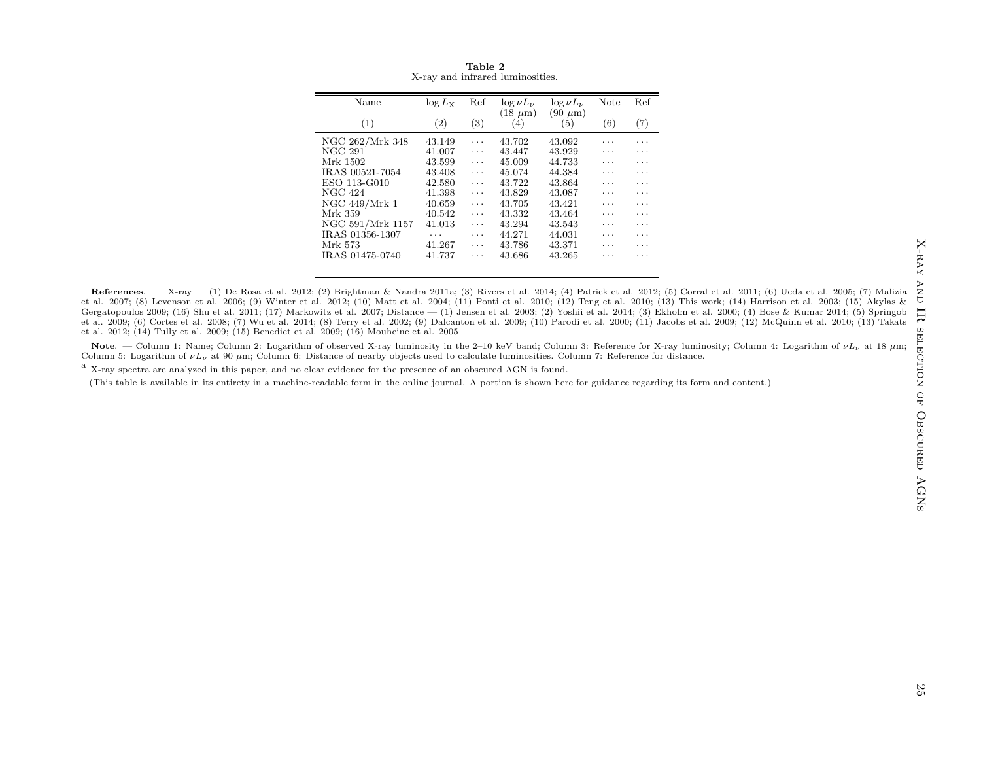| Name             | $\log L_{\rm X}$ | Ref | $\log \nu L_{\nu}$  | $\log \nu L_{\nu}$  | Note | Ref |
|------------------|------------------|-----|---------------------|---------------------|------|-----|
| (1)              | (2)              | (3) | $(18 \mu m)$<br>(4) | $(90 \mu m)$<br>(5) | (6)  | (7) |
| NGC 262/Mrk 348  | 43.149           | .   | 43.702              | 43.092              | .    |     |
| NGC 291          | 41.007           | .   | 43.447              | 43.929              | .    | .   |
| Mrk 1502         | 43.599           | .   | 45.009              | 44.733              | .    | .   |
| IRAS 00521-7054  | 43.408           | .   | 45.074              | 44.384              | .    | .   |
| ESO 113-G010     | 42.580           | .   | 43.722              | 43.864              | .    | .   |
| NGC 424          | 41.398           | .   | 43.829              | 43.087              | .    | .   |
| NGC 449/Mrk 1    | 40.659           | .   | 43.705              | 43.421              | .    | .   |
| Mrk 359          | 40.542           | .   | 43.332              | 43.464              | .    | .   |
| NGC 591/Mrk 1157 | 41.013           | .   | 43.294              | 43.543              | .    | .   |
| IRAS 01356-1307  | .                | .   | 44.271              | 44.031              | .    | .   |
| Mrk 573          | 41.267           | .   | 43.786              | 43.371              | .    | .   |
| IRAS 01475-0740  | 41.737           | .   | 43.686              | 43.265              | .    |     |
|                  |                  |     |                     |                     |      |     |

<span id="page-24-0"></span>Table <sup>2</sup>X-ray and infrared luminosities.

References. — X-ray — (1) De Rosa et al. 2012; (2) Brightman & Nandra 2011a; (3) Rivers et al. 2014; (4) Patrick et al. 2012; (5) Corral et al. 2011; (6) Ueda et al. 2005; (7) Malizia et al. 2007; (8) Levenson et al. 2006; (9) Winter et al. 2012; (10) Matt et al. 2004; (11) Ponti et al. 2010; (12) Teng et al. 2010; (13) This work; (14) Harrison et al. 2003; (15) Akylas & Gergatopoulos 2009; (16) Shu et al. 2011; (17) Markowitz et al. 2007; Distance — (1) Jensen et al. 2003; (2) Yoshii et al. 2014; (3) Ekholm et al. 2000; (4) Bose & Kumar 2014; (5) Springob et al. 2009; (6) Cortes et al. 2008; (7) Wu et al. 2014; (8) Terry et al. 2002; (9) Dalcanton et al. 2009; (10) Parodi et al. 2000; (11) Jacobs et al. 2009; (12) McQuinn et al. 2010; (13) Takats et al. 2012; (14) Tully et al. 2009; (15) Benedict et al. 2009; (16) Mouhcine et al. <sup>2005</sup>

Note. — Column 1: Name; Column 2: Logarithm of observed X-ray luminosity in the 2–10 keV band; Column 3: Reference for X-ray luminosity; Column 4: Logarithm of  $\nu L_{\nu}$  at 18  $\mu$ m; Column 5: Logarithm of  $\nu L_{\nu}$  at 90  $\mu$ m; Column 6: Distance of nearby objects used to calculate luminosities. Column 7: Reference for distance.

<sup>a</sup> X-ray spectra are analyzed in this paper, and no clear evidence for the presence of an obscured AGN is found.

(This table is available in its entirety in <sup>a</sup> machine-readable form in the online journal. <sup>A</sup> portion is shown here for guidance regarding its form and content.)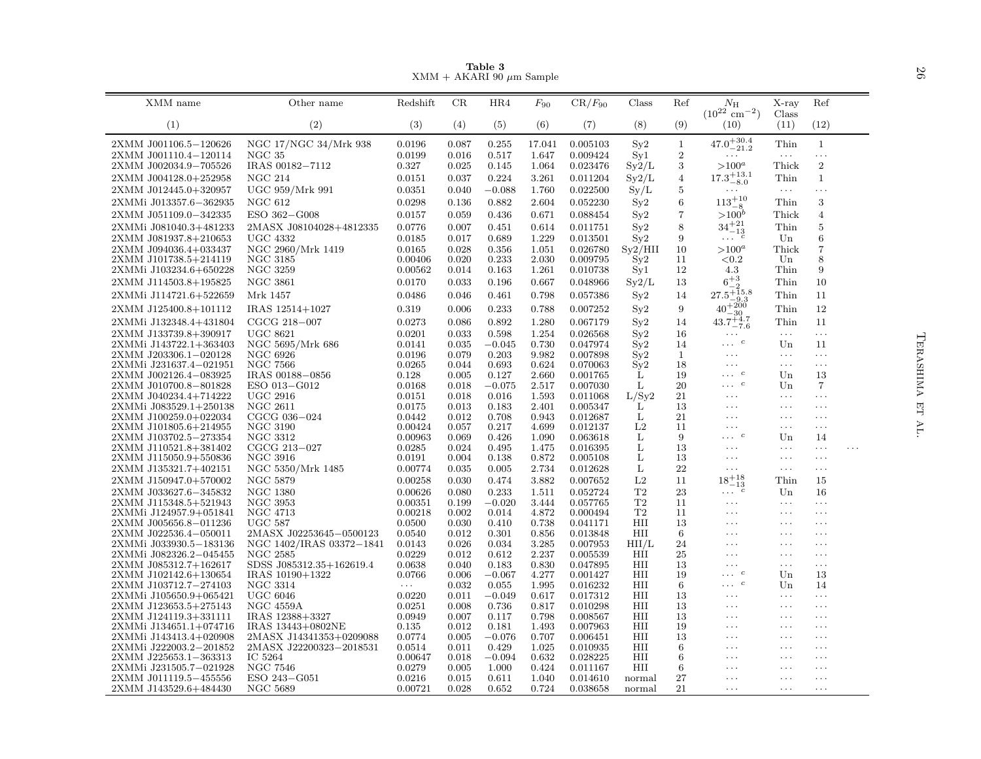|                                                 |                                             |                       |                | Table 3<br>$XMM + AKARI 90 \mu m$ Sample |                 |                      |            |                                |                                                                       |                         |                          |   | 97              |
|-------------------------------------------------|---------------------------------------------|-----------------------|----------------|------------------------------------------|-----------------|----------------------|------------|--------------------------------|-----------------------------------------------------------------------|-------------------------|--------------------------|---|-----------------|
| XMM name                                        | Other name                                  | Redshift              | CR             | HR4                                      | $F_{90}$        | $CR/F_{90}$          | Class      | Ref                            | $N_{\rm H}$<br>$(10^{22}$ cm <sup>-2</sup> )                          | X-ray                   | Ref                      |   |                 |
| (1)                                             | (2)                                         | (3)                   | (4)            | (5)                                      | (6)             | (7)                  | (8)        | (9)                            | (10)                                                                  | Class<br>(11)           | (12)                     |   |                 |
| 2XMM J001106.5-120626<br>2XMM J001110.4-120114  | NGC 17/NGC 34/Mrk 938<br>NGC <sub>35</sub>  | 0.0196<br>0.0199      | 0.087<br>0.016 | 0.255<br>0.517                           | 17.041<br>1.647 | 0.005103<br>0.009424 | Sy2<br>Sv1 | $\mathbf{1}$<br>$\overline{2}$ | $47.0^{+30.4}_{-21.2}$<br>$\ldots$ .                                  | Thin<br>$\ldots$        | $\mathbf{1}$<br>$\ldots$ |   |                 |
| 2XMM J002034.9-705526                           | IRAS 00182-7112                             | 0.327                 | 0.025          | 0.145                                    | 1.064           | 0.023476             | Sy2/L      | 3                              | $>100^a$                                                              | Thick                   | $\overline{2}$           |   |                 |
| 2XMM J004128.0+252958                           | <b>NGC 214</b>                              | 0.0151                | 0.037          | 0.224                                    | 3.261           | 0.011204             | Sy2/L      | $\overline{4}$                 | $17.3^{+13.1}_{-8.0}$                                                 | Thin                    | $\mathbf{1}$             |   |                 |
| 2XMM J012445.0+320957                           | UGC 959/Mrk 991                             | 0.0351                | 0.040          | $-0.088$                                 | 1.760           | 0.022500             | $S_y/L$    | 5                              | $\ldots$                                                              | $\ldots$                | $\ldots$                 |   |                 |
| 2XMMi J013357.6-362935                          | NGC 612                                     | 0.0298                | 0.136          | 0.882                                    | 2.604           | 0.052230             | Sy2        | 6                              | $113^{+10}_{-8}$                                                      | Thin                    | 3                        |   |                 |
| 2XMM J051109.0-342335                           | ESO 362-G008                                | 0.0157                | 0.059          | 0.436                                    | 0.671           | 0.088454             | Sy2        | $\overline{7}$                 | $> 100^b$                                                             | Thick                   | $\overline{4}$           |   |                 |
| 2XMMi J081040.3+481233                          | 2MASX J08104028+4812335                     | 0.0776                | 0.007          | 0.451                                    | 0.614           | 0.011751             | Sy2        | 8                              | $34^{+21}_{-13}$                                                      | Thin                    | $\overline{5}$           |   |                 |
| 2XMM J081937.8+210653                           | <b>UGC 4332</b>                             | 0.0185                | 0.017          | 0.689                                    | 1.229           | 0.013501             | Sy2        | 9                              | $\cdots$ $\cdots$                                                     | Un                      | $\,6\,$                  |   |                 |
| 2XMM J094036.4+033437                           | NGC 2960/Mrk 1419                           | 0.0165                | 0.028          | 0.356                                    | 1.051           | 0.026780             | Sy2/HII    | 10                             | $>100^a$                                                              | Thick                   | $\overline{7}$           |   |                 |
| 2XMM J101738.5+214119<br>2XMMi J103234.6+650228 | NGC 3185<br>NGC 3259                        | 0.00406<br>0.00562    | 0.020<br>0.014 | 0.233<br>0.163                           | 2.030<br>1.261  | 0.009795<br>0.010738 | Sv2<br>Syl | 11<br>12                       | ${<}0.2$<br>4.3                                                       | Un<br>Thin              | 8<br>9                   |   |                 |
| 2XMM J114503.8+195825                           | NGC 3861                                    | 0.0170                | 0.033          | 0.196                                    | 0.667           | 0.048966             | Sy2/L      | 13                             | $6^{+3}_{-2}$                                                         | Thin                    | 10                       |   |                 |
| 2XMMi J114721.6+522659                          | Mrk 1457                                    | 0.0486                | 0.046          | 0.461                                    | 0.798           | 0.057386             | $S_y2$     | 14                             | $27.5^{+15.8}_{-9.3}$                                                 | Thin                    | 11                       |   |                 |
| 2XMM J125400.8+101112                           | IRAS 12514+1027                             | 0.319                 | 0.006          | 0.233                                    | 0.788           | 0.007252             | Sy2        | 9                              | $40^{+200}_{-30}$                                                     | Thin                    | 12                       |   |                 |
| 2XMMi J132348.4+431804                          | CGCG 218-007                                | 0.0273                | 0.086          | 0.892                                    | 1.280           | 0.067179             | $S_y2$     | 14                             | $43.7^{+4.7}_{-7.6}$                                                  | Thin                    | 11                       |   |                 |
| 2XMM J133739.8+390917                           | <b>UGC 8621</b>                             | 0.0201                | 0.033          | 0.598                                    | 1.254           | 0.026568             | Sy2        | 16                             | $\ldots$                                                              | $\ldots$ .              | $\ldots$ .               |   |                 |
| 2XMMi J143722.1+363403                          | NGC 5695/Mrk 686                            | 0.0141                | 0.035          | $-0.045$                                 | 0.730           | 0.047974             | Sy2        | 14                             | $\cdots$ $c$                                                          | Un                      | 11                       |   |                 |
| 2XMM J203306.1-020128                           | NGC 6926                                    | 0.0196                | 0.079          | 0.203                                    | 9.982           | 0.007898             | $S_y2$     | $\mathbf{1}$                   | $\cdots$                                                              | $\ldots$                | $\ldots$                 |   |                 |
| 2XMMi J231637.4-021951                          | <b>NGC 7566</b>                             | 0.0265                | 0.044          | 0.693                                    | 0.624           | 0.070063             | Sy2        | 18                             | $\cdots$                                                              | $\ldots$                | $\ldots$                 |   |                 |
| 2XMM J002126.4-083925                           | IRAS 00188-0856                             | 0.128                 | 0.005          | 0.127                                    | 2.660           | 0.001765             | L          | 19                             | $\cdots$ <sup>c</sup>                                                 | Un                      | 13                       |   |                 |
| 2XMM J010700.8-801828                           | ESO 013-G012                                | 0.0168                | 0.018          | $-0.075$                                 | 2.517           | 0.007030             | L          | 20<br>21                       | $\ldots \; \cdot \; c$                                                | Un                      | 7                        |   | <b>ERASHIMA</b> |
| 2XMM J040234.4+714222<br>2XMMi J083529.1+250138 | <b>UGC 2916</b><br><b>NGC 2611</b>          | 0.0151<br>0.0175      | 0.018<br>0.013 | 0.016<br>0.183                           | 1.593<br>2.401  | 0.011068<br>0.005347 | L/Sy2<br>L | 13                             | $\cdots$<br>$\ldots$                                                  | $\ldots$<br>$\cdots$    | $\ldots$<br>$\ldots$     |   |                 |
| 2XMM J100259.0+022034                           | CGCG 036-024                                | 0.0442                | 0.012          | 0.708                                    | 0.943           | 0.012687             | L          | 21                             | $\cdots$                                                              | $\cdots$                | $\ldots$                 |   | 呂               |
| 2XMM J101805.6+214955                           | NGC 3190                                    | 0.00424               | 0.057          | 0.217                                    | 4.699           | 0.012137             | L2         | 11                             | $\cdots$                                                              | $\cdots$                | $\ldots$                 |   |                 |
| 2XMM J103702.5-273354                           | NGC 3312                                    | 0.00963               | 0.069          | 0.426                                    | 1.090           | 0.063618             | L          | 9                              | $\cdots$ $c$                                                          | Un                      | 14                       |   |                 |
| 2XMM J110521.8+381402                           | CGCG 213-027                                | 0.0285                | 0.024          | 0.495                                    | 1.475           | 0.016395             | L          | 13                             | $\ddots$                                                              | $\cdots$                | $\ldots$                 | . |                 |
| 2XMM J115050.9+550836                           | NGC 3916                                    | 0.0191                | 0.004          | 0.138                                    | 0.872           | 0.005108             | L          | 13                             | $\ldots$                                                              | $\ldots$                | $\ldots$                 |   |                 |
| 2XMM J135321.7+402151                           | NGC 5350/Mrk 1485                           | 0.00774               | 0.035          | 0.005                                    | 2.734           | 0.012628             | L          | 22                             | $\cdots$                                                              | $\ldots$                | $\cdots$                 |   |                 |
| 2XMM J150947.0+570002                           | NGC 5879                                    | 0.00258               | 0.030          | 0.474                                    | 3.882           | 0.007652             | L2         | 11                             | $\mathbf{18^{+18}_{-13}}$<br>$\sim$ $\sim$ $\sim$<br>$\boldsymbol{c}$ | Thin                    | 15                       |   |                 |
| 2XMM J033627.6-345832<br>2XMM J115348.5+521943  | <b>NGC 1380</b><br>NGC 3953                 | 0.00626<br>0.00351    | 0.080<br>0.199 | 0.233<br>$-0.020$                        | 1.511<br>3.444  | 0.052724<br>0.057765 | T2<br>T2   | 23<br>11                       | $\sim$ $\sim$ $\sim$                                                  | Un<br>$\cdots$          | 16<br>$\ldots$           |   |                 |
| 2XMMi J124957.9+051841                          | NGC 4713                                    | 0.00218               | 0.002          | 0.014                                    | 4.872           | 0.000494             | T2         | 11                             | $\ldots$                                                              | $\ldots$                | $\ldots$                 |   |                 |
| 2XMM J005656.8-011236                           | <b>UGC 587</b>                              | 0.0500                | 0.030          | 0.410                                    | 0.738           | 0.041171             | HII        | 13                             | $\cdots$                                                              | $\cdots$                | $\cdots$                 |   |                 |
| 2XMM J022536.4-050011                           | 2MASX J02253645-0500123                     | 0.0540                | 0.012          | 0.301                                    | 0.856           | 0.013848             | HII        | 6                              | $\cdots$                                                              | $\cdots$                | $\ldots$                 |   |                 |
| 2XMMi J033930.5-183136                          | NGC 1402/IRAS 03372-1841                    | 0.0143                | 0.026          | 0.034                                    | 3.285           | 0.007953             | HII/L      | 24                             | $\cdots$                                                              | $\cdots$                | $\cdots$                 |   |                 |
| 2XMMi J082326.2-045455                          | NGC 2585                                    | 0.0229                | 0.012          | 0.612                                    | 2.237           | 0.005539             | HII        | 25                             | $\cdots$                                                              | $\cdots$                | $\ldots$                 |   |                 |
| 2XMM J085312.7+162617<br>2XMM J102142.6+130654  | SDSS J085312.35+162619.4<br>IRAS 10190+1322 | 0.0638<br>0.0766      | 0.040<br>0.006 | 0.183<br>$-0.067$                        | 0.830<br>4.277  | 0.047895<br>0.001427 | HII<br>HII | 13<br>19                       | $\ddots$<br>$\cdots$ $\cdots$                                         | $\cdots$<br>$_{\rm Un}$ | $\cdots$<br>13           |   |                 |
| 2XMM J103712.7-274103                           | <b>NGC 3314</b>                             | $\sim 100$ km $^{-1}$ | 0.032          | 0.055                                    | 1.995           | 0.016232             | HII        | 6                              | $\cdots$ $\cdot$                                                      | Un                      | 14                       |   |                 |
| 2XMMi J105650.9+065421                          | <b>UGC 6046</b>                             | 0.0220                | 0.011          | $-0.049$                                 | 0.617           | 0.017312             | HII        | 13                             | $\ddots$                                                              | $\ldots$                | $\ldots$                 |   |                 |
| 2XMM J123653.5+275143                           | <b>NGC 4559A</b>                            | 0.0251                | 0.008          | 0.736                                    | 0.817           | 0.010298             | HII        | 13                             | $\ldots$                                                              | $\ldots$                | $\ldots$                 |   |                 |
| 2XMM J124119.3+331111                           | IRAS 12388+3327                             | 0.0949                | 0.007          | 0.117                                    | 0.798           | 0.008567             | HII        | 13                             | $\cdots$                                                              | $\cdots$                | $\cdots$                 |   |                 |
| 2XMMi J134651.1+074716                          | IRAS 13443+0802NE                           | 0.135                 | 0.012          | 0.181                                    | 1.493           | 0.007963             | HII        | 19                             | $\cdots$                                                              | $\cdots$                | $\cdots$                 |   |                 |
| 2XMMi J143413.4+020908                          | 2MASX J14341353+0209088                     | 0.0774                | 0.005          | $-0.076$                                 | 0.707           | 0.006451             | HII<br>HII | 13                             | $\cdots$<br>$\cdots$                                                  | $\cdots$                | $\cdots$<br>$\cdots$     |   |                 |
| 2XMMi J222003.2-201852<br>2XMM J225653.1-363313 | 2MASX J22200323-2018531<br>IC 5264          | 0.0514<br>0.00647     | 0.011<br>0.018 | 0.429<br>$-0.094$                        | 1.025<br>0.632  | 0.010935<br>0.028225 | HII        | 6<br>6                         | $\cdots$                                                              | $\cdots$<br>$\cdots$    | $\ldots$                 |   |                 |
| 2XMMi J231505.7-021928                          | NGC 7546                                    | 0.0279                | 0.005          | 1.000                                    | 0.424           | 0.011167             | HII        | 6                              | .                                                                     | $\cdots$                | $\cdots$                 |   |                 |
| 2XMM J011119.5-455556                           | ESO 243-G051                                | 0.0216                | 0.015          | 0.611                                    | 1.040           | 0.014610             | normal     | 27                             | $\cdots$                                                              | $\cdots$                | $\ldots$                 |   |                 |
| 2XMM J143529.6+484430                           | NGC 5689                                    | 0.00721               | 0.028          | 0.652                                    | 0.724           | 0.038658             | normal     | 21                             | $\ldots$                                                              | $\ldots$                | $\cdots$                 |   |                 |

<span id="page-25-0"></span> ${\bf Table ~3} \label{eq:subd}$  XMM + AKARI 90  $\mu \mathrm{m}$  Sample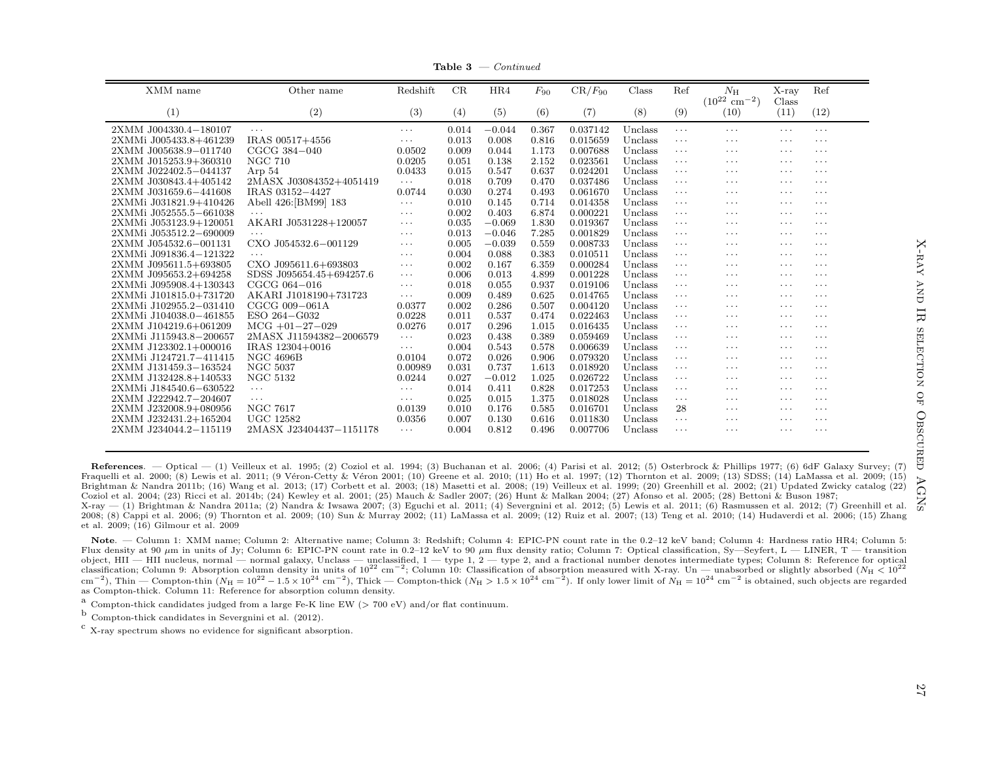**Table 3**  $\rightarrow$  *Continued* 

| (1)<br>(2)<br>(3)<br>(4)<br>(5)<br>(6)<br>(7)<br>(9)<br>(11)<br>(12)<br>(8)<br>(10)<br>2XMM J004330.4-180107<br>0.014<br>0.367<br>0.037142<br>Unclass<br>$-0.044$<br>$\cdots$<br>$\cdots$<br>$\cdots$<br>$\cdots$<br>$\cdots$<br>$\cdots$<br>IRAS 00517+4556<br>0.013<br>0.008<br>0.816<br>0.015659<br>2XMMi J005433.8+461239<br>Unclass<br>$\cdots$<br>$\cdots$<br>$\cdots$<br>$\cdots$<br>$\cdots$<br>2XMM J005638.9-011740<br>CGCG 384-040<br>0.0502<br>0.009<br>0.044<br>1.173<br>0.007688<br>Unclass<br>$\cdots$<br>$\cdots$<br>$\cdots$<br>$\cdots$<br><b>NGC 710</b><br>2XMM J015253.9+360310<br>0.0205<br>0.051<br>0.138<br>2.152<br>0.023561<br>Unclass<br>$\cdots$<br>$\cdots$<br>$\cdots$<br>$\cdots$<br>0.637<br>2XMM J022402.5-044137<br>Arp 54<br>0.0433<br>0.015<br>0.547<br>0.024201<br>Unclass<br>$\cdots$<br>$\cdots$<br>$\cdots$<br>$\cdots$<br>2MASX J03084352+4051419<br>Unclass<br>2XMM J030843.4+405142<br>0.018<br>0.709<br>0.470<br>0.037486<br>$\cdots$<br>$\cdots$<br>$\cdots$<br>$\cdots$<br>$\cdots$<br>0.0744<br>0.030<br>0.274<br>0.061670<br>Unclass<br>2XMM J031659.6-441608<br>IRAS 03152-4427<br>0.493<br>$\cdots$<br>$\cdots$<br>$\cdots$<br>$\cdots$<br>Abell 426: [BM99] 183<br>2XMMi J031821.9+410426<br>0.010<br>0.145<br>0.714<br>0.014358<br>Unclass<br>$\cdots$<br>$\cdots$<br>$\cdots$<br>$\cdots$<br>$\cdots$<br>0.002<br>0.403<br>0.000221<br>Unclass<br>2XMMi J052555.5-661038<br>6.874<br>$\cdots$<br>$\cdots$<br>$\cdots$<br>$\cdots$<br>$\cdots$<br>$\cdots$<br>2XMMi J053123.9+120051<br>AKARI J0531228+120057<br>0.035<br>$-0.069$<br>1.830<br>0.019367<br>Unclass<br>$\cdots$<br>$\cdots$<br>$\cdots$<br>$\cdots$<br>$\cdots$<br>0.013<br>2XMMi J053512.2-690009<br>$-0.046$<br>7.285<br>0.001829<br>Unclass<br>$\cdots$<br>$\cdots$<br>.<br>$\cdots$<br>$\cdots$<br>$\cdots$<br>2XMM J054532.6-001131<br>CXO J054532.6-001129<br>0.005<br>$-0.039$<br>0.559<br>0.008733<br>Unclass<br>$\cdots$<br>$\cdots$<br>$\cdots$<br>$\cdots$<br>$\cdots$<br>2XMMi J091836.4-121322<br>0.004<br>0.088<br>0.383<br>0.010511<br>Unclass<br>$\cdots$<br>$\cdots$<br>$\cdots$<br>$\cdots$<br>$\cdots$<br>$\cdots$<br>2XMM J095611.5+693805<br>CXO J095611.6+693803<br>0.002<br>0.167<br>6.359<br>Unclass<br>0.000284<br>$\cdots$<br>$\cdots$<br>$\cdots$<br>$\cdots$<br>$\cdots$<br>0.006<br>2XMM J095653.2+694258<br>0.013<br>4.899<br>0.001228<br>Unclass<br>SDSS J095654.45+694257.6<br>$\cdots$<br>$\cdots$<br>$\cdots$<br>$\cdots$<br>$\cdots$<br>0.055<br>2XMMi J095908.4+130343<br>CGCG 064-016<br>0.018<br>0.937<br>0.019106<br>Unclass<br>$\cdots$<br>$\cdots$<br>$\cdots$<br>$\cdots$<br>$\cdots$<br>2XMMi J101815.0+731720<br>AKARI J1018190+731723<br>0.009<br>0.489<br>0.625<br>Unclass<br>0.014765<br>$\cdots$<br>$\cdots$<br>$\cdots$<br>$\cdots$<br>$\cdots$<br>CGCG 009-061A<br>0.002<br>2XMMi J102955.2-031410<br>0.0377<br>0.286<br>0.507<br>0.004120<br>Unclass<br>$\cdots$<br>$\cdots$<br>$\cdots$<br>$\cdots$<br>2XMMi J104038.0-461855<br>ESO 264-G032<br>0.0228<br>0.011<br>0.537<br>0.022463<br>Unclass<br>0.474<br>$\cdots$<br>$\cdots$<br>$\cdots$<br>$\cdots$<br>$MCG +01-27-029$<br>0.0276<br>0.296<br>Unclass<br>2XMM J104219.6+061209<br>0.017<br>1.015<br>0.016435<br>$\cdots$<br>$\cdots$<br>$\cdots$<br>$\cdots$<br>2XMMi J115943.8-200657<br>2MASX J11594382-2006579<br>0.023<br>0.438<br>0.389<br>Unclass<br>0.059469<br>$\cdots$<br>$\cdots$<br>$\cdots$<br>$\cdots$<br>$\cdots$<br>2XMM J123302.1+000016<br>IRAS 12304+0016<br>0.004<br>0.543<br>0.578<br>0.006639<br>Unclass<br>$\cdots$<br>$\cdots$<br>$\cdots$<br>$\cdots$<br>$\cdots$<br><b>NGC 4696B</b><br>0.072<br>0.026<br>0.906<br>2XMMi J124721.7-411415<br>0.0104<br>0.079320<br>Unclass<br>$\cdots$<br>$\cdots$<br>$\cdots$<br>$\cdots$<br>0.737<br><b>NGC 5037</b><br>0.031<br>1.613<br>Unclass<br>2XMM J131459.3-163524<br>0.00989<br>0.018920<br>$\cdots$<br>$\cdots$<br>$\cdots$<br>$\cdots$<br><b>NGC 5132</b><br>2XMM J132428.8+140533<br>0.0244<br>0.027<br>$-0.012$<br>1.025<br>0.026722<br>Unclass<br>$\cdots$<br>$\cdots$<br>$\cdots$<br>$\cdots$<br>0.828<br>2XMMi J184540.6-630522<br>0.014<br>0.411<br>0.017253<br>Unclass<br>$\cdots$<br>$\cdots$<br>$\cdots$<br>$\cdots$<br>$\cdots$<br>$\cdots$<br>2XMM J222942.7-204607<br>0.025<br>0.015<br>1.375<br>0.018028<br>Unclass<br>$\cdots$<br>$\cdots$<br>$\cdots$<br>$\cdots$<br>$\cdots$<br>$\cdots$<br><b>NGC 7617</b><br>2XMM J232008.9+080956<br>0.0139<br>0.010<br>0.176<br>0.016701<br>28<br>0.585<br>Unclass<br>$\cdots$<br>$\cdots$<br>$\cdots$ | XMM name              | Other name       | Redshift | CR    | HR4   | $F_{90}$ | $CR/F_{90}$ | Class   | Ref      | $N_{\rm H}$<br>$(10^{22}$ cm <sup>-2</sup> ) | $X-ray$<br>Class | Ref      |
|---------------------------------------------------------------------------------------------------------------------------------------------------------------------------------------------------------------------------------------------------------------------------------------------------------------------------------------------------------------------------------------------------------------------------------------------------------------------------------------------------------------------------------------------------------------------------------------------------------------------------------------------------------------------------------------------------------------------------------------------------------------------------------------------------------------------------------------------------------------------------------------------------------------------------------------------------------------------------------------------------------------------------------------------------------------------------------------------------------------------------------------------------------------------------------------------------------------------------------------------------------------------------------------------------------------------------------------------------------------------------------------------------------------------------------------------------------------------------------------------------------------------------------------------------------------------------------------------------------------------------------------------------------------------------------------------------------------------------------------------------------------------------------------------------------------------------------------------------------------------------------------------------------------------------------------------------------------------------------------------------------------------------------------------------------------------------------------------------------------------------------------------------------------------------------------------------------------------------------------------------------------------------------------------------------------------------------------------------------------------------------------------------------------------------------------------------------------------------------------------------------------------------------------------------------------------------------------------------------------------------------------------------------------------------------------------------------------------------------------------------------------------------------------------------------------------------------------------------------------------------------------------------------------------------------------------------------------------------------------------------------------------------------------------------------------------------------------------------------------------------------------------------------------------------------------------------------------------------------------------------------------------------------------------------------------------------------------------------------------------------------------------------------------------------------------------------------------------------------------------------------------------------------------------------------------------------------------------------------------------------------------------------------------------------------------------------------------------------------------------------------------------------------------------------------------------------------------------------------------------------------------------------------------------------------------------------------------------------------------------------------------------------------------------------------------------------------------------------------------------------------------------------------------------------------------------------------------------------------------------------------------------------------------------------------------------------------------------------------------------------------------------------------------------------------------------------------------------------------------------------------------------------------------------------------------|-----------------------|------------------|----------|-------|-------|----------|-------------|---------|----------|----------------------------------------------|------------------|----------|
|                                                                                                                                                                                                                                                                                                                                                                                                                                                                                                                                                                                                                                                                                                                                                                                                                                                                                                                                                                                                                                                                                                                                                                                                                                                                                                                                                                                                                                                                                                                                                                                                                                                                                                                                                                                                                                                                                                                                                                                                                                                                                                                                                                                                                                                                                                                                                                                                                                                                                                                                                                                                                                                                                                                                                                                                                                                                                                                                                                                                                                                                                                                                                                                                                                                                                                                                                                                                                                                                                                                                                                                                                                                                                                                                                                                                                                                                                                                                                                                                                                                                                                                                                                                                                                                                                                                                                                                                                                                                                                                                                               |                       |                  |          |       |       |          |             |         |          |                                              |                  |          |
|                                                                                                                                                                                                                                                                                                                                                                                                                                                                                                                                                                                                                                                                                                                                                                                                                                                                                                                                                                                                                                                                                                                                                                                                                                                                                                                                                                                                                                                                                                                                                                                                                                                                                                                                                                                                                                                                                                                                                                                                                                                                                                                                                                                                                                                                                                                                                                                                                                                                                                                                                                                                                                                                                                                                                                                                                                                                                                                                                                                                                                                                                                                                                                                                                                                                                                                                                                                                                                                                                                                                                                                                                                                                                                                                                                                                                                                                                                                                                                                                                                                                                                                                                                                                                                                                                                                                                                                                                                                                                                                                                               |                       |                  |          |       |       |          |             |         |          |                                              |                  |          |
|                                                                                                                                                                                                                                                                                                                                                                                                                                                                                                                                                                                                                                                                                                                                                                                                                                                                                                                                                                                                                                                                                                                                                                                                                                                                                                                                                                                                                                                                                                                                                                                                                                                                                                                                                                                                                                                                                                                                                                                                                                                                                                                                                                                                                                                                                                                                                                                                                                                                                                                                                                                                                                                                                                                                                                                                                                                                                                                                                                                                                                                                                                                                                                                                                                                                                                                                                                                                                                                                                                                                                                                                                                                                                                                                                                                                                                                                                                                                                                                                                                                                                                                                                                                                                                                                                                                                                                                                                                                                                                                                                               |                       |                  |          |       |       |          |             |         |          |                                              |                  |          |
|                                                                                                                                                                                                                                                                                                                                                                                                                                                                                                                                                                                                                                                                                                                                                                                                                                                                                                                                                                                                                                                                                                                                                                                                                                                                                                                                                                                                                                                                                                                                                                                                                                                                                                                                                                                                                                                                                                                                                                                                                                                                                                                                                                                                                                                                                                                                                                                                                                                                                                                                                                                                                                                                                                                                                                                                                                                                                                                                                                                                                                                                                                                                                                                                                                                                                                                                                                                                                                                                                                                                                                                                                                                                                                                                                                                                                                                                                                                                                                                                                                                                                                                                                                                                                                                                                                                                                                                                                                                                                                                                                               |                       |                  |          |       |       |          |             |         |          |                                              |                  |          |
|                                                                                                                                                                                                                                                                                                                                                                                                                                                                                                                                                                                                                                                                                                                                                                                                                                                                                                                                                                                                                                                                                                                                                                                                                                                                                                                                                                                                                                                                                                                                                                                                                                                                                                                                                                                                                                                                                                                                                                                                                                                                                                                                                                                                                                                                                                                                                                                                                                                                                                                                                                                                                                                                                                                                                                                                                                                                                                                                                                                                                                                                                                                                                                                                                                                                                                                                                                                                                                                                                                                                                                                                                                                                                                                                                                                                                                                                                                                                                                                                                                                                                                                                                                                                                                                                                                                                                                                                                                                                                                                                                               |                       |                  |          |       |       |          |             |         |          |                                              |                  |          |
|                                                                                                                                                                                                                                                                                                                                                                                                                                                                                                                                                                                                                                                                                                                                                                                                                                                                                                                                                                                                                                                                                                                                                                                                                                                                                                                                                                                                                                                                                                                                                                                                                                                                                                                                                                                                                                                                                                                                                                                                                                                                                                                                                                                                                                                                                                                                                                                                                                                                                                                                                                                                                                                                                                                                                                                                                                                                                                                                                                                                                                                                                                                                                                                                                                                                                                                                                                                                                                                                                                                                                                                                                                                                                                                                                                                                                                                                                                                                                                                                                                                                                                                                                                                                                                                                                                                                                                                                                                                                                                                                                               |                       |                  |          |       |       |          |             |         |          |                                              |                  |          |
|                                                                                                                                                                                                                                                                                                                                                                                                                                                                                                                                                                                                                                                                                                                                                                                                                                                                                                                                                                                                                                                                                                                                                                                                                                                                                                                                                                                                                                                                                                                                                                                                                                                                                                                                                                                                                                                                                                                                                                                                                                                                                                                                                                                                                                                                                                                                                                                                                                                                                                                                                                                                                                                                                                                                                                                                                                                                                                                                                                                                                                                                                                                                                                                                                                                                                                                                                                                                                                                                                                                                                                                                                                                                                                                                                                                                                                                                                                                                                                                                                                                                                                                                                                                                                                                                                                                                                                                                                                                                                                                                                               |                       |                  |          |       |       |          |             |         |          |                                              |                  |          |
|                                                                                                                                                                                                                                                                                                                                                                                                                                                                                                                                                                                                                                                                                                                                                                                                                                                                                                                                                                                                                                                                                                                                                                                                                                                                                                                                                                                                                                                                                                                                                                                                                                                                                                                                                                                                                                                                                                                                                                                                                                                                                                                                                                                                                                                                                                                                                                                                                                                                                                                                                                                                                                                                                                                                                                                                                                                                                                                                                                                                                                                                                                                                                                                                                                                                                                                                                                                                                                                                                                                                                                                                                                                                                                                                                                                                                                                                                                                                                                                                                                                                                                                                                                                                                                                                                                                                                                                                                                                                                                                                                               |                       |                  |          |       |       |          |             |         |          |                                              |                  |          |
|                                                                                                                                                                                                                                                                                                                                                                                                                                                                                                                                                                                                                                                                                                                                                                                                                                                                                                                                                                                                                                                                                                                                                                                                                                                                                                                                                                                                                                                                                                                                                                                                                                                                                                                                                                                                                                                                                                                                                                                                                                                                                                                                                                                                                                                                                                                                                                                                                                                                                                                                                                                                                                                                                                                                                                                                                                                                                                                                                                                                                                                                                                                                                                                                                                                                                                                                                                                                                                                                                                                                                                                                                                                                                                                                                                                                                                                                                                                                                                                                                                                                                                                                                                                                                                                                                                                                                                                                                                                                                                                                                               |                       |                  |          |       |       |          |             |         |          |                                              |                  |          |
|                                                                                                                                                                                                                                                                                                                                                                                                                                                                                                                                                                                                                                                                                                                                                                                                                                                                                                                                                                                                                                                                                                                                                                                                                                                                                                                                                                                                                                                                                                                                                                                                                                                                                                                                                                                                                                                                                                                                                                                                                                                                                                                                                                                                                                                                                                                                                                                                                                                                                                                                                                                                                                                                                                                                                                                                                                                                                                                                                                                                                                                                                                                                                                                                                                                                                                                                                                                                                                                                                                                                                                                                                                                                                                                                                                                                                                                                                                                                                                                                                                                                                                                                                                                                                                                                                                                                                                                                                                                                                                                                                               |                       |                  |          |       |       |          |             |         |          |                                              |                  |          |
|                                                                                                                                                                                                                                                                                                                                                                                                                                                                                                                                                                                                                                                                                                                                                                                                                                                                                                                                                                                                                                                                                                                                                                                                                                                                                                                                                                                                                                                                                                                                                                                                                                                                                                                                                                                                                                                                                                                                                                                                                                                                                                                                                                                                                                                                                                                                                                                                                                                                                                                                                                                                                                                                                                                                                                                                                                                                                                                                                                                                                                                                                                                                                                                                                                                                                                                                                                                                                                                                                                                                                                                                                                                                                                                                                                                                                                                                                                                                                                                                                                                                                                                                                                                                                                                                                                                                                                                                                                                                                                                                                               |                       |                  |          |       |       |          |             |         |          |                                              |                  |          |
|                                                                                                                                                                                                                                                                                                                                                                                                                                                                                                                                                                                                                                                                                                                                                                                                                                                                                                                                                                                                                                                                                                                                                                                                                                                                                                                                                                                                                                                                                                                                                                                                                                                                                                                                                                                                                                                                                                                                                                                                                                                                                                                                                                                                                                                                                                                                                                                                                                                                                                                                                                                                                                                                                                                                                                                                                                                                                                                                                                                                                                                                                                                                                                                                                                                                                                                                                                                                                                                                                                                                                                                                                                                                                                                                                                                                                                                                                                                                                                                                                                                                                                                                                                                                                                                                                                                                                                                                                                                                                                                                                               |                       |                  |          |       |       |          |             |         |          |                                              |                  |          |
|                                                                                                                                                                                                                                                                                                                                                                                                                                                                                                                                                                                                                                                                                                                                                                                                                                                                                                                                                                                                                                                                                                                                                                                                                                                                                                                                                                                                                                                                                                                                                                                                                                                                                                                                                                                                                                                                                                                                                                                                                                                                                                                                                                                                                                                                                                                                                                                                                                                                                                                                                                                                                                                                                                                                                                                                                                                                                                                                                                                                                                                                                                                                                                                                                                                                                                                                                                                                                                                                                                                                                                                                                                                                                                                                                                                                                                                                                                                                                                                                                                                                                                                                                                                                                                                                                                                                                                                                                                                                                                                                                               |                       |                  |          |       |       |          |             |         |          |                                              |                  |          |
|                                                                                                                                                                                                                                                                                                                                                                                                                                                                                                                                                                                                                                                                                                                                                                                                                                                                                                                                                                                                                                                                                                                                                                                                                                                                                                                                                                                                                                                                                                                                                                                                                                                                                                                                                                                                                                                                                                                                                                                                                                                                                                                                                                                                                                                                                                                                                                                                                                                                                                                                                                                                                                                                                                                                                                                                                                                                                                                                                                                                                                                                                                                                                                                                                                                                                                                                                                                                                                                                                                                                                                                                                                                                                                                                                                                                                                                                                                                                                                                                                                                                                                                                                                                                                                                                                                                                                                                                                                                                                                                                                               |                       |                  |          |       |       |          |             |         |          |                                              |                  |          |
|                                                                                                                                                                                                                                                                                                                                                                                                                                                                                                                                                                                                                                                                                                                                                                                                                                                                                                                                                                                                                                                                                                                                                                                                                                                                                                                                                                                                                                                                                                                                                                                                                                                                                                                                                                                                                                                                                                                                                                                                                                                                                                                                                                                                                                                                                                                                                                                                                                                                                                                                                                                                                                                                                                                                                                                                                                                                                                                                                                                                                                                                                                                                                                                                                                                                                                                                                                                                                                                                                                                                                                                                                                                                                                                                                                                                                                                                                                                                                                                                                                                                                                                                                                                                                                                                                                                                                                                                                                                                                                                                                               |                       |                  |          |       |       |          |             |         |          |                                              |                  |          |
|                                                                                                                                                                                                                                                                                                                                                                                                                                                                                                                                                                                                                                                                                                                                                                                                                                                                                                                                                                                                                                                                                                                                                                                                                                                                                                                                                                                                                                                                                                                                                                                                                                                                                                                                                                                                                                                                                                                                                                                                                                                                                                                                                                                                                                                                                                                                                                                                                                                                                                                                                                                                                                                                                                                                                                                                                                                                                                                                                                                                                                                                                                                                                                                                                                                                                                                                                                                                                                                                                                                                                                                                                                                                                                                                                                                                                                                                                                                                                                                                                                                                                                                                                                                                                                                                                                                                                                                                                                                                                                                                                               |                       |                  |          |       |       |          |             |         |          |                                              |                  |          |
|                                                                                                                                                                                                                                                                                                                                                                                                                                                                                                                                                                                                                                                                                                                                                                                                                                                                                                                                                                                                                                                                                                                                                                                                                                                                                                                                                                                                                                                                                                                                                                                                                                                                                                                                                                                                                                                                                                                                                                                                                                                                                                                                                                                                                                                                                                                                                                                                                                                                                                                                                                                                                                                                                                                                                                                                                                                                                                                                                                                                                                                                                                                                                                                                                                                                                                                                                                                                                                                                                                                                                                                                                                                                                                                                                                                                                                                                                                                                                                                                                                                                                                                                                                                                                                                                                                                                                                                                                                                                                                                                                               |                       |                  |          |       |       |          |             |         |          |                                              |                  |          |
|                                                                                                                                                                                                                                                                                                                                                                                                                                                                                                                                                                                                                                                                                                                                                                                                                                                                                                                                                                                                                                                                                                                                                                                                                                                                                                                                                                                                                                                                                                                                                                                                                                                                                                                                                                                                                                                                                                                                                                                                                                                                                                                                                                                                                                                                                                                                                                                                                                                                                                                                                                                                                                                                                                                                                                                                                                                                                                                                                                                                                                                                                                                                                                                                                                                                                                                                                                                                                                                                                                                                                                                                                                                                                                                                                                                                                                                                                                                                                                                                                                                                                                                                                                                                                                                                                                                                                                                                                                                                                                                                                               |                       |                  |          |       |       |          |             |         |          |                                              |                  |          |
|                                                                                                                                                                                                                                                                                                                                                                                                                                                                                                                                                                                                                                                                                                                                                                                                                                                                                                                                                                                                                                                                                                                                                                                                                                                                                                                                                                                                                                                                                                                                                                                                                                                                                                                                                                                                                                                                                                                                                                                                                                                                                                                                                                                                                                                                                                                                                                                                                                                                                                                                                                                                                                                                                                                                                                                                                                                                                                                                                                                                                                                                                                                                                                                                                                                                                                                                                                                                                                                                                                                                                                                                                                                                                                                                                                                                                                                                                                                                                                                                                                                                                                                                                                                                                                                                                                                                                                                                                                                                                                                                                               |                       |                  |          |       |       |          |             |         |          |                                              |                  |          |
|                                                                                                                                                                                                                                                                                                                                                                                                                                                                                                                                                                                                                                                                                                                                                                                                                                                                                                                                                                                                                                                                                                                                                                                                                                                                                                                                                                                                                                                                                                                                                                                                                                                                                                                                                                                                                                                                                                                                                                                                                                                                                                                                                                                                                                                                                                                                                                                                                                                                                                                                                                                                                                                                                                                                                                                                                                                                                                                                                                                                                                                                                                                                                                                                                                                                                                                                                                                                                                                                                                                                                                                                                                                                                                                                                                                                                                                                                                                                                                                                                                                                                                                                                                                                                                                                                                                                                                                                                                                                                                                                                               |                       |                  |          |       |       |          |             |         |          |                                              |                  |          |
|                                                                                                                                                                                                                                                                                                                                                                                                                                                                                                                                                                                                                                                                                                                                                                                                                                                                                                                                                                                                                                                                                                                                                                                                                                                                                                                                                                                                                                                                                                                                                                                                                                                                                                                                                                                                                                                                                                                                                                                                                                                                                                                                                                                                                                                                                                                                                                                                                                                                                                                                                                                                                                                                                                                                                                                                                                                                                                                                                                                                                                                                                                                                                                                                                                                                                                                                                                                                                                                                                                                                                                                                                                                                                                                                                                                                                                                                                                                                                                                                                                                                                                                                                                                                                                                                                                                                                                                                                                                                                                                                                               |                       |                  |          |       |       |          |             |         |          |                                              |                  |          |
|                                                                                                                                                                                                                                                                                                                                                                                                                                                                                                                                                                                                                                                                                                                                                                                                                                                                                                                                                                                                                                                                                                                                                                                                                                                                                                                                                                                                                                                                                                                                                                                                                                                                                                                                                                                                                                                                                                                                                                                                                                                                                                                                                                                                                                                                                                                                                                                                                                                                                                                                                                                                                                                                                                                                                                                                                                                                                                                                                                                                                                                                                                                                                                                                                                                                                                                                                                                                                                                                                                                                                                                                                                                                                                                                                                                                                                                                                                                                                                                                                                                                                                                                                                                                                                                                                                                                                                                                                                                                                                                                                               |                       |                  |          |       |       |          |             |         |          |                                              |                  |          |
|                                                                                                                                                                                                                                                                                                                                                                                                                                                                                                                                                                                                                                                                                                                                                                                                                                                                                                                                                                                                                                                                                                                                                                                                                                                                                                                                                                                                                                                                                                                                                                                                                                                                                                                                                                                                                                                                                                                                                                                                                                                                                                                                                                                                                                                                                                                                                                                                                                                                                                                                                                                                                                                                                                                                                                                                                                                                                                                                                                                                                                                                                                                                                                                                                                                                                                                                                                                                                                                                                                                                                                                                                                                                                                                                                                                                                                                                                                                                                                                                                                                                                                                                                                                                                                                                                                                                                                                                                                                                                                                                                               |                       |                  |          |       |       |          |             |         |          |                                              |                  |          |
|                                                                                                                                                                                                                                                                                                                                                                                                                                                                                                                                                                                                                                                                                                                                                                                                                                                                                                                                                                                                                                                                                                                                                                                                                                                                                                                                                                                                                                                                                                                                                                                                                                                                                                                                                                                                                                                                                                                                                                                                                                                                                                                                                                                                                                                                                                                                                                                                                                                                                                                                                                                                                                                                                                                                                                                                                                                                                                                                                                                                                                                                                                                                                                                                                                                                                                                                                                                                                                                                                                                                                                                                                                                                                                                                                                                                                                                                                                                                                                                                                                                                                                                                                                                                                                                                                                                                                                                                                                                                                                                                                               |                       |                  |          |       |       |          |             |         |          |                                              |                  |          |
|                                                                                                                                                                                                                                                                                                                                                                                                                                                                                                                                                                                                                                                                                                                                                                                                                                                                                                                                                                                                                                                                                                                                                                                                                                                                                                                                                                                                                                                                                                                                                                                                                                                                                                                                                                                                                                                                                                                                                                                                                                                                                                                                                                                                                                                                                                                                                                                                                                                                                                                                                                                                                                                                                                                                                                                                                                                                                                                                                                                                                                                                                                                                                                                                                                                                                                                                                                                                                                                                                                                                                                                                                                                                                                                                                                                                                                                                                                                                                                                                                                                                                                                                                                                                                                                                                                                                                                                                                                                                                                                                                               |                       |                  |          |       |       |          |             |         |          |                                              |                  |          |
|                                                                                                                                                                                                                                                                                                                                                                                                                                                                                                                                                                                                                                                                                                                                                                                                                                                                                                                                                                                                                                                                                                                                                                                                                                                                                                                                                                                                                                                                                                                                                                                                                                                                                                                                                                                                                                                                                                                                                                                                                                                                                                                                                                                                                                                                                                                                                                                                                                                                                                                                                                                                                                                                                                                                                                                                                                                                                                                                                                                                                                                                                                                                                                                                                                                                                                                                                                                                                                                                                                                                                                                                                                                                                                                                                                                                                                                                                                                                                                                                                                                                                                                                                                                                                                                                                                                                                                                                                                                                                                                                                               |                       |                  |          |       |       |          |             |         |          |                                              |                  |          |
|                                                                                                                                                                                                                                                                                                                                                                                                                                                                                                                                                                                                                                                                                                                                                                                                                                                                                                                                                                                                                                                                                                                                                                                                                                                                                                                                                                                                                                                                                                                                                                                                                                                                                                                                                                                                                                                                                                                                                                                                                                                                                                                                                                                                                                                                                                                                                                                                                                                                                                                                                                                                                                                                                                                                                                                                                                                                                                                                                                                                                                                                                                                                                                                                                                                                                                                                                                                                                                                                                                                                                                                                                                                                                                                                                                                                                                                                                                                                                                                                                                                                                                                                                                                                                                                                                                                                                                                                                                                                                                                                                               |                       |                  |          |       |       |          |             |         |          |                                              |                  |          |
|                                                                                                                                                                                                                                                                                                                                                                                                                                                                                                                                                                                                                                                                                                                                                                                                                                                                                                                                                                                                                                                                                                                                                                                                                                                                                                                                                                                                                                                                                                                                                                                                                                                                                                                                                                                                                                                                                                                                                                                                                                                                                                                                                                                                                                                                                                                                                                                                                                                                                                                                                                                                                                                                                                                                                                                                                                                                                                                                                                                                                                                                                                                                                                                                                                                                                                                                                                                                                                                                                                                                                                                                                                                                                                                                                                                                                                                                                                                                                                                                                                                                                                                                                                                                                                                                                                                                                                                                                                                                                                                                                               |                       |                  |          |       |       |          |             |         |          |                                              |                  |          |
|                                                                                                                                                                                                                                                                                                                                                                                                                                                                                                                                                                                                                                                                                                                                                                                                                                                                                                                                                                                                                                                                                                                                                                                                                                                                                                                                                                                                                                                                                                                                                                                                                                                                                                                                                                                                                                                                                                                                                                                                                                                                                                                                                                                                                                                                                                                                                                                                                                                                                                                                                                                                                                                                                                                                                                                                                                                                                                                                                                                                                                                                                                                                                                                                                                                                                                                                                                                                                                                                                                                                                                                                                                                                                                                                                                                                                                                                                                                                                                                                                                                                                                                                                                                                                                                                                                                                                                                                                                                                                                                                                               |                       |                  |          |       |       |          |             |         |          |                                              |                  |          |
|                                                                                                                                                                                                                                                                                                                                                                                                                                                                                                                                                                                                                                                                                                                                                                                                                                                                                                                                                                                                                                                                                                                                                                                                                                                                                                                                                                                                                                                                                                                                                                                                                                                                                                                                                                                                                                                                                                                                                                                                                                                                                                                                                                                                                                                                                                                                                                                                                                                                                                                                                                                                                                                                                                                                                                                                                                                                                                                                                                                                                                                                                                                                                                                                                                                                                                                                                                                                                                                                                                                                                                                                                                                                                                                                                                                                                                                                                                                                                                                                                                                                                                                                                                                                                                                                                                                                                                                                                                                                                                                                                               | 2XMM J232431.2+165204 | <b>UGC 12582</b> | 0.0356   | 0.007 | 0.130 | 0.616    | 0.011830    | Unclass | $\cdots$ | $\cdots$                                     | $\cdots$         | $\cdots$ |
| 2XMM J234044.2-115119<br>2MASX J23404437-1151178<br>0.004<br>0.812<br>0.496<br>0.007706<br>Unclass<br>$\cdots$<br>$\cdots$<br>$\cdots$<br>$\cdots$<br>$\cdots$                                                                                                                                                                                                                                                                                                                                                                                                                                                                                                                                                                                                                                                                                                                                                                                                                                                                                                                                                                                                                                                                                                                                                                                                                                                                                                                                                                                                                                                                                                                                                                                                                                                                                                                                                                                                                                                                                                                                                                                                                                                                                                                                                                                                                                                                                                                                                                                                                                                                                                                                                                                                                                                                                                                                                                                                                                                                                                                                                                                                                                                                                                                                                                                                                                                                                                                                                                                                                                                                                                                                                                                                                                                                                                                                                                                                                                                                                                                                                                                                                                                                                                                                                                                                                                                                                                                                                                                                |                       |                  |          |       |       |          |             |         |          |                                              |                  |          |

References. — Optical — (1) Veilleux et al. 1995; (2) Coziol et al. 1994; (3) Buchanan et al. 2006; (4) Parisi et al. 2012; (5) Osterbrock & Phillips 1977; (6) 6dF Galaxy Survey; (7) Fraquelli et al. 2000; (8) Lewis et al. 2011; (9 Véron-Cetty & Véron 2001; (10) Greene et al. 2010; (11) Ho et al. 1997; (12) Thornton et al. 2009; (13) SDSS; (14) LaMassa et al. 2009; (15) Brightman & Nandra 2011b; (16) Wang et al. 2013; (17) Corbett et al. 2003; (18) Masetti et al. 2008; (19) Veilleux et al. 1999; (20) Greenhill et al. 2002; (21) Updated Zwicky catalog (22) Coziol et al. 2004; (23) Ricci et al. 2014b; (24) Kewley et al. 2001; (25) Mauch & Sadler 2007; (26) Hunt & Malkan 2004; (27) Afonso et al. 2005; (28) Bettoni & Buson 1987;  $X$ -ray  $-$  (1) Brightman & Nandra 2011a; (2) Nandra & Iwsawa 2007; (3) Eguchi et al. 2011; (4) Severgnini et al. 2012; (5) Lewis et al. 2011; (6) Rasmussen et al. 2012; (7) Greenhill et al. 2008; (8) Cappi et al. 2006; (9) Thornton et al. 2009; (10) Sun & Murray 2002; (11) LaMassa et al. 2009; (12) Ruiz et al. 2007; (13) Teng et al. 2010; (14) Hudaverdi et al. 2006; (15) Zhang et al. 2009; (16) Gilmour et al. <sup>2009</sup>

Note. — Column 1: XMM name; Column 2: Alternative name; Column 3: Redshift; Column 4: EPIC-PN count rate in the 0.2–12 keV band; Column 4: Hardness ratio HR4; Column 5: Flux density at 90  $\mu$ m in units of Jy; Column 6: EPIC-PN count rate in 0.2–12 keV to 90  $\mu$ m flux density ratio; Column 7: Optical classification, Sy—Seyfert, L — LINER, T — transition object, HII — HII nucleus, normal — normal galaxy, Unclass — unclassified, 1 — type 1, 2 — type 2, and a fractional number denotes intermediate types; Column 8: Reference for optical classification; Column 9: Absorption c

<sup>a</sup> Compton-thick candidates judged from a large Fe-K line EW ( $> 700$  eV) and/or flat continuum.

b Compton-thick candidates in Severgnini et al. (2012).

c X-ray spectrum shows no evidence for significant absorption.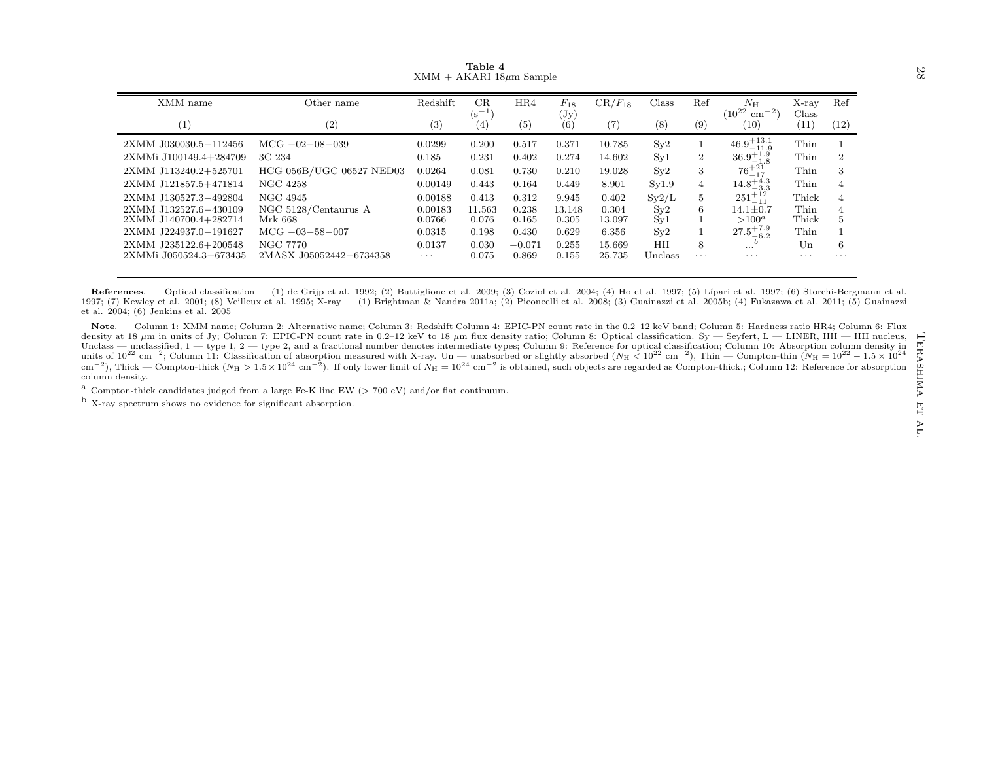|                                                                                                                                                                                                                                                                                                                                                                                                                                                                                                                                                                                                                                                                                                                                                                                                                                                                                                                                                                                                                                                                                                                                                                                                                                                                                                                                                                                                                                                                                                                                                                                                                                                                                                                                                   |                               | $XMM + AKARI$ 18 $\mu$ m Sample | Table 4          |                |                             |                 |            |                |                                            |                |                           | 87                              |
|---------------------------------------------------------------------------------------------------------------------------------------------------------------------------------------------------------------------------------------------------------------------------------------------------------------------------------------------------------------------------------------------------------------------------------------------------------------------------------------------------------------------------------------------------------------------------------------------------------------------------------------------------------------------------------------------------------------------------------------------------------------------------------------------------------------------------------------------------------------------------------------------------------------------------------------------------------------------------------------------------------------------------------------------------------------------------------------------------------------------------------------------------------------------------------------------------------------------------------------------------------------------------------------------------------------------------------------------------------------------------------------------------------------------------------------------------------------------------------------------------------------------------------------------------------------------------------------------------------------------------------------------------------------------------------------------------------------------------------------------------|-------------------------------|---------------------------------|------------------|----------------|-----------------------------|-----------------|------------|----------------|--------------------------------------------|----------------|---------------------------|---------------------------------|
| XMM name                                                                                                                                                                                                                                                                                                                                                                                                                                                                                                                                                                                                                                                                                                                                                                                                                                                                                                                                                                                                                                                                                                                                                                                                                                                                                                                                                                                                                                                                                                                                                                                                                                                                                                                                          | Other name                    | Redshift                        | CR<br>$(s^{-1})$ | HR4            | $F_{18}$<br>$(\mathrm{Jy})$ | $CR/F_{18}$     | Class      | Ref            | $N_{\rm H}$<br>$(10^{22} \text{ cm}^{-2})$ | X-ray<br>Class | Ref                       |                                 |
| (1)                                                                                                                                                                                                                                                                                                                                                                                                                                                                                                                                                                                                                                                                                                                                                                                                                                                                                                                                                                                                                                                                                                                                                                                                                                                                                                                                                                                                                                                                                                                                                                                                                                                                                                                                               | (2)                           | (3)                             | (4)              | (5)            | (6)                         | (7)             | (8)        | (9)            | (10)                                       | (11)           | (12)                      |                                 |
| 2XMM J030030.5-112456                                                                                                                                                                                                                                                                                                                                                                                                                                                                                                                                                                                                                                                                                                                                                                                                                                                                                                                                                                                                                                                                                                                                                                                                                                                                                                                                                                                                                                                                                                                                                                                                                                                                                                                             | $MCG -02 -08 -039$            | 0.0299                          | 0.200            | 0.517          | 0.371                       | 10.785          | Sv2        | 1              | $46.9^{+13.1}_{-11.9}$                     | Thin           |                           |                                 |
| 2XMMi J100149.4+284709                                                                                                                                                                                                                                                                                                                                                                                                                                                                                                                                                                                                                                                                                                                                                                                                                                                                                                                                                                                                                                                                                                                                                                                                                                                                                                                                                                                                                                                                                                                                                                                                                                                                                                                            | 3C 234                        | 0.185                           | 0.231            | 0.402          | 0.274                       | 14.602          | Syl        | $\overline{2}$ | $36.9^{+1.9}_{-1.8}$                       | Thin           | $\overline{2}$            |                                 |
| 2XMM J113240.2+525701                                                                                                                                                                                                                                                                                                                                                                                                                                                                                                                                                                                                                                                                                                                                                                                                                                                                                                                                                                                                                                                                                                                                                                                                                                                                                                                                                                                                                                                                                                                                                                                                                                                                                                                             | HCG 056B/UGC 06527 NED03      | 0.0264                          | 0.081            | 0.730          | 0.210                       | 19.028          | Sy2        | 3              | $76 + 21$                                  | Thin           | 3                         |                                 |
| 2XMM J121857.5+471814                                                                                                                                                                                                                                                                                                                                                                                                                                                                                                                                                                                                                                                                                                                                                                                                                                                                                                                                                                                                                                                                                                                                                                                                                                                                                                                                                                                                                                                                                                                                                                                                                                                                                                                             | NGC 4258                      | 0.00149                         | 0.443            | 0.164          | 0.449                       | 8.901           | Sy1.9      | 4              | $14.8^{+4.3}_{-3.3}$                       | Thin           | $\overline{4}$            |                                 |
| 2XMM J130527.3-492804                                                                                                                                                                                                                                                                                                                                                                                                                                                                                                                                                                                                                                                                                                                                                                                                                                                                                                                                                                                                                                                                                                                                                                                                                                                                                                                                                                                                                                                                                                                                                                                                                                                                                                                             | NGC 4945                      | 0.00188                         | 0.413            | 0.312          | 9.945                       | 0.402           | Sy2/L      | 5              | $251^{+12}_{-11}$                          | Thick          | $\overline{4}$            |                                 |
| 2XMM J132527.6-430109                                                                                                                                                                                                                                                                                                                                                                                                                                                                                                                                                                                                                                                                                                                                                                                                                                                                                                                                                                                                                                                                                                                                                                                                                                                                                                                                                                                                                                                                                                                                                                                                                                                                                                                             | NGC 5128/Centaurus A          | 0.00183                         | 11.563           | 0.238          | 13.148                      | 0.304           | $S_y2$     | 6              | $14.1 \pm 0.7$<br>$>100^a$                 | Thin           | $\overline{4}$<br>$\bf 5$ |                                 |
| 2XMM J140700.4+282714<br>2XMM J224937.0-191627                                                                                                                                                                                                                                                                                                                                                                                                                                                                                                                                                                                                                                                                                                                                                                                                                                                                                                                                                                                                                                                                                                                                                                                                                                                                                                                                                                                                                                                                                                                                                                                                                                                                                                    | Mrk 668<br>$MCG -03 -58 -007$ | 0.0766<br>0.0315                | 0.076<br>0.198   | 0.165<br>0.430 | 0.305<br>0.629              | 13.097<br>6.356 | Syl<br>Sv2 |                | $27.5^{+7.9}_{-6.2}$                       | Thick<br>Thin  |                           |                                 |
| 2XMM J235122.6+200548                                                                                                                                                                                                                                                                                                                                                                                                                                                                                                                                                                                                                                                                                                                                                                                                                                                                                                                                                                                                                                                                                                                                                                                                                                                                                                                                                                                                                                                                                                                                                                                                                                                                                                                             | NGC 7770                      | 0.0137                          | 0.030            | $-0.071$       | 0.255                       | 15.669          | HII        | 8              | $\mathbf{b}$<br>$\cdots$                   | Un             | 6                         |                                 |
| 2XMMi J050524.3-673435                                                                                                                                                                                                                                                                                                                                                                                                                                                                                                                                                                                                                                                                                                                                                                                                                                                                                                                                                                                                                                                                                                                                                                                                                                                                                                                                                                                                                                                                                                                                                                                                                                                                                                                            | 2MASX J05052442-6734358       | $\ldots$ .                      | 0.075            | 0.869          | 0.155                       | 25.735          | Unclass    | $\cdots$       | $\cdots$                                   | $\cdots$       | $\cdots$                  |                                 |
| References. — Optical classification — (1) de Grijp et al. 1992; (2) Buttiglione et al. 2009; (3) Coziol et al. 2004; (4) Ho et al. 1997; (5) Lípari et al. 1997; (6) Storchi-Bergmann et al.<br>1997; (7) Kewley et al. 2001; (8) Veilleux et al. 1995; X-ray - (1) Brightman & Nandra 2011a; (2) Piconcelli et al. 2008; (3) Guainazzi et al. 2005b; (4) Fukazawa et al. 2011; (5) Guainazzi<br>et al. 2004; (6) Jenkins et al. 2005<br>Note. — Column 1: XMM name; Column 2: Alternative name; Column 3: Redshift Column 4: EPIC-PN count rate in the 0.2-12 keV band; Column 5: Hardness ratio HR4; Column 6: Flux<br>density at 18 $\mu$ m in units of Jy; Column 7: EPIC-PN count rate in 0.2-12 keV to 18 $\mu$ m flux density ratio; Column 8: Optical classification. Sy — Seyfert, L — LINER, HII — HII nucleus,<br>Unclass — unclassified, $1 -$ type 1, $2 -$ type 2, and a fractional number denotes intermediate types; Column 9: Reference for optical classification; Column 10: Absorption column density in<br>units of $10^{22}$ cm <sup>-2</sup> ; Column 11: Classification of absorption measured with X-ray. Un — unabsorbed or slightly absorbed $(N_H < 10^{22}$ cm <sup>-2</sup> ), Thin — Compton-thin $(N_H = 10^{22} - 1.5 \times 10^{24}$<br>$\rm{cm^{-2}}$ ), Thick — Compton-thick ( $N_{\rm H} > 1.5 \times 10^{24}$ cm <sup>-2</sup> ). If only lower limit of $N_{\rm H} = 10^{24}$ cm <sup>-2</sup> is obtained, such objects are regarded as Compton-thick; Column 12: Reference for absorption<br>column density.<br><sup>a</sup> Compton-thick candidates judged from a large Fe-K line EW ( $> 700$ eV) and/or flat continuum.<br>$^{\rm b}$ X-ray spectrum shows no evidence for significant absorption. |                               |                                 |                  |                |                             |                 |            |                |                                            |                |                           | TERA:<br><b>ANIHS</b><br>閂<br>Ě |

<span id="page-27-0"></span>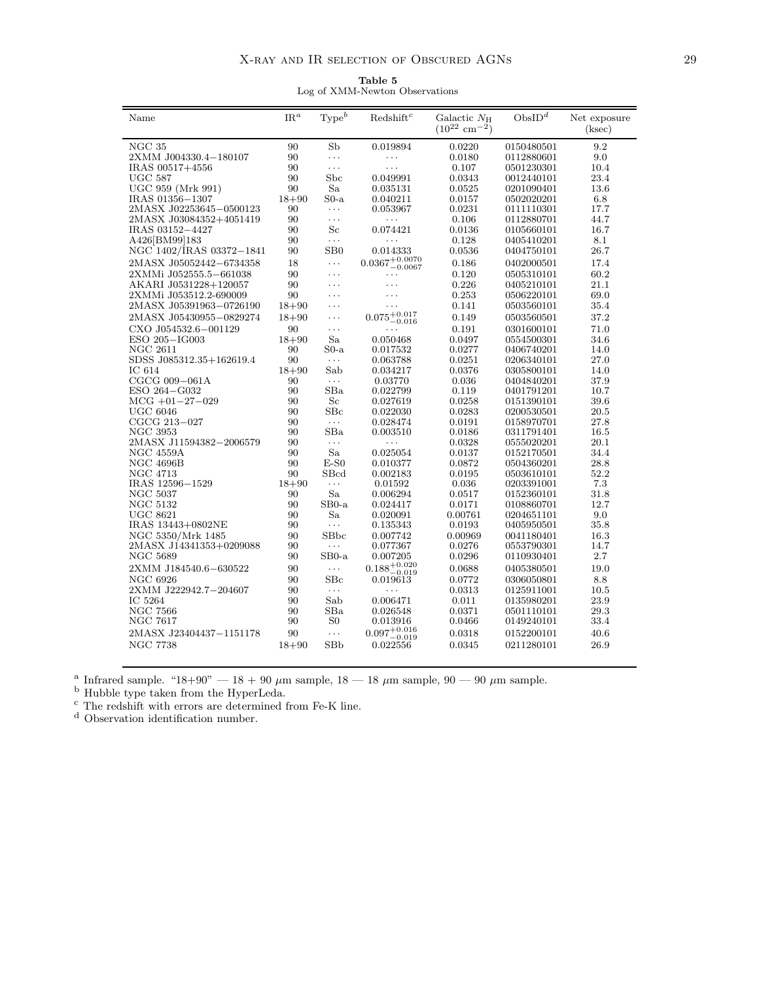Table 5 Log of XMM-Newton Observations

<span id="page-28-0"></span>

| Name                     | $IR^a$    | Type <sup>b</sup>            | Redshift <sup>c</sup>                        | Galactic $N_{\rm H}$          | ObsID <sup>d</sup> | Net exposure |
|--------------------------|-----------|------------------------------|----------------------------------------------|-------------------------------|--------------------|--------------|
|                          |           |                              |                                              | $(10^{22}$ cm <sup>-2</sup> ) |                    | (ksec)       |
|                          |           |                              |                                              |                               |                    |              |
| NGC <sub>35</sub>        | 90        | Sb                           | 0.019894                                     | 0.0220                        | 0150480501         | 9.2          |
| 2XMM J004330.4-180107    | 90        | $\cdots$                     | $\cdots$                                     | 0.0180                        | 0112880601         | 9.0          |
| IRAS 00517+4556          | 90        | .                            | .                                            | 0.107                         | 0501230301         | 10.4         |
| <b>UGC 587</b>           | 90        | Sbc                          | 0.049991                                     | 0.0343                        | 0012440101         | 23.4         |
| UGC 959 (Mrk 991)        | 90        | Sa                           | 0.035131                                     | 0.0525                        | 0201090401         | 13.6         |
| IRAS 01356-1307          | $18 + 90$ | $So-a$                       | 0.040211                                     | 0.0157                        | 0502020201         | 6.8          |
| 2MASX J02253645-0500123  | 90        | $\cdots$                     | 0.053967                                     | 0.0231                        | 0111110301         | 17.7         |
| 2MASX J03084352+4051419  | 90        | $\ldots$                     | $\cdots$                                     | 0.106                         | 0112880701         | 44.7         |
| IRAS 03152-4427          | 90        | $_{\rm Sc}$                  | 0.074421                                     | 0.0136                        | 0105660101         | 16.7         |
| A426[BM99]183            | 90        | $\ldots$                     | $\ldots$                                     | 0.128                         | 0405410201         | 8.1          |
| NGC 1402/IRAS 03372-1841 | 90        | SB0                          | 0.014333                                     | 0.0536                        | 0404750101         | 26.7         |
| 2MASX J05052442-6734358  | 18        | $\ldots$                     | $0.0367\substack{+0.0070\\-0.0067}$          | 0.186                         | 0402000501         | 17.4         |
| 2XMMi J052555.5-661038   | 90        | .                            | .                                            | 0.120                         | 0505310101         | 60.2         |
| AKARI J0531228+120057    | 90        | .                            | .                                            | 0.226                         | 0405210101         | 21.1         |
| 2XMMi J053512.2-690009   | 90        | .                            |                                              | 0.253                         | 0506220101         | 69.0         |
| 2MASX J05391963-0726190  | $18 + 90$ | $\cdots$                     | .                                            | 0.141                         | 0503560101         | 35.4         |
| 2MASX J05430955-0829274  | $18 + 90$ | $\cdots$                     | $0.075\substack{+0.017\\-0.017}$<br>$-0.016$ | 0.149                         | 0503560501         | 37.2         |
| CXO J054532.6-001129     | 90        | $\cdots$                     | .                                            | 0.191                         | 0301600101         | 71.0         |
| ESO 205-IG003            | $18 + 90$ | Sa                           | 0.050468                                     | 0.0497                        | 0554500301         | 34.6         |
| NGC 2611                 | 90        | $So-a$                       | 0.017532                                     | 0.0277                        | 0406740201         | 14.0         |
| SDSS J085312.35+162619.4 | 90        | $\sim$ $\sim$ $\sim$         | 0.063788                                     | 0.0251                        | 0206340101         | 27.0         |
| IC 614                   | $18 + 90$ | Sab                          | 0.034217                                     | 0.0376                        | 0305800101         | 14.0         |
| CGCG 009-061A            | 90        | $\ldots$                     | 0.03770                                      | 0.036                         | 0404840201         | 37.9         |
| ESO 264-G032             | 90        | $_{\rm SBa}$                 | 0.022799                                     | 0.119                         | 0401791201         | 10.7         |
| $MCG +01-27-029$         | 90        | Sc                           | 0.027619                                     | 0.0258                        | 0151390101         | 39.6         |
| <b>UGC 6046</b>          | 90        | $S_{BC}$                     | 0.022030                                     | 0.0283                        | 0200530501         | 20.5         |
| CGCG 213-027             | 90        | $\ldots$                     | 0.028474                                     | 0.0191                        | 0158970701         | 27.8         |
| <b>NGC 3953</b>          | 90        | SBa                          | 0.003510                                     | 0.0186                        | 0311791401         | 16.5         |
| 2MASX J11594382-2006579  | 90        | $\ldots$                     | $\ldots$                                     | 0.0328                        | 0555020201         | 20.1         |
| NGC 4559A                | 90        | Sa                           | 0.025054                                     | 0.0137                        | 0152170501         | 34.4         |
| <b>NGC 4696B</b>         | 90        | $E-S0$                       | 0.010377                                     | 0.0872                        | 0504360201         | 28.8         |
| <b>NGC 4713</b>          | 90        | SBcd                         | 0.002183                                     | 0.0195                        | 0503610101         | 52.2         |
| IRAS 12596-1529          | $18 + 90$ | $\ldots$                     | 0.01592                                      | 0.036                         | 0203391001         | 7.3          |
| <b>NGC 5037</b>          | 90        | Sa                           | 0.006294                                     | 0.0517                        | 0152360101         | 31.8         |
| <b>NGC 5132</b>          | 90        | $SB0-a$                      | 0.024417                                     | 0.0171                        | 0108860701         | 12.7         |
| <b>UGC 8621</b>          | 90        | Sa                           | 0.020091                                     | 0.00761                       | 0204651101         | 9.0          |
| IRAS 13443+0802NE        | 90        | $\ldots$                     | 0.135343                                     | 0.0193                        | 0405950501         | 35.8         |
| NGC 5350/Mrk 1485        | 90        | SB <sub>bc</sub><br>$\cdots$ | 0.007742                                     | 0.00969                       | 0041180401         | 16.3         |
| 2MASX J14341353+0209088  | 90        |                              | 0.077367                                     | 0.0276                        | 0553790301         | 14.7         |
| NGC 5689                 | 90        | $SB0-a$                      | 0.007205                                     | 0.0296                        | 0110930401         | 2.7          |
| 2XMM J184540.6-630522    | 90        | $\ldots$                     | $0.188^{+0.020}_{-0.019}$                    | 0.0688                        | 0405380501         | 19.0         |
| NGC 6926                 | 90        | $S_{\rm BC}$                 | 0.019613                                     | 0.0772                        | 0306050801         | 8.8          |
| 2XMM J222942.7-204607    | 90        | $\ldots$ .                   | .                                            | 0.0313                        | 0125911001         | 10.5         |
| IC 5264                  | 90        | Sab                          | 0.006471                                     | 0.011                         | 0135980201         | 23.9         |
| NGC 7566                 | 90        | SBa                          | 0.026548                                     | 0.0371                        | 0501110101         | 29.3         |
| NGC 7617                 | 90        | S <sub>0</sub>               | 0.013916                                     | 0.0466                        | 0149240101         | 33.4         |
| 2MASX J23404437-1151178  | 90        | $\ldots$                     | $0.097^{+0.016}_{-0.019}$                    | 0.0318                        | 0152200101         | 40.6         |
| <b>NGC 7738</b>          | $18 + 90$ | <b>SBb</b>                   | 0.022556                                     | 0.0345                        | 0211280101         | 26.9         |
|                          |           |                              |                                              |                               |                    |              |

<sup>a</sup> Infrared sample. "18+90" — 18 + 90  $\mu$ m sample, 18 — 18  $\mu$ m sample, 90 — 90  $\mu$ m sample.

<sup>b</sup> Hubble type taken from the HyperLeda.

 $\rm ^c$  The redshift with errors are determined from Fe-K line.

<sup>d</sup> Observation identification number.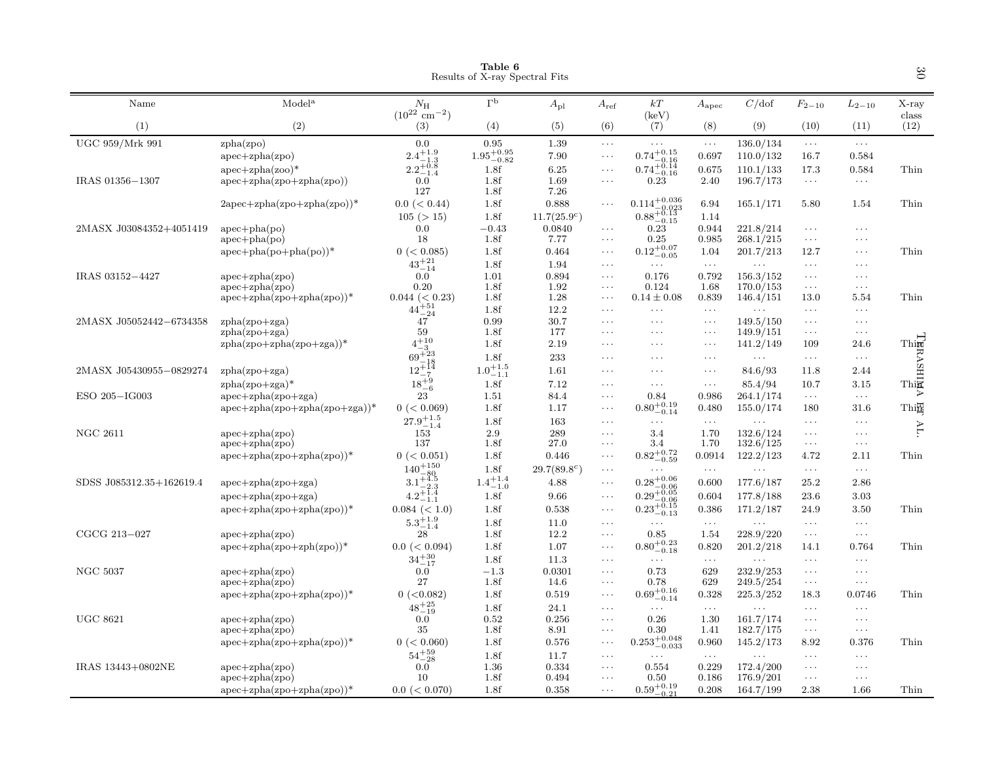|                          |                                              |                                                        | Table 6<br>Results of X-ray Spectral Fits |                      |                      |                                                                                    |                                  |                        |                                  |                                  | $\infty$                      |
|--------------------------|----------------------------------------------|--------------------------------------------------------|-------------------------------------------|----------------------|----------------------|------------------------------------------------------------------------------------|----------------------------------|------------------------|----------------------------------|----------------------------------|-------------------------------|
| Name                     | Model <sup>a</sup>                           | $N_{\rm H}$<br>$(10^{22} \text{ cm}^{-2})$             | $\Gamma^{\rm b}$                          | $A_{\rm pl}$         | $A_{\rm ref}$        | $kT$<br>(keV)                                                                      | $A_{\rm apec}$                   | C/dof                  | $F_{2-10}$                       | $L_{2-10}$                       | $X-ray$<br>class              |
| (1)                      | (2)                                          | (3)                                                    | (4)                                       | (5)                  | (6)                  | (7)                                                                                | (8)                              | (9)                    | (10)                             | (11)                             | (12)                          |
| UGC 959/Mrk 991          | zpha(zpo)                                    | 0.0                                                    | 0.95                                      | 1.39                 | $\ldots$             | $\ldots$                                                                           | $\ldots$                         | 136.0/134              | $\ldots$                         | $\ldots$                         |                               |
|                          | $apec + zpha(zpo)$                           | $2.4^{+1.9}_{-1.3}$<br>$2.2^{+0.8}_{-1.4}$             | $1.95\substack{+0.95 \\ -0.82}$           | 7.90                 | $\ldots$             | $0.74^{+0.15}_{-0.16}$<br>$0.74^{+0.14}_{-0.16}$                                   | 0.697                            | 110.0/132              | 16.7                             | 0.584                            |                               |
|                          | $apec + zpha(zoo)*$                          | $-1.4$                                                 | 1.8f                                      | 6.25                 | $\ldots$             |                                                                                    | 0.675                            | 110.1/133              | 17.3                             | 0.584                            | Thin                          |
| IRAS 01356-1307          | $apec + zpha(zpo + zpha(zpo))$               | 0.0<br>127                                             | 1.8f<br>1.8f                              | 1.69<br>7.26         | $\cdots$             | 0.23                                                                               | 2.40                             | 196.7/173              | $\sim$ $\sim$ $\sim$             | $\sim$ $\sim$ $\sim$             |                               |
|                          | $2apec + zpha(zpo + zpha(zpo))^*$            | $0.0 \leq 0.44$                                        | 1.8f                                      | 0.888                | $\ddots$             | $0.114^{+0.036}_{-0.023}$                                                          | 6.94                             | 165.1/171              | 5.80                             | 1.54                             | Thin                          |
|                          |                                              | 105 (> 15)                                             | 1.8f                                      | $11.7(25.9^{\circ})$ |                      | $0.88^{+0.13}_{-0.15}$                                                             | 1.14                             |                        |                                  |                                  |                               |
| 2MASX J03084352+4051419  | $apec + pha (po)$                            | 0.0                                                    | $-0.43$                                   | 0.0840               | $\ldots$             | 0.23                                                                               | 0.944                            | 221.8/214              | $\ldots$                         | $\ldots$                         |                               |
|                          | $apec + pha (po)$                            | 18                                                     | 1.8f                                      | 7.77                 | $\ldots$             | 0.25                                                                               | 0.985                            | 268.1/215              | $\sim$ $\sim$ $\sim$             | $\ldots$ .                       |                               |
|                          | $apec + pha (po + pha (po))^*$               | 0 (< 0.085)                                            | 1.8f                                      | 0.464                | $\cdots$             | $0.12^{+0.07}_{-0.05}$                                                             | 1.04                             | 201.7/213              | 12.7                             | $\ldots$                         | Thin                          |
|                          |                                              | $43^{+21}_{-14}$                                       | 1.8f                                      | 1.94                 | $\ldots$             | $\cdots$                                                                           | $\ldots$                         | $\ldots$               | $\sim$ $\sim$ $\sim$             | $\ldots$ .                       |                               |
| IRAS 03152-4427          | $apec + zpha(zpo)$                           | 0.0                                                    | 1.01                                      | 0.894                | $\cdots$             | 0.176                                                                              | 0.792                            | 156.3/152              | $\ldots$                         | $\ldots$                         |                               |
|                          | $apec + zpha(zpo)$                           | 0.20                                                   | 1.8f                                      | 1.92                 | $\ldots$             | 0.124                                                                              | 1.68                             | 170.0/153              | $\sim$ $\sim$ $\sim$             | $\ldots$ .                       |                               |
|                          | $apec + zpha(zpo + zpha(zpo))^*$             | $0.044 \ (< 0.23)$                                     | 1.8f                                      | 1.28                 | $\ldots$             | $0.14 \pm 0.08$                                                                    | 0.839                            | 146.4/151              | 13.0                             | 5.54                             | Thin                          |
|                          |                                              | $44^{+51}_{-24}$                                       | 1.8f                                      | 12.2                 | $\cdots$             | .                                                                                  | $\ldots$                         | $\ldots$               | $\ldots$                         | $\ldots$                         |                               |
| 2MASX J05052442-6734358  | $zpha(zpo+zga)$<br>$zpha(zpo+zga)$           | 47<br>59                                               | 0.99<br>1.8f                              | 30.7<br>177          | $\cdots$<br>$\cdots$ | $\cdots$<br>$\cdots$                                                               | $\ldots$<br>$\sim$ $\sim$ $\sim$ | 149.5/150<br>149.9/151 | $\ddots$<br>$\ldots$             | $\ldots$<br>$\sim$ $\sim$ $\sim$ |                               |
|                          | $zpha(zpo+zpha(zpo+zga))$ *                  | $4^{+10}_{-3}$                                         | 1.8f                                      | 2.19                 | $\cdots$             | $\cdots$                                                                           | $\cdots$                         | 141.2/149              | 109                              | 24.6                             |                               |
|                          |                                              | $69^{+23}_{-22}$                                       | 1.8f                                      | 233                  | $\cdots$             | $\cdots$                                                                           | $\ldots$                         | $\ldots$               | $\ldots$                         | $\sim$ $\sim$ $\sim$             | Thin H<br>Thin X<br>Thin Thin |
| 2MASX J05430955-0829274  | $zpha(zpo+zga)$                              | $12^{+18}_{-2}$                                        | $1.0^{+1.5}_{-1.1}$                       | 1.61                 | $\cdot$              | $\cdots$                                                                           | $\ldots$                         | 84.6/93                | 11.8                             | 2.44                             |                               |
|                          |                                              | $18^{+9}_{-6}$                                         | 1.8f                                      | 7.12                 | $\cdots$             | $\cdots$                                                                           | $\ldots$                         | 85.4/94                | 10.7                             | 3.15                             |                               |
| ESO 205-IG003            | $zpha(zpo+zga)*$<br>$apec + zpha(zpo + zga)$ | 23                                                     | 1.51                                      | 84.4                 | $\cdots$             | 0.84                                                                               | 0.986                            | 264.1/174              | $\ldots$                         | $\ldots$                         |                               |
|                          | $apec + zpha(zpo + zpha(zpo + zga))$ *       | 0 (< 0.069)                                            | 1.8f                                      | 1.17                 | $\ldots$             | $0.80^{+0.19}_{-0.14}$                                                             | 0.480                            | 155.0/174              | 180                              | 31.6                             | Thi番                          |
|                          |                                              | $27.9^{+1.5}_{-1.4}$                                   | 1.8f                                      | 163                  | $\cdots$             | .                                                                                  | $\ldots$                         | $\ldots$               | $\ddots$                         | $\ldots$                         |                               |
| <b>NGC 2611</b>          | $apec + zpha(zpo)$                           | 153                                                    | 2.9                                       | 289                  | $\ldots$             | 3.4                                                                                | 1.70                             | 132.6/124              | $\sim$ $\sim$ $\sim$             | $\ldots$ .                       | AL.                           |
|                          | $apec + zpha(zpo)$                           | 137                                                    | 1.8f                                      | 27.0                 | $\cdots$             | 3.4                                                                                | 1.70                             | 132.6/125              | $\sim$ $\sim$ $\sim$             | $\ldots$                         |                               |
|                          | $apec + zpha(zpo + zpha(zpo))^*$             | 0 (< 0.051)                                            | 1.8f                                      | 0.446                | $\ldots$             | $0.82 \substack{+0.72 \\ -0.59}$                                                   | 0.0914                           | 122.2/123              | 4.72                             | 2.11                             | Thin                          |
|                          |                                              | $140^{+150}_{\phantom{00}-\phantom{000} \phantom{00}}$ | 1.8f                                      | $29.7(89.8^c)$       | $\ldots$             |                                                                                    | $\ldots$                         | $\ldots$               | $\ldots$                         | $\ldots$                         |                               |
| SDSS J085312.35+162619.4 | $apec + zpha(zpo + zga)$                     | $140 - 80$<br>3.1+4.5                                  | $1.4^{+1.4}_{-1.0}$                       | 4.88                 | $\cdots$             |                                                                                    | 0.600                            | 177.6/187              | 25.2                             | 2.86                             |                               |
|                          | $apec + zpha(zpo + zga)$                     | $4.2^{+1.4}_{-1.1}$                                    | 1.8f                                      | 9.66                 | $\ldots$             |                                                                                    | 0.604                            | 177.8/188              | 23.6                             | 3.03                             |                               |
|                          | $apec + zpha(zpo + zpha(zpo))$ *             | $0.084 \ (< 1.0)$                                      | 1.8f                                      | 0.538                | $\ldots$             | $\substack{0.28^{+0.06}_{-0.06} \\ 0.29^{+0.05}_{-0.06} \\ 0.23^{+0.15}_{-0.13} }$ | 0.386                            | 171.2/187              | 24.9                             | 3.50                             | Thin                          |
|                          |                                              | $5.3^{+1.9}_{-1.4}$                                    | 1.8f                                      | 11.0                 | $\ldots$             | $\cdots$                                                                           | $\ldots$                         | .                      | $\sim$ $\sim$ $\sim$             | $\sim$ $\sim$ $\sim$             |                               |
| CGCG 213-027             | $apec + zpha(zpo)$                           | 28                                                     | 1.8f                                      | 12.2                 | $\ldots$             | 0.85                                                                               | 1.54                             | 228.9/220              | $\ldots$                         | $\dots$                          |                               |
|                          | $apec + zph(a(zpo + zph(zpo))$ *             | $0.0 \leq 0.094$                                       | 1.8f                                      | 1.07                 | $\ldots$             | $0.80^{+0.23}_{-0.18}$                                                             | 0.820                            | 201.2/218              | 14.1                             | 0.764                            | Thin                          |
|                          |                                              | $34^{+30}_{-17}$                                       | 1.8f                                      | 11.3                 | $\cdots$             | $\cdots$                                                                           | $\sim$ $\sim$ $\sim$             | $\ldots$               | $\sim$ $\sim$ $\sim$             | $\sim$ $\sim$ $\sim$             |                               |
| <b>NGC 5037</b>          | $apec + zpha(zpo)$                           | 0.0                                                    | $-1.3$                                    | 0.0301               | $\ldots$             | 0.73                                                                               | 629                              | 232.9/253              | $\ldots$                         | $\ldots$                         |                               |
|                          | $apec + zpha(zpo)$                           | 27                                                     | 1.8f                                      | 14.6                 | $\ldots$             | 0.78                                                                               | 629                              | 249.5/254              | $\sim$ $\sim$ $\sim$             | $\sim$ $\sim$ $\sim$             |                               |
|                          | $apec + zpha(zpo + zpha(zpo))^*$             | $0$ (<0.082)                                           | 1.8f                                      | 0.519                | $\ldots$             | $0.69^{+0.16}_{-0.14}$                                                             | 0.328                            | 225.3/252              | 18.3                             | 0.0746                           | Thin                          |
|                          |                                              | $48^{+25}_{-19}$                                       | 1.8f                                      | 24.1                 | $\ldots$             | $\cdots$                                                                           | $\sim$ $\sim$ $\sim$             | $\ldots$               | $\ldots$                         | $\sim$ $\sim$ $\sim$             |                               |
| <b>UGC 8621</b>          | $apec + zpha(zpo)$                           | 0.0                                                    | 0.52                                      | 0.256                | $\cdots$             | 0.26                                                                               | 1.30                             | 161.7/174              | $\ldots$                         | $\ldots$ .                       |                               |
|                          | $apec + zpha(zpo)$                           | 35                                                     | 1.8f                                      | 8.91                 | $\cdots$             | 0.30                                                                               | 1.41                             | 182.7/175              | $\ldots$                         | $\ldots$ .                       |                               |
|                          | $apec + zpha(zpo + zpha(zpo))$ *             | 0 (< 0.060)                                            | 1.8f                                      | 0.576                | $\cdots$             | $0.253\substack{+0.048\\-0.033}$                                                   | 0.960                            | 145.2/173              | 8.92                             | 0.376                            | Thin                          |
|                          |                                              | $54^{+59}_{-28}$                                       | 1.8f                                      | 11.7                 | $\cdots$             | $\cdots$                                                                           | $\ldots$<br>0.229                | $\ldots$               | $\cdots$                         | $\ldots$                         |                               |
| IRAS 13443+0802NE        | $apec + zpha(zpo)$<br>$apec + zpha(zpo)$     | 0.0<br>10                                              | 1.36<br>1.8f                              | 0.334<br>0.494       | $\ldots$<br>$\cdots$ | 0.554<br>0.50                                                                      | 0.186                            | 172.4/200<br>176.9/201 | $\ldots$<br>$\sim$ $\sim$ $\sim$ | $\ldots$<br>$\ldots$ .           |                               |
|                          | $apec + zpha(zpo + zpha(zpo))^*$             | $0.0 \leq 0.070$                                       | 1.8f                                      | 0.358                | $\cdots$             | $0.59^{+0.19}_{-0.21}$                                                             | 0.208                            | 164.7/199              | 2.38                             | 1.66                             | Thin                          |
|                          |                                              |                                                        |                                           |                      |                      |                                                                                    |                                  |                        |                                  |                                  |                               |

<span id="page-29-0"></span>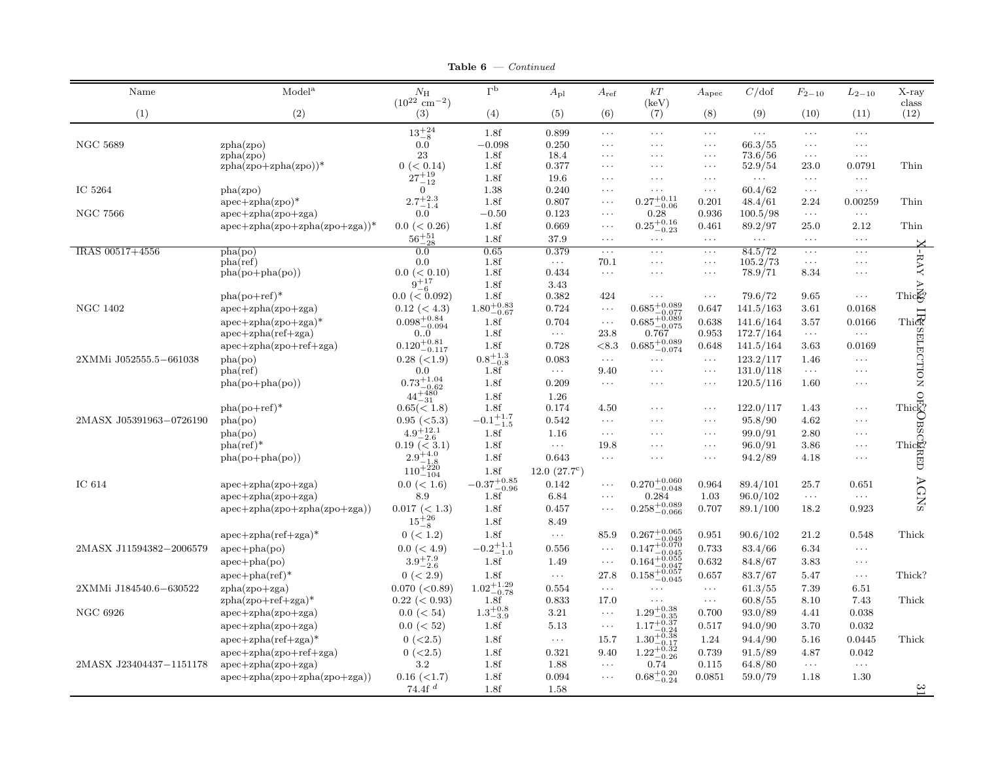**Table 6**  $\rightarrow$  Continued

| Name                    | Model <sup>a</sup>                              | $N_{\rm H}$<br>$(10^{22} \text{ cm}^{-2})$ | $\Gammap$               | $A_{\rm pl}$          | $A_{\rm ref}$        | $kT$<br>(keV)                                                                      | $A_{\rm apec}$       | C/dof                | $F_{2-10}$           | $L_{2-10}$            | $X$ -ray<br>class                                                                                                                                                                                                                                                                                                                                                                                                                                                   |
|-------------------------|-------------------------------------------------|--------------------------------------------|-------------------------|-----------------------|----------------------|------------------------------------------------------------------------------------|----------------------|----------------------|----------------------|-----------------------|---------------------------------------------------------------------------------------------------------------------------------------------------------------------------------------------------------------------------------------------------------------------------------------------------------------------------------------------------------------------------------------------------------------------------------------------------------------------|
| (1)                     | (2)                                             | (3)                                        | (4)                     | (5)                   | (6)                  | (7)                                                                                | (8)                  | (9)                  | (10)                 | (11)                  | (12)                                                                                                                                                                                                                                                                                                                                                                                                                                                                |
|                         |                                                 | $13^{+24}_{-8}$                            | 1.8f                    | 0.899                 | $\cdots$             | $\ldots$ .                                                                         | $\ldots$             | $\ldots$             | $\ldots$             | $\cdots$              |                                                                                                                                                                                                                                                                                                                                                                                                                                                                     |
| <b>NGC 5689</b>         | zpha(zpo)                                       | 0.0                                        | $-0.098$                | 0.250                 | $\cdots$             | $\cdots$                                                                           | $\ldots$ .           | 66.3/55              | $\ldots$             | $\cdots$              |                                                                                                                                                                                                                                                                                                                                                                                                                                                                     |
|                         | zpha(zpo)                                       | 23                                         | 1.8f                    | 18.4                  | $\cdots$             | $\cdots$                                                                           | $\ldots$             | 73.6/56              | $\ldots$             | $\ldots$              |                                                                                                                                                                                                                                                                                                                                                                                                                                                                     |
|                         | $zpha(zpo+zpha(zpo))^*$                         | 0 (< 0.14)                                 | 1.8f                    | 0.377                 | $\cdots$             | $\cdots$                                                                           | $\ldots$             | 52.9/54              | 23.0                 | $\,0.0791\,$          | Thin                                                                                                                                                                                                                                                                                                                                                                                                                                                                |
|                         |                                                 | $27^{+19}_{-12}$                           | 1.8f                    | 19.6                  | $\cdots$             | $\cdots$                                                                           | $\ldots$             | $\sim$ $\sim$ $\sim$ | $\sim$ $\sim$ $\sim$ | $\ldots$              |                                                                                                                                                                                                                                                                                                                                                                                                                                                                     |
| IC 5264                 | pha(zpo)                                        | $\overline{0}$<br>$2.7^{+2.3}_{-1.4}$      | 1.38<br>1.8f            | 0.240<br>0.807        | $\cdots$             | $\cdots$                                                                           | $\ldots$             | 60.4/62              | $\sim$ $\sim$ $\sim$ | $\ldots$ .            |                                                                                                                                                                                                                                                                                                                                                                                                                                                                     |
| <b>NGC 7566</b>         | $apec + zpha(zpo)*$<br>$apec + zpha(zpo + zga)$ | $0.0\,$                                    | $-0.50$                 | 0.123                 | $\cdots$<br>$\cdots$ | $0.27^{\mathrm {+0.11}}_{\mathrm {-0.06}}$<br>0.28                                 | 0.201<br>0.936       | 48.4/61<br>100.5/98  | 2.24<br>$\ldots$     | 0.00259<br>$\ldots$ . | Thin                                                                                                                                                                                                                                                                                                                                                                                                                                                                |
|                         | $apec + zpha(zpo + zpha(zpo + zga))^*$          | $0.0 \leq 0.26$                            | 1.8f                    | 0.669                 | $\ldots$             | $0.25_{-0.23}^{+0.16}$                                                             | 0.461                | 89.2/97              | 25.0                 | 2.12                  | Thin                                                                                                                                                                                                                                                                                                                                                                                                                                                                |
|                         |                                                 | $56^{+51}_{-28}$                           | 1.8f                    | 37.9                  | $\cdots$             | $\cdots$                                                                           | $\sim$ $\sim$ $\sim$ | $\sim$ $\sim$ $\sim$ | $\sim$ $\sim$ $\sim$ | $\ldots$ .            |                                                                                                                                                                                                                                                                                                                                                                                                                                                                     |
| IRAS 00517+4556         | pha(po)                                         | 0.0                                        | 0.65                    | 0.379                 | $\ldots$             | $\cdots$                                                                           | $\ldots$             | 84.5/72              | $\ldots$             | $\cdots$              |                                                                                                                                                                                                                                                                                                                                                                                                                                                                     |
|                         | pha(ref)                                        | 0.0                                        | 1.8f                    | $\ldots$ .            | 70.1                 | $\cdots$                                                                           | $\sim$ $\sim$ $\sim$ | 105.2/73             | $\ldots$             | $\cdots$              | L-RAY                                                                                                                                                                                                                                                                                                                                                                                                                                                               |
|                         | $pha(po+pha(po))$                               | $0.0 \leq 0.10$                            | 1.8f                    | 0.434                 | $\ldots$             | $\cdots$                                                                           | $\ldots$             | 78.9/71              | 8.34                 | $\cdots$              |                                                                                                                                                                                                                                                                                                                                                                                                                                                                     |
|                         |                                                 | $9^{+17}_{-6}$                             | 1.8f                    | 3.43                  |                      |                                                                                    |                      |                      |                      |                       | $\sum_{\substack{\text{This}\\ \text{This}\to\text{B}}}}$                                                                                                                                                                                                                                                                                                                                                                                                           |
|                         | $pha(po+ref)*$                                  | $0.0$ (< $0.092$ )                         | 1.8f                    | 0.382                 | 424                  | .                                                                                  | $\ldots$             | 79.6/72              | 9.65                 | $\cdots$              |                                                                                                                                                                                                                                                                                                                                                                                                                                                                     |
| <b>NGC 1402</b>         | $apec + zpha(zpo + zga)$                        | $0.12 \ (< 4.3)$                           | $1.80^{+0.83}_{-0.67}$  | 0.724                 | $\cdots$             | $0.685^{+0.089}_{-0.077}$<br>$-0.077$                                              | 0.647                | 141.5/163            | 3.61                 | 0.0168                |                                                                                                                                                                                                                                                                                                                                                                                                                                                                     |
|                         | $apec + zpha(zpo + zga)^*$                      | $0.098^{+0.84}_{-0.094}$                   | 1.8f                    | 0.704                 | $\ldots$             | $0.685^{+0.089}_{-0.075}$                                                          | 0.638                | 141.6/164            | 3.57                 | 0.0166                |                                                                                                                                                                                                                                                                                                                                                                                                                                                                     |
|                         | $apec + zpha(ref + zga)$                        | 0.0                                        | 1.8f                    | $\ldots$              | 23.8                 | 0.767                                                                              | 0.953                | 172.7/164            | $\ldots$             | $\ldots$              |                                                                                                                                                                                                                                                                                                                                                                                                                                                                     |
|                         | $apec + zpha(zpo + ref + zga)$                  | $0.120^{+0.81}_{-0.117}$                   | 1.8f                    | 0.728                 | < 8.3                | $0.685^{+0.089}_{-0.074}$                                                          | 0.648                | 141.5/164            | 3.63                 | 0.0169                | This<br>Experience I                                                                                                                                                                                                                                                                                                                                                                                                                                                |
| 2XMMi J052555.5-661038  | pha(po)                                         | $0.28$ (<1.9)                              | $0.8^{+1.3}_{-0.8}$     | 0.083                 | $\ldots$             | $\cdots$                                                                           | $\sim$ $\sim$ $\sim$ | 123.2/117            | 1.46                 | $\ldots$ .            |                                                                                                                                                                                                                                                                                                                                                                                                                                                                     |
|                         | pha(ref)                                        | 0.0                                        | 1.8f                    | $\sim$ $\sim$ $\sim$  | 9.40                 | $\cdots$                                                                           | $\sim$ $\sim$ $\sim$ | 131.0/118            | $\ldots$             | $\ldots$ .            |                                                                                                                                                                                                                                                                                                                                                                                                                                                                     |
|                         | $pha(po+pha(po))$                               | $0.73^{+1.04}_{-0.62}$                     | 1.8f                    | 0.209                 | $\ldots$ .           | $\cdots$                                                                           | $\ldots$             | 120.5/116            | 1.60                 | $\cdots$              |                                                                                                                                                                                                                                                                                                                                                                                                                                                                     |
|                         |                                                 | $44^{+480}_{-20}$<br>-31                   | 1.8f                    | 1.26                  |                      |                                                                                    |                      |                      |                      |                       |                                                                                                                                                                                                                                                                                                                                                                                                                                                                     |
|                         | $pha(po+ref)*$                                  | $0.65 \times 1.8$                          | 1.8f                    | 0.174                 | 4.50                 | $\cdots$                                                                           | $\ldots$             | 122.0/117            | 1.43                 | $\ldots$ .            |                                                                                                                                                                                                                                                                                                                                                                                                                                                                     |
| 2MASX J05391963-0726190 | pha(po)                                         | $0.95 \; (<5.3)$                           | $-0.1^{+1.7}_{-1.5}$    | 0.542                 | $\cdots$             | $\cdots$                                                                           | $\ldots$             | 95.8/90              | 4.62                 | $\ldots$              | ${\scriptstyle\begin{array}{c} \mathbf{C} \\ \mathbf{D} \\ \mathbf{D} \\ \mathbf{D} \\ \mathbf{D} \\ \mathbf{D} \\ \mathbf{D} \\ \mathbf{D} \\ \mathbf{D} \\ \mathbf{D} \\ \mathbf{D} \\ \mathbf{D} \\ \mathbf{D} \\ \mathbf{D} \\ \mathbf{D} \\ \mathbf{D} \\ \mathbf{D} \\ \mathbf{D} \\ \mathbf{D} \\ \mathbf{D} \\ \mathbf{D} \\ \mathbf{D} \\ \mathbf{D} \\ \mathbf{D} \\ \mathbf{D} \\ \mathbf{D} \\ \mathbf{D} \\ \mathbf{D} \\ \mathbf{D} \\ \mathbf{D} \\$ |
|                         | pha(po)                                         | $4.9 + 12.1$<br>-2.6                       | 1.8f                    | 1.16                  | $\ldots$             | $\cdots$                                                                           | $\cdots$             | 99.0/91              | 2.80                 | $\cdots$              |                                                                                                                                                                                                                                                                                                                                                                                                                                                                     |
|                         | $pha(ref)$ *                                    | $0.19 \ (3.1)$<br>$2.9^{+4.0}$             | 1.8f                    | $\ldots$              | 19.8                 | $\cdots$                                                                           | $\ldots$             | 96.0/91              | 3.86                 | $\cdots$              |                                                                                                                                                                                                                                                                                                                                                                                                                                                                     |
|                         | $pha(po+pha(po))$                               | $110^{+1.8}_{-1.0}$                        | 1.8f                    | 0.643                 | $\ldots$             | $\cdots$                                                                           | $\ldots$             | 94.2/89              | 4.18                 | $\cdots$              |                                                                                                                                                                                                                                                                                                                                                                                                                                                                     |
|                         |                                                 |                                            | 1.8f                    | 12.0 $(27.7^{\circ})$ |                      |                                                                                    |                      |                      |                      |                       |                                                                                                                                                                                                                                                                                                                                                                                                                                                                     |
| IC 614                  | $apec + zpha(zpo + zga)$                        | $0.0 \ (< 1.6)$                            | $-0.37^{+0.85}_{-0.96}$ | 0.142                 | $\cdots$             | $0.270^{+0.060}_{-0.048}$                                                          | 0.964                | 89.4/101             | 25.7                 | 0.651                 |                                                                                                                                                                                                                                                                                                                                                                                                                                                                     |
|                         | $apec + zpha(zpo + zga)$                        | 8.9                                        | 1.8f                    | 6.84                  | $\cdots$             | 0.284                                                                              | 1.03                 | 96.0/102             | $\ldots$             | $\ldots$ .            | AGNS                                                                                                                                                                                                                                                                                                                                                                                                                                                                |
|                         | $apec + zpha(zpo + zpha(zpo + zga))$            | $0.017 \ (< 1.3)$                          | 1.8f                    | 0.457                 | $\cdots$             | $0.258^{+0.089}_{-0.066}$                                                          | 0.707                | 89.1/100             | 18.2                 | 0.923                 |                                                                                                                                                                                                                                                                                                                                                                                                                                                                     |
|                         |                                                 | $15^{+26}_{-8}$                            | 1.8f                    | 8.49                  |                      |                                                                                    |                      |                      |                      |                       |                                                                                                                                                                                                                                                                                                                                                                                                                                                                     |
|                         | $apec + zpha(ref + zga)$ *                      | 0 (< 1.2)                                  | 1.8f                    | $\ldots$              | 85.9                 | $0.267^{+0.065}_{-0.049}$<br>$0.147^{+0.070}_{-0.045}$                             | 0.951                | 90.6/102             | 21.2                 | 0.548                 | Thick                                                                                                                                                                                                                                                                                                                                                                                                                                                               |
| 2MASX J11594382-2006579 | $apec + pha (po)$                               | $0.0$ (< 4.9)                              | $-0.2^{+1.1}_{-1.0}$    | 0.556                 | .                    | $-0.045$                                                                           | 0.733                | 83.4/66              | 6.34                 | $\ldots$ .            |                                                                                                                                                                                                                                                                                                                                                                                                                                                                     |
|                         | $apec + pha (po)$                               | $3.9^{+7.9}_{-2.6}$                        | 1.8f                    | 1.49                  | $\ddots$             | $0.164^{+0.055}_{-0.047}$                                                          | 0.632                | 84.8/67              | 3.83                 | $\ldots$ .            |                                                                                                                                                                                                                                                                                                                                                                                                                                                                     |
|                         | $apec + pha (ref)*$                             | 0 (< 2.9)                                  | 1.8f                    | $\ldots$              | 27.8                 | $0.158^{+0.047}_{-0.057}$                                                          | 0.657                | 83.7/67              | 5.47                 | $\ldots$ .            | Thick?                                                                                                                                                                                                                                                                                                                                                                                                                                                              |
| 2XMMi J184540.6-630522  | $zpha(zpo + zga)$                               | 0.070~(< 0.89)                             | $1.02^{+1.29}_{-0.78}$  | 0.554                 | $\ldots$             | $\cdots$                                                                           | $\ldots$             | 61.3/55              | 7.39                 | 6.51                  |                                                                                                                                                                                                                                                                                                                                                                                                                                                                     |
|                         | $zpha(zpo+ref+zga)*$                            | 0.22~(< 0.93)                              | 1.8f                    | 0.833                 | 17.0                 | $\cdots$                                                                           | $\sim$ $\sim$ $\sim$ | 60.8/55              | 8.10                 | 7.43                  | Thick                                                                                                                                                                                                                                                                                                                                                                                                                                                               |
| <b>NGC 6926</b>         | $apec + zpha(zpo + zga)$                        | $0.0 \ (< 54)$                             | $1.3^{+0.8}_{-3.9}$     | 3.21                  | $\ldots$             | $1.29^{+0.38}_{-0.25}$                                                             | 0.700                | 93.0/89              | 4.41                 | 0.038                 |                                                                                                                                                                                                                                                                                                                                                                                                                                                                     |
|                         | $apec + zpha(zpo + zga)$                        | $0.0 \ (< 52)$                             | 1.8f                    | 5.13                  | $\ldots$             | $-30.35$<br>1.17 <sup>+0.37</sup><br>$1.30^{+0.37}_{-0.38}$ $1.30^{+0.38}_{-0.38}$ | 0.517                | 94.0/90              | 3.70                 | 0.032                 |                                                                                                                                                                                                                                                                                                                                                                                                                                                                     |
|                         | $apec + zpha(ref + zga)$ *                      | 0 (< 2.5)                                  | 1.8f                    | $\ldots$              | 15.7                 |                                                                                    | 1.24                 | 94.4/90              | 5.16                 | 0.0445                | Thick                                                                                                                                                                                                                                                                                                                                                                                                                                                               |
|                         | $apec + zpha(zpo + ref + zga)$                  | 0 (< 2.5)                                  | 1.8f                    | 0.321                 | 9.40                 | $1.22^{+0.32}_{-0.26}$                                                             | 0.739                | 91.5/89              | 4.87                 | 0.042                 |                                                                                                                                                                                                                                                                                                                                                                                                                                                                     |
| 2MASX J23404437-1151178 | $apec + zpha(zpo + zga)$                        | $3.2\,$                                    | 1.8f                    | 1.88                  | $\ldots$             | 0.74                                                                               | 0.115                | 64.8/80              | $\ldots$             | $\ldots$              |                                                                                                                                                                                                                                                                                                                                                                                                                                                                     |
|                         | $apec + zpha(zpo + zpha(zpo + zga))$            | $0.16$ (<1.7)                              | 1.8f                    | 0.094                 | $\cdots$             | $0.68^{+0.20}_{-0.24}$                                                             | 0.0851               | 59.0/79              | 1.18                 | 1.30                  |                                                                                                                                                                                                                                                                                                                                                                                                                                                                     |
|                         |                                                 | 74.4 $f$ <sup><math>d</math></sup>         | 1.8f                    | 1.58                  |                      |                                                                                    |                      |                      |                      |                       | $\frac{31}{11}$                                                                                                                                                                                                                                                                                                                                                                                                                                                     |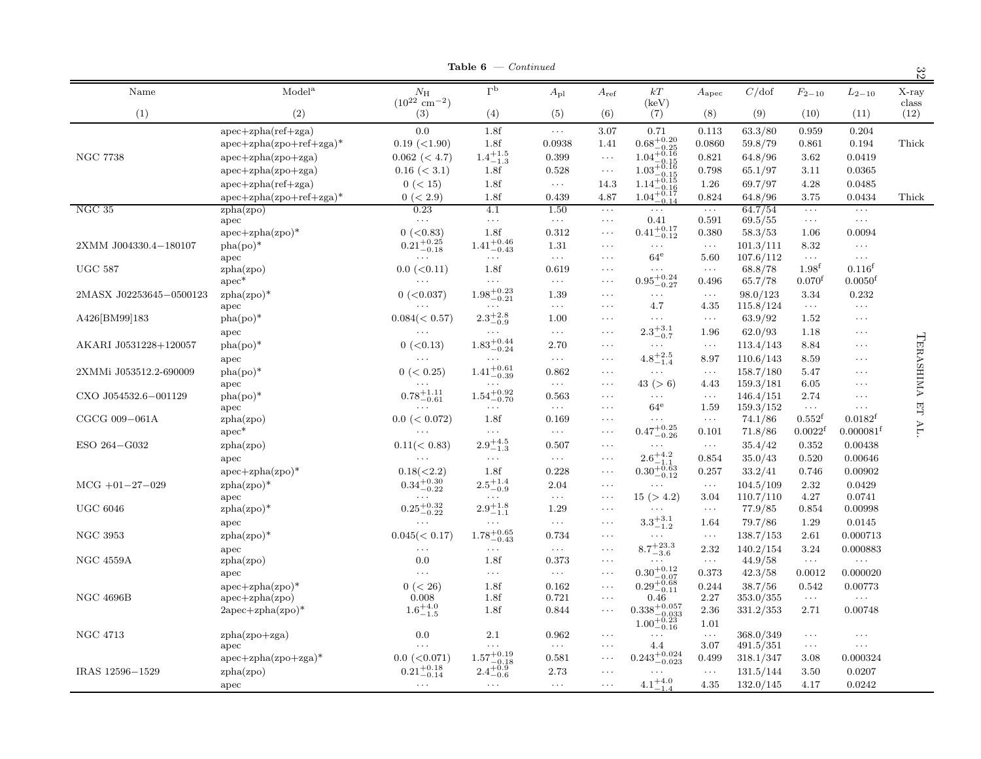| Table 6 | Continued |
|---------|-----------|
|         |           |

|                         |                                 |                                            | <b>Table 6</b> $\rightarrow$ <i>Continued</i>       |                               |                      |                                                                                                      |                              |                        |                                  |                                      | 32             |
|-------------------------|---------------------------------|--------------------------------------------|-----------------------------------------------------|-------------------------------|----------------------|------------------------------------------------------------------------------------------------------|------------------------------|------------------------|----------------------------------|--------------------------------------|----------------|
| Name                    | Model <sup>a</sup>              | $N_{\rm H}$<br>$(10^{22} \text{ cm}^{-2})$ | $\Gammap$                                           | $A_{\rm pl}$                  | $A_{\rm ref}$        | kT<br>(keV)                                                                                          | $A_{\rm apec}$               | C/dof                  | $F_{2-10}$                       | $L_{2-10}$                           | X-ray<br>class |
| (1)                     | (2)                             | (3)                                        | (4)                                                 | (5)                           | (6)                  | (7)                                                                                                  | (8)                          | (9)                    | (10)                             | (11)                                 | (12)           |
|                         | $apec + zpha(ref + zga)$        | 0.0                                        | 1.8f                                                | $\ldots$                      | 3.07                 | 0.71                                                                                                 | 0.113                        | 63.3/80                | 0.959                            | 0.204                                |                |
|                         | $apec + zpha(zpo + ref + zga)*$ | $0.19$ (<1.90)                             | 1.8f                                                | 0.0938                        | 1.41                 | $0.68^{+0.20}_{-0.25}$                                                                               | 0.0860                       | 59.8/79                | 0.861                            | 0.194                                | Thick          |
| <b>NGC 7738</b>         | $apec + zpha(zpo + zga)$        | $0.062 \ (< 4.7)$                          | $1.4^{+1.5}_{-1.3}$                                 | 0.399                         | $\sim$ $\sim$ $\sim$ |                                                                                                      | 0.821                        | 64.8/96                | 3.62                             | 0.0419                               |                |
|                         | $apec + zpha(zpo + zga)$        | $0.16 \ (< 3.1)$                           | 1.8f                                                | 0.528                         | $\ldots$             |                                                                                                      | 0.798                        | 65.1/97                | 3.11                             | 0.0365                               |                |
|                         | $apec + zpha(ref + zga)$        | 0 (< 15)                                   | 1.8f                                                | $\sim$ $\sim$ $\sim$          | 14.3                 |                                                                                                      | 1.26                         | 69.7/97                | 4.28                             | 0.0485                               |                |
|                         | $apec + zpha(zpo + ref + zga)*$ | 0 (< 2.9)                                  | 1.8f                                                | 0.439                         | 4.87                 | $1.04^{+0.16}_{-0.15}$<br>$1.03^{+0.16}_{-0.15}$<br>$1.14^{+0.16}_{-0.16}$<br>$1.04^{+0.17}_{-0.14}$ | 0.824                        | 64.8/96                | 3.75                             | 0.0434                               | Thick          |
| NGC 35                  | zpha(zpo)                       | 0.23                                       | 4.1                                                 | 1.50                          | $\ldots$             | $\ldots$ .                                                                                           | $\sim$ $\sim$ $\sim$         | 64.7/54                | $\ldots$                         | $\ldots$ .                           |                |
|                         | apec                            | $\cdots$                                   | $\ldots$ .                                          | $\sim$ $\sim$ $\sim$          | $\ldots$             | 0.41                                                                                                 | 0.591                        | 69.5/55                | $\ldots$                         | $\sim$ $\sim$ $\sim$                 |                |
|                         | $apec + zpha(zpo)*$             | 0 (< 0.83)                                 | 1.8f                                                | 0.312                         | $\ldots$             | $0.41^{+0.17}_{-0.12}$                                                                               | 0.380                        | 58.3/53                | 1.06                             | 0.0094                               |                |
| 2XMM J004330.4-180107   | $pha(po)*$                      | $0.21_{-0.18}^{+0.25}$                     | $1.41^{+0.46}_{-0.43}$                              | 1.31                          | $\cdots$             | $\ldots$                                                                                             | $\ldots$                     | 101.3/111              | 8.32                             | $\ldots$ .                           |                |
|                         | apec                            | $\ldots$ .                                 | $\ldots$ .                                          | $\sim$ $\sim$ $\sim$          | $\ldots$             | $64^{\mathrm{e}}$                                                                                    | 5.60                         | 107.6/112              | $\sim$ $\sim$ $\sim$             | $\ldots$ .                           |                |
| <b>UGC 587</b>          | zpha(zpo)                       | $0.0$ (< $0.11$ )<br>$\cdots$              | 1.8f<br>$\cdots$                                    | 0.619<br>$\ldots$ .           | $\ldots$<br>$\cdots$ | $\ldots$ .                                                                                           | $\ldots$<br>0.496            | 68.8/78                | $1.98^{f}$<br>0.070 <sup>f</sup> | $0.116^{f}$<br>$0.0050$ <sup>f</sup> |                |
|                         | $apec*$                         |                                            |                                                     |                               |                      | $0.95^{+0.24}_{-0.27}$                                                                               |                              | 65.7/78                |                                  |                                      |                |
| 2MASX J02253645-0500123 | $zpha(zpo)*$<br>apec            | $0$ (<0.037)<br>$\cdots$                   | $1.98 \substack{+0.23 \\ -0.21}$<br>$\cdots$        | 1.39<br>$\ldots$              | $\cdots$<br>$\cdots$ | $\ldots$ .<br>4.7                                                                                    | $\ldots$<br>4.35             | 98.0/123<br>115.8/124  | 3.34<br>$\ldots$                 | 0.232<br>$\ldots$                    |                |
| A426[BM99]183           | $pha(po)*$                      | $0.084 \leq 0.57$                          | $2.3^{+2.8}_{-0.9}\,$                               | 1.00                          | $\ldots$             | $\ldots$                                                                                             | $\sim$ $\sim$ $\sim$         | 63.9/92                | 1.52                             | $\ldots$                             |                |
|                         | apec                            |                                            | $\cdots$                                            | $\sim$ $\sim$ $\sim$          | $\cdots$             | $2.3^{+3.1}_{-0.7}$                                                                                  | 1.96                         | 62.0/93                | 1.18                             | $\cdots$                             |                |
| AKARI J0531228+120057   | $pha(po)*$                      | $0$ ( $<$ 0.13)                            | $1.83^{+0.44}_{-0.24}$                              | 2.70                          | $\cdots$             | $\ldots$ .                                                                                           | $\ldots$                     | 113.4/143              | 8.84                             | $\ldots$ .                           | TERASHIMA      |
|                         |                                 | $\ldots$ .                                 | $\sim 100$                                          | $\sim$ $\sim$ $\sim$          | $\ldots$ .           | $4.8^{+2.5}_{-1.4}$                                                                                  |                              |                        |                                  | $\ldots$ .                           |                |
|                         | apec                            |                                            |                                                     |                               |                      |                                                                                                      | 8.97                         | 110.6/143              | 8.59                             |                                      |                |
| 2XMMi J053512.2-690009  | $pha(po)*$                      | 0 (< 0.25)<br>$\cdots$                     | $1.41^{+0.61}_{-0.39}$<br>$\sim$ $\sim$ $\sim$      | 0.862<br>$\sim$ $\sim$ $\sim$ | $\cdots$<br>$\ldots$ | $\ldots$                                                                                             | $\sim$ $\sim$ $\sim$         | 158.7/180              | 5.47                             | $\cdots$<br>$\cdots$                 |                |
| CXO J054532.6-001129    | apec<br>$pha(po)*$              | $0.78 \substack{+1.11 \\ -0.61}$           | $1.54\substack{+0.92 \\ -0.70}$                     | 0.563                         | $\ldots$             | 43 (> 6)<br>$\ldots$                                                                                 | 4.43<br>$\sim$ $\sim$ $\sim$ | 159.3/181<br>146.4/151 | 6.05<br>2.74                     | $\cdots$                             |                |
|                         | apec                            | $\cdots$                                   | $\ldots$                                            | $\sim$ $\sim$ $\sim$          | $\cdots$             | $64^{\rm e}$                                                                                         | 1.59                         | 159.3/152              | $\sim$ $\sim$ $\sim$             | $\ldots$ .                           | 日              |
| CGCG 009-061A           | zpha(zpo)                       | $0.0$ (< $0.072$ )                         | 1.8f                                                | 0.169                         | $\ldots$             | $\ldots$                                                                                             | $\sim$ $\sim$ $\sim$         | 74.1/86                | 0.552 <sup>f</sup>               | $0.0182^{f}$                         |                |
|                         | $apec*$                         |                                            | $\ldots$                                            | $\ldots$ .                    | $\cdots$             | $0.47^{+0.25}_{-0.26}$                                                                               | 0.101                        | 71.8/86                | $0.0022^t$                       | 0.000081 <sup>f</sup>                | AL.            |
| ESO 264-G032            | zpha(zpo)                       | 0.11(< 0.83)                               | $2.9^{+4.5}_{-1.3}\,$                               | 0.507                         | $\cdots$             | $\cdots$                                                                                             | $\sim$ $\sim$ $\sim$         | 35.4/42                | 0.352                            | 0.00438                              |                |
|                         | apec                            |                                            | $\sim$ $\sim$ $\sim$                                | $\sim$ $\sim$ $\sim$          | $\cdots$             |                                                                                                      | 0.854                        | 35.0/43                | 0.520                            | 0.00646                              |                |
|                         | $apec + zpha(zpo)*$             | 0.18(<2.2)                                 | 1.8f                                                | 0.228                         | $\ldots$             | $\overset{2.6^{+4.2}_{-1.1}}{0.30^{+0.63}_{-0.12}}$                                                  | 0.257                        | 33.2/41                | 0.746                            | 0.00902                              |                |
| $MCG +01-27-029$        | $zpha(zpo)*$                    | $0.34_{-0.22}^{+0.30}$                     | $2.5^{+1.4}_{-0.9}\,$                               | 2.04                          | $\ldots$             | $\ldots$                                                                                             | $\sim$ $\sim$ $\sim$         | 104.5/109              | 2.32                             | 0.0429                               |                |
|                         | apec                            | $\cdots$                                   | $\ldots$ .                                          | $\ldots$                      | $\ldots$             | 15 (> 4.2)                                                                                           | 3.04                         | 110.7/110              | 4.27                             | 0.0741                               |                |
| $_{\mathrm{UGC}}$ 6046  | $zpha(zpo)*$                    | $0.25 \substack{+0.32 \\ -0.22}$           | $2.9^{+1.8}_{-1.1}$                                 | 1.29                          | $\cdots$             | $\ldots$ .                                                                                           | $\sim$ $\sim$ $\sim$         | 77.9/85                | 0.854                            | 0.00998                              |                |
|                         | apec                            | $\sim$ $\sim$ $\sim$                       | $\sim$ $\sim$ $\sim$                                | $\ldots$                      | $\cdots$             | $\phantom{-}3.3_{-1.2}^{+3.1}$                                                                       | 1.64                         | 79.7/86                | 1.29                             | 0.0145                               |                |
| <b>NGC 3953</b>         | $zpha(zpo)*$                    | $0.045 \, (< 0.17)$                        | $1.78^{+0.65}_{-0.43}$                              | 0.734                         | $\ldots$             | $\sim$ $\sim$ $\sim$                                                                                 | $\sim$ $\sim$ $\sim$         | 138.7/153              | 2.61                             | 0.000713                             |                |
|                         | apec                            | $\cdots$                                   | $\ldots$ .                                          | $\sim$ $\sim$ $\sim$          | $\ldots$             | $8.7^{+23.3}_{-3.6}\,$                                                                               | 2.32                         | 140.2/154              | 3.24                             | 0.000883                             |                |
| <b>NGC 4559A</b>        | zpha(zpo)                       | 0.0                                        | 1.8f                                                | 0.373                         | $\cdots$             | $\cdots$                                                                                             | $\ldots$                     | 44.9/58                | $\ldots$                         | $\ldots$ .                           |                |
|                         | apec                            | $\sim$ $\sim$ $\sim$                       | $\ldots$                                            | $\sim$ $\sim$ $\sim$          | $\ldots$             |                                                                                                      | 0.373                        | 42.3/58                | 0.0012                           | 0.000020                             |                |
|                         | $apec + zpha(zpo)^*$            | 0 (< 26)                                   | 1.8f                                                | 0.162                         | $\ldots$             | $\substack{0.30^{+0.12}_{-0.07} \\ 0.29^{+0.68}_{-0.11}}$                                            | 0.244                        | 38.7/56                | 0.542                            | 0.00773                              |                |
| <b>NGC 4696B</b>        | $apec + zpha(zpo)$              | 0.008                                      | 1.8f                                                | 0.721                         | $\ldots$             | 0.46                                                                                                 | 2.27                         | 353.0/355              | $\ldots$                         | $\sim$ $\sim$ $\sim$                 |                |
|                         | $2apec + zpha(zpo)*$            | $1.6^{+4.0}_{-1.5}$                        | 1.8f                                                | 0.844                         | $\cdots$             |                                                                                                      | 2.36                         | 331.2/353              | 2.71                             | 0.00748                              |                |
|                         |                                 |                                            |                                                     |                               |                      | $\substack{0.338^{+0.057}_{-0.033} \\ 1.00^{+0.23}_{-0.16}}$                                         | 1.01                         |                        |                                  |                                      |                |
| NGC 4713                | $zpha(zpo+zga)$                 | 0.0                                        | 2.1                                                 | 0.962                         | $\ldots$             | .                                                                                                    | $\sim$ $\sim$ $\sim$         | 368.0/349              | $\sim$ $\sim$ $\sim$             | $\ldots$                             |                |
|                         | apec                            | $\ldots$                                   | $\ldots$ .                                          | $\sim$ $\sim$ $\sim$          | $\ldots$             | 4.4                                                                                                  | 3.07                         | 491.5/351              | $\cdots$                         | $\ldots$ .                           |                |
|                         | $apec + zpha(zpo + zga)^*$      | $0.0$ (< $0.071$ )                         |                                                     | 0.581                         | $\ldots$             | $0.243^{\mathrm {+0.024}}_{\mathrm {-0.023}}$                                                        | 0.499                        | 318.1/347              | 3.08                             | 0.000324                             |                |
| IRAS 12596-1529         | zpha(zpo)                       | $0.21_{-0.14}^{+0.18}$                     | $\overset{1.57^{+0.19}_{-0.18}}{2.4^{+0.9}_{-0.6}}$ | 2.73                          | $\cdots$             | $\cdots$                                                                                             | $\sim$ $\sim$ $\sim$         | 131.5/144              | 3.50                             | 0.0207                               |                |
|                         | apec                            | $\cdots$                                   | $\cdots$                                            | $\ldots$ .                    | $\cdots$             | $4.1^{+4.0}_{-1.4}$                                                                                  | 4.35                         | 132.0/145              | 4.17                             | 0.0242                               |                |

32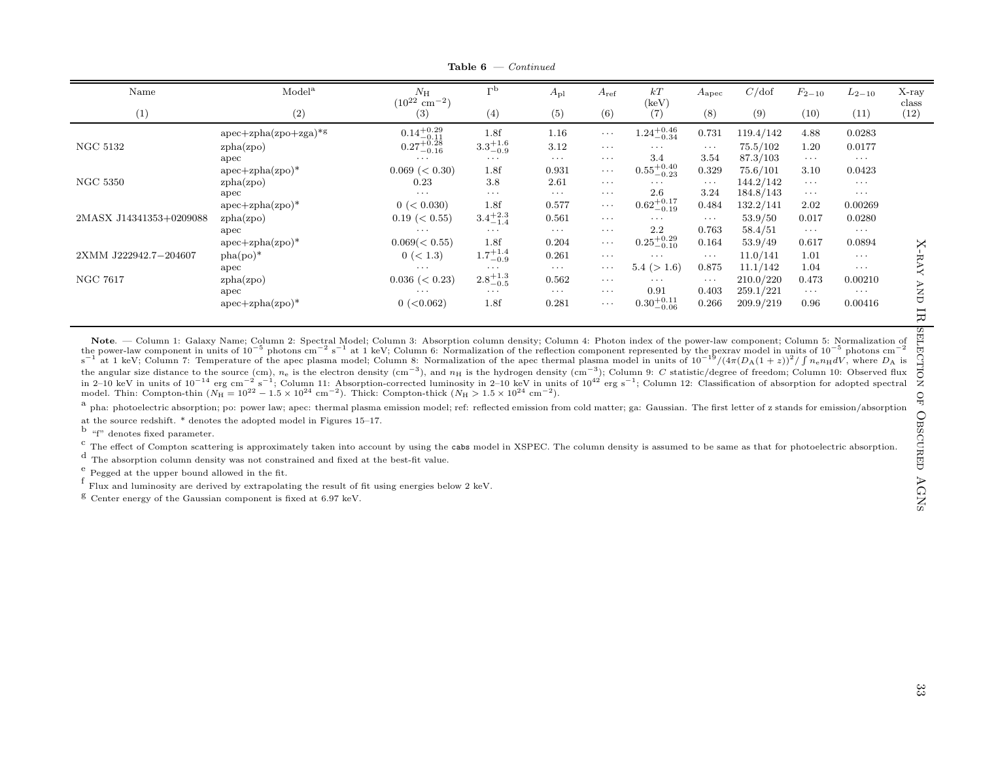| $N_{\rm H}$        | L <sub>p</sub>                                                                             | $A_{\rm pl}$                                                                             | $A_{\rm ref}$ | kT                     | $A_{\rm apec}$                                                                                                       | C/dof     | $F_{2-10}$ | $L_{2-10}$ | X-ray<br>class |
|--------------------|--------------------------------------------------------------------------------------------|------------------------------------------------------------------------------------------|---------------|------------------------|----------------------------------------------------------------------------------------------------------------------|-----------|------------|------------|----------------|
| (3)                | (4)                                                                                        | (5)                                                                                      | (6)           | (7)                    | (8)                                                                                                                  | (9)       | (10)       | (11)       | (12)           |
|                    | 1.8f                                                                                       | 1.16                                                                                     | $\cdots$      |                        | 0.731                                                                                                                | 119.4/142 | 4.88       | 0.0283     |                |
|                    |                                                                                            | 3.12                                                                                     | $\cdots$      | $\cdot$                | $\cdots$                                                                                                             | 75.5/102  | 1.20       | 0.0177     |                |
| $\cdots$           | $\cdots$                                                                                   | $\cdots$                                                                                 | $\cdots$      | 3.4                    | 3.54                                                                                                                 | 87.3/103  | $\cdots$   | $\cdots$   |                |
| $0.069 \ (< 0.30)$ | 1.8f                                                                                       | 0.931                                                                                    | $\cdots$      |                        | 0.329                                                                                                                | 75.6/101  | 3.10       | 0.0423     |                |
| 0.23               | 3.8                                                                                        | 2.61                                                                                     | $\cdots$      | $\cdots$               | $\cdots$                                                                                                             | 144.2/142 | $\cdots$   | $\cdots$   |                |
| $\cdots$           | $\cdots$                                                                                   | $\cdots$                                                                                 | $\cdots$      |                        |                                                                                                                      | 184.8/143 | $\cdots$   | $\cdots$   |                |
| 0 (< 0.030)        | 1.8f                                                                                       | 0.577                                                                                    | $\cdots$      |                        | 0.484                                                                                                                | 132.2/141 | 2.02       | 0.00269    |                |
| $0.19 \ (< 0.55)$  |                                                                                            | 0.561                                                                                    | $\cdots$      | $\cdots$               | $\ldots$                                                                                                             | 53.9/50   | 0.017      | 0.0280     |                |
| $\cdots$           | $\cdots$                                                                                   | $\cdots$                                                                                 | $\cdots$      | 2.2                    | 0.763                                                                                                                | 58.4/51   | $\cdots$   | $\cdots$   |                |
| $0.069 \leq 0.55$  | 1.8f                                                                                       | 0.204                                                                                    | $\cdots$      |                        | 0.164                                                                                                                | 53.9/49   | 0.617      | 0.0894     | X              |
| 0 (< 1.3)          |                                                                                            | 0.261                                                                                    | $\cdots$      | $\cdots$               | $\cdots$                                                                                                             | 11.0/141  | 1.01       | $\cdots$   |                |
| $\cdots$           | $\cdots$                                                                                   | $\cdots$                                                                                 | $\cdots$      | 5.4 (> 1.6)            | 0.875                                                                                                                | 11.1/142  | 1.04       | $\cdots$   | -RAY           |
| $0.036 \ (< 0.23)$ |                                                                                            | 0.562                                                                                    | $\cdots$      | $\cdots$               | $\ldots$                                                                                                             | 210.0/220 | 0.473      | 0.00210    |                |
| $\cdots$           | $\cdots$                                                                                   | $\cdots$                                                                                 | $\cdots$      | 0.91                   | 0.403                                                                                                                | 259.1/221 | $\cdots$   | $\cdots$   | <b>AND</b>     |
| $0$ ( $<$ 0.062)   | 1.8f                                                                                       | 0.281                                                                                    | $\cdots$      | $0.30^{+0.11}_{-0.06}$ | 0.266                                                                                                                | 209.9/219 | 0.96       | 0.00416    | 日              |
|                    | $(10^{22}$<br>$\rm cm^{-2}$ )<br>$\substack{0.14^{+0.29}_{-0.11} \\ 0.27^{+0.28}_{-0.16}}$ | $3.3^{+1.6}_{-0.9}$<br>$3.4^{+2.3}_{-1.4}$<br>$1.7^{+1.4}_{-0.9}$<br>$2.8^{+1.3}_{-0.5}$ |               |                        | (keV)<br>$1.24^{+0.46}_{-0.34}$<br>$0.55^{+0.40}_{-0.23}$<br>2.6<br>$0.62^{+0.17}_{-0.19}$<br>$0.25_{-0.10}^{+0.29}$ | 3.24      |            |            |                |

**Table 6**  $\rightarrow$  Continued

Note. — Column 1: Galaxy Name; Column 2: Spectral Model; Column 3: Absorption column density; Column 4: Photon index of the power-law component; Column 5: Normalization of the power-law component in units of 10<sup>-5</sup> photons cm<sup>-2</sup> s<sup>-1</sup> at 1 keV; Column 6: Normalization of the reflection component represented by the pexrav model in units of 10<sup>-5</sup> photons cm<sup>-2</sup> at 1 keV; Column 7: Temperatu the angular size distance to the source (cm),  $n_e$  is the electron density (cm<sup>-3</sup>), and  $n_H$  is the hydrogen density (cm<sup>-3</sup>); Column 9: C statistic/degree of freedom; Column 10: Observed flux The angular size distance to the source (cm),  $n_e$  is the electron density (cm −), and  $n_H$  is the hydrogen density (cm −); Column 9: C statistic/degree of freedom; Column 10: Observed nux in 2–10 keV in units of 10<sup>-14</sup> model. Thin: Compton-thin ( $N_{\rm H} = 10^{22} - 1.5 \times 10^{24}$  cm<sup>-2</sup>). Thick: Compton-thick ( $N_{\rm H} > 1.5 \times 10^{24}$  cm<sup>-2</sup>).

 $^{\rm a}$  pha: photoelectric absorption; po: power law; apec: thermal plasma emission model; ref: reflected emission from cold matter; ga: Gaussian. The first letter of z stands for emission/absorption at the source redshift. \* denotes the adopted model in Figures 15–17.

b "f" denotes fixed parameter.

 $\frac{c}{c}$  The effect of Compton scattering is approximately taken into account by using the cabs model in XSPEC. The column density is assumed to be same as that for photoelectric absorption.

d The absorption column density was not constrained and fixed at the best-fit value.

 $\frac{e}{f}$  Pegged at the upper bound allowed in the fit.

 $^{\rm f}$  Flux and luminosity are derived by extrapolating the result of fit using energies below 2 keV.

 $g$  Center energy of the Gaussian component is fixed at 6.97 keV.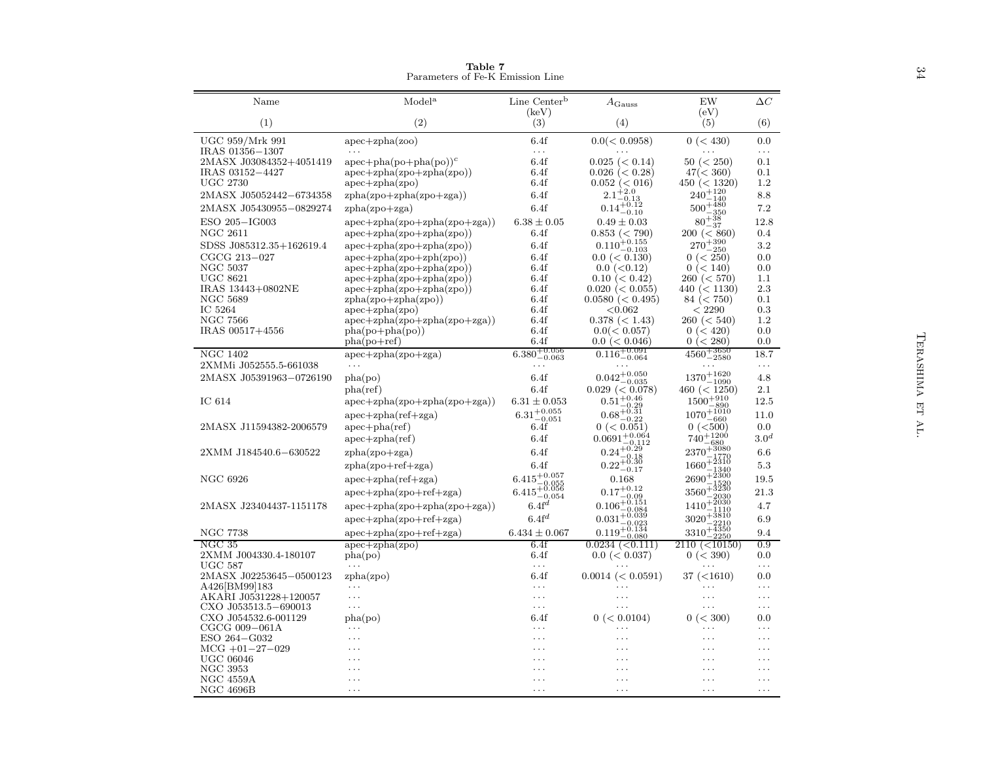| Model <sup>a</sup><br>Line Center <sup>b</sup><br>$\Delta C$<br>Name<br>EW<br>$A_{\rm Gauss}$<br>(eV)<br>(keV)<br>(2)<br>(3)<br>(1)<br>(4)<br>(5)<br>(6)<br>UGC 959/Mrk 991<br>6.4f<br>0.0(< 0.0958)<br>$apec + zpha(zoo)$<br>0 (< 430)<br>0.0<br>IRAS 01356-1307<br>$\ldots$<br>$\cdots$<br>2MASX J03084352+4051419<br>$apec + pha(po + pha(po))c$<br>6.4f<br>$0.025 \leq 0.14$<br>50 (< 250)<br>0.1<br>IRAS 03152-4427<br>$apec + zpha(zpo + zpha(zpo))$<br>6.4f<br>$0.026 \leq 0.28$<br>47 (< 360)<br>0.1<br><b>UGC 2730</b><br>$apec + zpha(zpo)$<br>6.4f<br>$0.052 \ (< 016)$<br>450 (< 1320)<br>1.2<br>$2.1 + 2.0$<br>$240^{\color{red}+120}$<br>2MASX J05052442-6734358<br>$zpha(zpo+zpha(zpo+zga))$<br>6.4f<br>8.8<br>$\frac{2.1-0.13}{0.14+0.12}$<br>$\substack{240\\500+480\\-350}$<br>2MASX J05430955-0829274<br>6.4f<br>7.2<br>$zpha(zpo + zga)$<br>$80^{+38}_{-8}$<br>ESO 205-IG003<br>$6.38 \pm 0.05$<br>$apec + zpha(zpo + zpha(zpo + zga))$<br>$0.49 \pm 0.03$<br>12.8<br>$-37$<br><b>NGC 2611</b><br>0.853 (< 790)<br>$apec + zpha(zpo + zpha(zpo))$<br>6.4f<br>200 (< 860)<br>0.4<br>$0.110_{-0.103}^{+0.155}$<br>$270 + 390 \atop - 250$<br>SDSS J085312.35+162619.4<br>3.2<br>6.4f<br>$apec + zpha(zpo + zpha(zpo))$<br>CGCG 213-027<br>$apec + zpha(zpo + zph(zpo))$<br>6.4f<br>$0.0 \leq 0.130$<br>0 (< 250)<br>0.0<br>NGC 5037<br>$apec + zpha(zpo + zpha(zpo))$<br>6.4f<br>$0.0$ ( $< 0.12$ )<br>0 (< 140)<br>0.0<br><b>UGC 8621</b><br>$apec + zpha(zpo + zpha(zpo))$<br>6.4f<br>$0.10 \ (< 0.42)$<br>260 (< 570)<br>1.1<br>IRAS 13443+0802NE<br>$apec + zpha(zpo + zpha(zpo))$<br>$0.020 \ (< 0.055)$<br>2.3<br>6.4f<br>440 (< 1130)<br>NGC 5689<br>6.4f<br>$0.0580 \ (< 0.495)$<br>0.1<br>$zpha(zpo+zpha(zpo))$<br>84 (< 750)<br>IC 5264<br>0.3<br>$apec + zpha(zpo)$<br>6.4f<br>< 0.062<br>< 2290<br><b>NGC 7566</b><br>6.4f<br>1.2<br>$apec + zpha(zpo + zpha(zpo + zga))$<br>$0.378 \ (< 1.43)$<br>260 (< 540)<br>IRAS 00517+4556<br>6.4f<br>0.0(< 0.057)<br>0.0<br>$pha(po+pha(po))$<br>0 (< 420)<br>TERASHIMA<br>6.4f<br>$0.0 \leq 0.046$<br>0 (< 280)<br>0.0<br>$pha(po+ref)$<br>$0.116^{+0.091}_{-0.064}$<br>$4560^{+3650}_{-2580}$<br>$6.380^{+0.056}_{-0.063}$<br><b>NGC 1402</b><br>18.7<br>$apec + zpha(zpo + zga)$<br>2XMMi J052555.5-661038<br>$\cdots$<br>$\ldots$<br>.<br>$0.042^{+0.050}_{-0.035}$<br>$1370^{+1620}_{-1090}\,$<br>2MASX J05391963-0726190<br>6.4f<br>pha(po)<br>4.8<br>$0.029$ (< $0.078$ )<br>460 (< 1250)<br>pha(ref)<br>6.4f<br>2.1<br>$0.51_{-0.29}^{+0.46}$<br>$1500^{+910}_{-000}$<br>IC 614<br>$6.31 \pm 0.053$<br>$apec + zpha(zpo + zpha(zpo + zga))$<br>12.5<br>閂<br>890<br>$6.31_{-0.051}^{+0.055}$<br>$1070^{+1010}_{-660}$<br>$0.68^{+0.31}_{-0.22}$<br>$apec + zpha(ref + zga)$<br>11.0<br>H<br>0 (< 500)<br>2MASX J11594382-2006579<br>$apec + pha(ref)$<br>0 (< 0.051)<br>0.0<br>6.4f<br>$0.0691_{-0.112}^{+0.064}$<br>$0.24_{-0.18}^{+0.29}$<br>$740^{+1200}_{-680}$<br>$2370^{+3080}_{-1570}$<br>3.0 <sup>d</sup><br>$apec + zpha(ref)$<br>6.4f<br>6.4f<br>6.6<br>2XMM J184540.6-630522<br>$zpha(zpo + zga)$<br>$0.22_{-0.17}^{+0.30}$<br>$1660 + \frac{2310}{10}$<br>$5.3\,$<br>$zpha(zpo + ref + zga)$<br>6.4f<br>$2690 + 2300$<br>$\substack{6.415_{-0.055}^{+0.057}}\atop{6.415_{-0.056}^{+0.056}}$<br><b>NGC 6926</b><br>$apec + zpha(ref + zga)$<br>0.168<br>19.5<br>$3560^{+3230}_{-3230}$<br>$0.17^{\tiny{+0.12}}$<br>21.3<br>$apec + zpha(zpo + ref + zga)$<br>$-0.09$<br>$0.106_{-0.084}^{+0.151}$<br>$1410 + \frac{2030}{1}$<br>$6.4f^d$<br>2MASX J23404437-1151178<br>$apec + zpha(zpo + zpha(zpo + zga))$<br>4.7<br>$-1110$<br>$0.031_{-0.023}^{+0.039}$<br>$3020 + \frac{3810}{2212}$<br>$6.4$ f <sup>d</sup><br>$apec + zpha(zpo + ref + zga)$<br>6.9<br>$-2210$<br>$0.119_{-0.080}^{+0.134}$<br>$3310^{+4350}_{-2250}$<br><b>NGC 7738</b><br>$6.434 \pm 0.067$<br>$apec + zpha(zpo + ref + zga)$<br>9.4<br>NGC 35<br>$apec + zpha(zpo)$<br>6.4f<br>$0.0234 \leq 0.111$<br>0.9<br>2110 (<10150)<br>2XMM J004330.4-180107<br>0 (< 390)<br>pha(po)<br>6.4f<br>$0.0 \leq 0.037$<br>0.0<br><b>UGC 587</b><br>$\cdots$<br>$\cdots$<br>$\cdots$<br>2MASX J02253645-0500123<br>zpha(zpo)<br>6.4f<br>37 (<1610)<br>0.0<br>$0.0014 \ (< 0.0591)$<br>A426[BM99]183<br>$\cdots$<br>$\ddots$<br>.<br>.<br>AKARI J0531228+120057<br>$\ldots$<br>$\cdots$<br>.<br>.<br>$\ddots$<br>CXO J053513.5-690013<br>$\cdots$<br>$\cdots$<br>$\cdots$<br>.<br>$\ldots$<br>CXO J054532.6-001129<br>6.4f<br>0 (< 0.0104)<br>0 (< 300)<br>0.0<br>pha(po)<br>CGCG 009-061A<br>$\cdots$<br>$\ddots$<br>$\ddots$<br>$\cdots$<br>.<br>ESO 264-G032<br>$\cdots$<br>$\cdot$<br>.<br>.<br>$\cdots$<br>$MCG +01-27-029$<br>$\cdots$<br>.<br>$\ddots$<br>.<br>.<br><b>UGC 06046</b><br>$\cdots$<br>.<br>$\ddotsc$<br>NGC 3953<br>$\ddot{\phantom{0}}$<br>.<br><b>NGC 4559A</b><br>$\cdots$<br>.<br>.<br>$\cdots$<br>$\ddots$<br><b>NGC 4696B</b><br>$\cdots$<br>$\cdots$<br>$\cdots$<br>$\cdots$<br>$\ddots$ | Table 7<br>Parameters of Fe-K Emission Line |  |  | 34 |
|----------------------------------------------------------------------------------------------------------------------------------------------------------------------------------------------------------------------------------------------------------------------------------------------------------------------------------------------------------------------------------------------------------------------------------------------------------------------------------------------------------------------------------------------------------------------------------------------------------------------------------------------------------------------------------------------------------------------------------------------------------------------------------------------------------------------------------------------------------------------------------------------------------------------------------------------------------------------------------------------------------------------------------------------------------------------------------------------------------------------------------------------------------------------------------------------------------------------------------------------------------------------------------------------------------------------------------------------------------------------------------------------------------------------------------------------------------------------------------------------------------------------------------------------------------------------------------------------------------------------------------------------------------------------------------------------------------------------------------------------------------------------------------------------------------------------------------------------------------------------------------------------------------------------------------------------------------------------------------------------------------------------------------------------------------------------------------------------------------------------------------------------------------------------------------------------------------------------------------------------------------------------------------------------------------------------------------------------------------------------------------------------------------------------------------------------------------------------------------------------------------------------------------------------------------------------------------------------------------------------------------------------------------------------------------------------------------------------------------------------------------------------------------------------------------------------------------------------------------------------------------------------------------------------------------------------------------------------------------------------------------------------------------------------------------------------------------------------------------------------------------------------------------------------------------------------------------------------------------------------------------------------------------------------------------------------------------------------------------------------------------------------------------------------------------------------------------------------------------------------------------------------------------------------------------------------------------------------------------------------------------------------------------------------------------------------------------------------------------------------------------------------------------------------------------------------------------------------------------------------------------------------------------------------------------------------------------------------------------------------------------------------------------------------------------------------------------------------------------------------------------------------------------------------------------------------------------------------------------------------------------------------------------------------------------------------------------------------------------------------------------------------------------------------------------------------------------------------------------------------------------------------------------------------------------------------------------------------------------------------------------------------------------------------------------------------------------------------------------------------------------------------------------------------------------------------------------------------------------------------------------------------------------------------------------------------------------------------|---------------------------------------------|--|--|----|
|                                                                                                                                                                                                                                                                                                                                                                                                                                                                                                                                                                                                                                                                                                                                                                                                                                                                                                                                                                                                                                                                                                                                                                                                                                                                                                                                                                                                                                                                                                                                                                                                                                                                                                                                                                                                                                                                                                                                                                                                                                                                                                                                                                                                                                                                                                                                                                                                                                                                                                                                                                                                                                                                                                                                                                                                                                                                                                                                                                                                                                                                                                                                                                                                                                                                                                                                                                                                                                                                                                                                                                                                                                                                                                                                                                                                                                                                                                                                                                                                                                                                                                                                                                                                                                                                                                                                                                                                                                                                                                                                                                                                                                                                                                                                                                                                                                                                                                                                                                      |                                             |  |  |    |
|                                                                                                                                                                                                                                                                                                                                                                                                                                                                                                                                                                                                                                                                                                                                                                                                                                                                                                                                                                                                                                                                                                                                                                                                                                                                                                                                                                                                                                                                                                                                                                                                                                                                                                                                                                                                                                                                                                                                                                                                                                                                                                                                                                                                                                                                                                                                                                                                                                                                                                                                                                                                                                                                                                                                                                                                                                                                                                                                                                                                                                                                                                                                                                                                                                                                                                                                                                                                                                                                                                                                                                                                                                                                                                                                                                                                                                                                                                                                                                                                                                                                                                                                                                                                                                                                                                                                                                                                                                                                                                                                                                                                                                                                                                                                                                                                                                                                                                                                                                      |                                             |  |  |    |
|                                                                                                                                                                                                                                                                                                                                                                                                                                                                                                                                                                                                                                                                                                                                                                                                                                                                                                                                                                                                                                                                                                                                                                                                                                                                                                                                                                                                                                                                                                                                                                                                                                                                                                                                                                                                                                                                                                                                                                                                                                                                                                                                                                                                                                                                                                                                                                                                                                                                                                                                                                                                                                                                                                                                                                                                                                                                                                                                                                                                                                                                                                                                                                                                                                                                                                                                                                                                                                                                                                                                                                                                                                                                                                                                                                                                                                                                                                                                                                                                                                                                                                                                                                                                                                                                                                                                                                                                                                                                                                                                                                                                                                                                                                                                                                                                                                                                                                                                                                      |                                             |  |  |    |
|                                                                                                                                                                                                                                                                                                                                                                                                                                                                                                                                                                                                                                                                                                                                                                                                                                                                                                                                                                                                                                                                                                                                                                                                                                                                                                                                                                                                                                                                                                                                                                                                                                                                                                                                                                                                                                                                                                                                                                                                                                                                                                                                                                                                                                                                                                                                                                                                                                                                                                                                                                                                                                                                                                                                                                                                                                                                                                                                                                                                                                                                                                                                                                                                                                                                                                                                                                                                                                                                                                                                                                                                                                                                                                                                                                                                                                                                                                                                                                                                                                                                                                                                                                                                                                                                                                                                                                                                                                                                                                                                                                                                                                                                                                                                                                                                                                                                                                                                                                      |                                             |  |  |    |
|                                                                                                                                                                                                                                                                                                                                                                                                                                                                                                                                                                                                                                                                                                                                                                                                                                                                                                                                                                                                                                                                                                                                                                                                                                                                                                                                                                                                                                                                                                                                                                                                                                                                                                                                                                                                                                                                                                                                                                                                                                                                                                                                                                                                                                                                                                                                                                                                                                                                                                                                                                                                                                                                                                                                                                                                                                                                                                                                                                                                                                                                                                                                                                                                                                                                                                                                                                                                                                                                                                                                                                                                                                                                                                                                                                                                                                                                                                                                                                                                                                                                                                                                                                                                                                                                                                                                                                                                                                                                                                                                                                                                                                                                                                                                                                                                                                                                                                                                                                      |                                             |  |  |    |
|                                                                                                                                                                                                                                                                                                                                                                                                                                                                                                                                                                                                                                                                                                                                                                                                                                                                                                                                                                                                                                                                                                                                                                                                                                                                                                                                                                                                                                                                                                                                                                                                                                                                                                                                                                                                                                                                                                                                                                                                                                                                                                                                                                                                                                                                                                                                                                                                                                                                                                                                                                                                                                                                                                                                                                                                                                                                                                                                                                                                                                                                                                                                                                                                                                                                                                                                                                                                                                                                                                                                                                                                                                                                                                                                                                                                                                                                                                                                                                                                                                                                                                                                                                                                                                                                                                                                                                                                                                                                                                                                                                                                                                                                                                                                                                                                                                                                                                                                                                      |                                             |  |  |    |
|                                                                                                                                                                                                                                                                                                                                                                                                                                                                                                                                                                                                                                                                                                                                                                                                                                                                                                                                                                                                                                                                                                                                                                                                                                                                                                                                                                                                                                                                                                                                                                                                                                                                                                                                                                                                                                                                                                                                                                                                                                                                                                                                                                                                                                                                                                                                                                                                                                                                                                                                                                                                                                                                                                                                                                                                                                                                                                                                                                                                                                                                                                                                                                                                                                                                                                                                                                                                                                                                                                                                                                                                                                                                                                                                                                                                                                                                                                                                                                                                                                                                                                                                                                                                                                                                                                                                                                                                                                                                                                                                                                                                                                                                                                                                                                                                                                                                                                                                                                      |                                             |  |  |    |
|                                                                                                                                                                                                                                                                                                                                                                                                                                                                                                                                                                                                                                                                                                                                                                                                                                                                                                                                                                                                                                                                                                                                                                                                                                                                                                                                                                                                                                                                                                                                                                                                                                                                                                                                                                                                                                                                                                                                                                                                                                                                                                                                                                                                                                                                                                                                                                                                                                                                                                                                                                                                                                                                                                                                                                                                                                                                                                                                                                                                                                                                                                                                                                                                                                                                                                                                                                                                                                                                                                                                                                                                                                                                                                                                                                                                                                                                                                                                                                                                                                                                                                                                                                                                                                                                                                                                                                                                                                                                                                                                                                                                                                                                                                                                                                                                                                                                                                                                                                      |                                             |  |  |    |
|                                                                                                                                                                                                                                                                                                                                                                                                                                                                                                                                                                                                                                                                                                                                                                                                                                                                                                                                                                                                                                                                                                                                                                                                                                                                                                                                                                                                                                                                                                                                                                                                                                                                                                                                                                                                                                                                                                                                                                                                                                                                                                                                                                                                                                                                                                                                                                                                                                                                                                                                                                                                                                                                                                                                                                                                                                                                                                                                                                                                                                                                                                                                                                                                                                                                                                                                                                                                                                                                                                                                                                                                                                                                                                                                                                                                                                                                                                                                                                                                                                                                                                                                                                                                                                                                                                                                                                                                                                                                                                                                                                                                                                                                                                                                                                                                                                                                                                                                                                      |                                             |  |  |    |
|                                                                                                                                                                                                                                                                                                                                                                                                                                                                                                                                                                                                                                                                                                                                                                                                                                                                                                                                                                                                                                                                                                                                                                                                                                                                                                                                                                                                                                                                                                                                                                                                                                                                                                                                                                                                                                                                                                                                                                                                                                                                                                                                                                                                                                                                                                                                                                                                                                                                                                                                                                                                                                                                                                                                                                                                                                                                                                                                                                                                                                                                                                                                                                                                                                                                                                                                                                                                                                                                                                                                                                                                                                                                                                                                                                                                                                                                                                                                                                                                                                                                                                                                                                                                                                                                                                                                                                                                                                                                                                                                                                                                                                                                                                                                                                                                                                                                                                                                                                      |                                             |  |  |    |
|                                                                                                                                                                                                                                                                                                                                                                                                                                                                                                                                                                                                                                                                                                                                                                                                                                                                                                                                                                                                                                                                                                                                                                                                                                                                                                                                                                                                                                                                                                                                                                                                                                                                                                                                                                                                                                                                                                                                                                                                                                                                                                                                                                                                                                                                                                                                                                                                                                                                                                                                                                                                                                                                                                                                                                                                                                                                                                                                                                                                                                                                                                                                                                                                                                                                                                                                                                                                                                                                                                                                                                                                                                                                                                                                                                                                                                                                                                                                                                                                                                                                                                                                                                                                                                                                                                                                                                                                                                                                                                                                                                                                                                                                                                                                                                                                                                                                                                                                                                      |                                             |  |  |    |
|                                                                                                                                                                                                                                                                                                                                                                                                                                                                                                                                                                                                                                                                                                                                                                                                                                                                                                                                                                                                                                                                                                                                                                                                                                                                                                                                                                                                                                                                                                                                                                                                                                                                                                                                                                                                                                                                                                                                                                                                                                                                                                                                                                                                                                                                                                                                                                                                                                                                                                                                                                                                                                                                                                                                                                                                                                                                                                                                                                                                                                                                                                                                                                                                                                                                                                                                                                                                                                                                                                                                                                                                                                                                                                                                                                                                                                                                                                                                                                                                                                                                                                                                                                                                                                                                                                                                                                                                                                                                                                                                                                                                                                                                                                                                                                                                                                                                                                                                                                      |                                             |  |  |    |
|                                                                                                                                                                                                                                                                                                                                                                                                                                                                                                                                                                                                                                                                                                                                                                                                                                                                                                                                                                                                                                                                                                                                                                                                                                                                                                                                                                                                                                                                                                                                                                                                                                                                                                                                                                                                                                                                                                                                                                                                                                                                                                                                                                                                                                                                                                                                                                                                                                                                                                                                                                                                                                                                                                                                                                                                                                                                                                                                                                                                                                                                                                                                                                                                                                                                                                                                                                                                                                                                                                                                                                                                                                                                                                                                                                                                                                                                                                                                                                                                                                                                                                                                                                                                                                                                                                                                                                                                                                                                                                                                                                                                                                                                                                                                                                                                                                                                                                                                                                      |                                             |  |  |    |
|                                                                                                                                                                                                                                                                                                                                                                                                                                                                                                                                                                                                                                                                                                                                                                                                                                                                                                                                                                                                                                                                                                                                                                                                                                                                                                                                                                                                                                                                                                                                                                                                                                                                                                                                                                                                                                                                                                                                                                                                                                                                                                                                                                                                                                                                                                                                                                                                                                                                                                                                                                                                                                                                                                                                                                                                                                                                                                                                                                                                                                                                                                                                                                                                                                                                                                                                                                                                                                                                                                                                                                                                                                                                                                                                                                                                                                                                                                                                                                                                                                                                                                                                                                                                                                                                                                                                                                                                                                                                                                                                                                                                                                                                                                                                                                                                                                                                                                                                                                      |                                             |  |  |    |
|                                                                                                                                                                                                                                                                                                                                                                                                                                                                                                                                                                                                                                                                                                                                                                                                                                                                                                                                                                                                                                                                                                                                                                                                                                                                                                                                                                                                                                                                                                                                                                                                                                                                                                                                                                                                                                                                                                                                                                                                                                                                                                                                                                                                                                                                                                                                                                                                                                                                                                                                                                                                                                                                                                                                                                                                                                                                                                                                                                                                                                                                                                                                                                                                                                                                                                                                                                                                                                                                                                                                                                                                                                                                                                                                                                                                                                                                                                                                                                                                                                                                                                                                                                                                                                                                                                                                                                                                                                                                                                                                                                                                                                                                                                                                                                                                                                                                                                                                                                      |                                             |  |  |    |
|                                                                                                                                                                                                                                                                                                                                                                                                                                                                                                                                                                                                                                                                                                                                                                                                                                                                                                                                                                                                                                                                                                                                                                                                                                                                                                                                                                                                                                                                                                                                                                                                                                                                                                                                                                                                                                                                                                                                                                                                                                                                                                                                                                                                                                                                                                                                                                                                                                                                                                                                                                                                                                                                                                                                                                                                                                                                                                                                                                                                                                                                                                                                                                                                                                                                                                                                                                                                                                                                                                                                                                                                                                                                                                                                                                                                                                                                                                                                                                                                                                                                                                                                                                                                                                                                                                                                                                                                                                                                                                                                                                                                                                                                                                                                                                                                                                                                                                                                                                      |                                             |  |  |    |
|                                                                                                                                                                                                                                                                                                                                                                                                                                                                                                                                                                                                                                                                                                                                                                                                                                                                                                                                                                                                                                                                                                                                                                                                                                                                                                                                                                                                                                                                                                                                                                                                                                                                                                                                                                                                                                                                                                                                                                                                                                                                                                                                                                                                                                                                                                                                                                                                                                                                                                                                                                                                                                                                                                                                                                                                                                                                                                                                                                                                                                                                                                                                                                                                                                                                                                                                                                                                                                                                                                                                                                                                                                                                                                                                                                                                                                                                                                                                                                                                                                                                                                                                                                                                                                                                                                                                                                                                                                                                                                                                                                                                                                                                                                                                                                                                                                                                                                                                                                      |                                             |  |  |    |
|                                                                                                                                                                                                                                                                                                                                                                                                                                                                                                                                                                                                                                                                                                                                                                                                                                                                                                                                                                                                                                                                                                                                                                                                                                                                                                                                                                                                                                                                                                                                                                                                                                                                                                                                                                                                                                                                                                                                                                                                                                                                                                                                                                                                                                                                                                                                                                                                                                                                                                                                                                                                                                                                                                                                                                                                                                                                                                                                                                                                                                                                                                                                                                                                                                                                                                                                                                                                                                                                                                                                                                                                                                                                                                                                                                                                                                                                                                                                                                                                                                                                                                                                                                                                                                                                                                                                                                                                                                                                                                                                                                                                                                                                                                                                                                                                                                                                                                                                                                      |                                             |  |  |    |
|                                                                                                                                                                                                                                                                                                                                                                                                                                                                                                                                                                                                                                                                                                                                                                                                                                                                                                                                                                                                                                                                                                                                                                                                                                                                                                                                                                                                                                                                                                                                                                                                                                                                                                                                                                                                                                                                                                                                                                                                                                                                                                                                                                                                                                                                                                                                                                                                                                                                                                                                                                                                                                                                                                                                                                                                                                                                                                                                                                                                                                                                                                                                                                                                                                                                                                                                                                                                                                                                                                                                                                                                                                                                                                                                                                                                                                                                                                                                                                                                                                                                                                                                                                                                                                                                                                                                                                                                                                                                                                                                                                                                                                                                                                                                                                                                                                                                                                                                                                      |                                             |  |  |    |
|                                                                                                                                                                                                                                                                                                                                                                                                                                                                                                                                                                                                                                                                                                                                                                                                                                                                                                                                                                                                                                                                                                                                                                                                                                                                                                                                                                                                                                                                                                                                                                                                                                                                                                                                                                                                                                                                                                                                                                                                                                                                                                                                                                                                                                                                                                                                                                                                                                                                                                                                                                                                                                                                                                                                                                                                                                                                                                                                                                                                                                                                                                                                                                                                                                                                                                                                                                                                                                                                                                                                                                                                                                                                                                                                                                                                                                                                                                                                                                                                                                                                                                                                                                                                                                                                                                                                                                                                                                                                                                                                                                                                                                                                                                                                                                                                                                                                                                                                                                      |                                             |  |  |    |
|                                                                                                                                                                                                                                                                                                                                                                                                                                                                                                                                                                                                                                                                                                                                                                                                                                                                                                                                                                                                                                                                                                                                                                                                                                                                                                                                                                                                                                                                                                                                                                                                                                                                                                                                                                                                                                                                                                                                                                                                                                                                                                                                                                                                                                                                                                                                                                                                                                                                                                                                                                                                                                                                                                                                                                                                                                                                                                                                                                                                                                                                                                                                                                                                                                                                                                                                                                                                                                                                                                                                                                                                                                                                                                                                                                                                                                                                                                                                                                                                                                                                                                                                                                                                                                                                                                                                                                                                                                                                                                                                                                                                                                                                                                                                                                                                                                                                                                                                                                      |                                             |  |  |    |
|                                                                                                                                                                                                                                                                                                                                                                                                                                                                                                                                                                                                                                                                                                                                                                                                                                                                                                                                                                                                                                                                                                                                                                                                                                                                                                                                                                                                                                                                                                                                                                                                                                                                                                                                                                                                                                                                                                                                                                                                                                                                                                                                                                                                                                                                                                                                                                                                                                                                                                                                                                                                                                                                                                                                                                                                                                                                                                                                                                                                                                                                                                                                                                                                                                                                                                                                                                                                                                                                                                                                                                                                                                                                                                                                                                                                                                                                                                                                                                                                                                                                                                                                                                                                                                                                                                                                                                                                                                                                                                                                                                                                                                                                                                                                                                                                                                                                                                                                                                      |                                             |  |  |    |
|                                                                                                                                                                                                                                                                                                                                                                                                                                                                                                                                                                                                                                                                                                                                                                                                                                                                                                                                                                                                                                                                                                                                                                                                                                                                                                                                                                                                                                                                                                                                                                                                                                                                                                                                                                                                                                                                                                                                                                                                                                                                                                                                                                                                                                                                                                                                                                                                                                                                                                                                                                                                                                                                                                                                                                                                                                                                                                                                                                                                                                                                                                                                                                                                                                                                                                                                                                                                                                                                                                                                                                                                                                                                                                                                                                                                                                                                                                                                                                                                                                                                                                                                                                                                                                                                                                                                                                                                                                                                                                                                                                                                                                                                                                                                                                                                                                                                                                                                                                      |                                             |  |  |    |
|                                                                                                                                                                                                                                                                                                                                                                                                                                                                                                                                                                                                                                                                                                                                                                                                                                                                                                                                                                                                                                                                                                                                                                                                                                                                                                                                                                                                                                                                                                                                                                                                                                                                                                                                                                                                                                                                                                                                                                                                                                                                                                                                                                                                                                                                                                                                                                                                                                                                                                                                                                                                                                                                                                                                                                                                                                                                                                                                                                                                                                                                                                                                                                                                                                                                                                                                                                                                                                                                                                                                                                                                                                                                                                                                                                                                                                                                                                                                                                                                                                                                                                                                                                                                                                                                                                                                                                                                                                                                                                                                                                                                                                                                                                                                                                                                                                                                                                                                                                      |                                             |  |  |    |
|                                                                                                                                                                                                                                                                                                                                                                                                                                                                                                                                                                                                                                                                                                                                                                                                                                                                                                                                                                                                                                                                                                                                                                                                                                                                                                                                                                                                                                                                                                                                                                                                                                                                                                                                                                                                                                                                                                                                                                                                                                                                                                                                                                                                                                                                                                                                                                                                                                                                                                                                                                                                                                                                                                                                                                                                                                                                                                                                                                                                                                                                                                                                                                                                                                                                                                                                                                                                                                                                                                                                                                                                                                                                                                                                                                                                                                                                                                                                                                                                                                                                                                                                                                                                                                                                                                                                                                                                                                                                                                                                                                                                                                                                                                                                                                                                                                                                                                                                                                      |                                             |  |  |    |
|                                                                                                                                                                                                                                                                                                                                                                                                                                                                                                                                                                                                                                                                                                                                                                                                                                                                                                                                                                                                                                                                                                                                                                                                                                                                                                                                                                                                                                                                                                                                                                                                                                                                                                                                                                                                                                                                                                                                                                                                                                                                                                                                                                                                                                                                                                                                                                                                                                                                                                                                                                                                                                                                                                                                                                                                                                                                                                                                                                                                                                                                                                                                                                                                                                                                                                                                                                                                                                                                                                                                                                                                                                                                                                                                                                                                                                                                                                                                                                                                                                                                                                                                                                                                                                                                                                                                                                                                                                                                                                                                                                                                                                                                                                                                                                                                                                                                                                                                                                      |                                             |  |  |    |
|                                                                                                                                                                                                                                                                                                                                                                                                                                                                                                                                                                                                                                                                                                                                                                                                                                                                                                                                                                                                                                                                                                                                                                                                                                                                                                                                                                                                                                                                                                                                                                                                                                                                                                                                                                                                                                                                                                                                                                                                                                                                                                                                                                                                                                                                                                                                                                                                                                                                                                                                                                                                                                                                                                                                                                                                                                                                                                                                                                                                                                                                                                                                                                                                                                                                                                                                                                                                                                                                                                                                                                                                                                                                                                                                                                                                                                                                                                                                                                                                                                                                                                                                                                                                                                                                                                                                                                                                                                                                                                                                                                                                                                                                                                                                                                                                                                                                                                                                                                      |                                             |  |  |    |
|                                                                                                                                                                                                                                                                                                                                                                                                                                                                                                                                                                                                                                                                                                                                                                                                                                                                                                                                                                                                                                                                                                                                                                                                                                                                                                                                                                                                                                                                                                                                                                                                                                                                                                                                                                                                                                                                                                                                                                                                                                                                                                                                                                                                                                                                                                                                                                                                                                                                                                                                                                                                                                                                                                                                                                                                                                                                                                                                                                                                                                                                                                                                                                                                                                                                                                                                                                                                                                                                                                                                                                                                                                                                                                                                                                                                                                                                                                                                                                                                                                                                                                                                                                                                                                                                                                                                                                                                                                                                                                                                                                                                                                                                                                                                                                                                                                                                                                                                                                      |                                             |  |  |    |
|                                                                                                                                                                                                                                                                                                                                                                                                                                                                                                                                                                                                                                                                                                                                                                                                                                                                                                                                                                                                                                                                                                                                                                                                                                                                                                                                                                                                                                                                                                                                                                                                                                                                                                                                                                                                                                                                                                                                                                                                                                                                                                                                                                                                                                                                                                                                                                                                                                                                                                                                                                                                                                                                                                                                                                                                                                                                                                                                                                                                                                                                                                                                                                                                                                                                                                                                                                                                                                                                                                                                                                                                                                                                                                                                                                                                                                                                                                                                                                                                                                                                                                                                                                                                                                                                                                                                                                                                                                                                                                                                                                                                                                                                                                                                                                                                                                                                                                                                                                      |                                             |  |  |    |
|                                                                                                                                                                                                                                                                                                                                                                                                                                                                                                                                                                                                                                                                                                                                                                                                                                                                                                                                                                                                                                                                                                                                                                                                                                                                                                                                                                                                                                                                                                                                                                                                                                                                                                                                                                                                                                                                                                                                                                                                                                                                                                                                                                                                                                                                                                                                                                                                                                                                                                                                                                                                                                                                                                                                                                                                                                                                                                                                                                                                                                                                                                                                                                                                                                                                                                                                                                                                                                                                                                                                                                                                                                                                                                                                                                                                                                                                                                                                                                                                                                                                                                                                                                                                                                                                                                                                                                                                                                                                                                                                                                                                                                                                                                                                                                                                                                                                                                                                                                      |                                             |  |  |    |
|                                                                                                                                                                                                                                                                                                                                                                                                                                                                                                                                                                                                                                                                                                                                                                                                                                                                                                                                                                                                                                                                                                                                                                                                                                                                                                                                                                                                                                                                                                                                                                                                                                                                                                                                                                                                                                                                                                                                                                                                                                                                                                                                                                                                                                                                                                                                                                                                                                                                                                                                                                                                                                                                                                                                                                                                                                                                                                                                                                                                                                                                                                                                                                                                                                                                                                                                                                                                                                                                                                                                                                                                                                                                                                                                                                                                                                                                                                                                                                                                                                                                                                                                                                                                                                                                                                                                                                                                                                                                                                                                                                                                                                                                                                                                                                                                                                                                                                                                                                      |                                             |  |  |    |
|                                                                                                                                                                                                                                                                                                                                                                                                                                                                                                                                                                                                                                                                                                                                                                                                                                                                                                                                                                                                                                                                                                                                                                                                                                                                                                                                                                                                                                                                                                                                                                                                                                                                                                                                                                                                                                                                                                                                                                                                                                                                                                                                                                                                                                                                                                                                                                                                                                                                                                                                                                                                                                                                                                                                                                                                                                                                                                                                                                                                                                                                                                                                                                                                                                                                                                                                                                                                                                                                                                                                                                                                                                                                                                                                                                                                                                                                                                                                                                                                                                                                                                                                                                                                                                                                                                                                                                                                                                                                                                                                                                                                                                                                                                                                                                                                                                                                                                                                                                      |                                             |  |  |    |
|                                                                                                                                                                                                                                                                                                                                                                                                                                                                                                                                                                                                                                                                                                                                                                                                                                                                                                                                                                                                                                                                                                                                                                                                                                                                                                                                                                                                                                                                                                                                                                                                                                                                                                                                                                                                                                                                                                                                                                                                                                                                                                                                                                                                                                                                                                                                                                                                                                                                                                                                                                                                                                                                                                                                                                                                                                                                                                                                                                                                                                                                                                                                                                                                                                                                                                                                                                                                                                                                                                                                                                                                                                                                                                                                                                                                                                                                                                                                                                                                                                                                                                                                                                                                                                                                                                                                                                                                                                                                                                                                                                                                                                                                                                                                                                                                                                                                                                                                                                      |                                             |  |  |    |
|                                                                                                                                                                                                                                                                                                                                                                                                                                                                                                                                                                                                                                                                                                                                                                                                                                                                                                                                                                                                                                                                                                                                                                                                                                                                                                                                                                                                                                                                                                                                                                                                                                                                                                                                                                                                                                                                                                                                                                                                                                                                                                                                                                                                                                                                                                                                                                                                                                                                                                                                                                                                                                                                                                                                                                                                                                                                                                                                                                                                                                                                                                                                                                                                                                                                                                                                                                                                                                                                                                                                                                                                                                                                                                                                                                                                                                                                                                                                                                                                                                                                                                                                                                                                                                                                                                                                                                                                                                                                                                                                                                                                                                                                                                                                                                                                                                                                                                                                                                      |                                             |  |  |    |
|                                                                                                                                                                                                                                                                                                                                                                                                                                                                                                                                                                                                                                                                                                                                                                                                                                                                                                                                                                                                                                                                                                                                                                                                                                                                                                                                                                                                                                                                                                                                                                                                                                                                                                                                                                                                                                                                                                                                                                                                                                                                                                                                                                                                                                                                                                                                                                                                                                                                                                                                                                                                                                                                                                                                                                                                                                                                                                                                                                                                                                                                                                                                                                                                                                                                                                                                                                                                                                                                                                                                                                                                                                                                                                                                                                                                                                                                                                                                                                                                                                                                                                                                                                                                                                                                                                                                                                                                                                                                                                                                                                                                                                                                                                                                                                                                                                                                                                                                                                      |                                             |  |  |    |
|                                                                                                                                                                                                                                                                                                                                                                                                                                                                                                                                                                                                                                                                                                                                                                                                                                                                                                                                                                                                                                                                                                                                                                                                                                                                                                                                                                                                                                                                                                                                                                                                                                                                                                                                                                                                                                                                                                                                                                                                                                                                                                                                                                                                                                                                                                                                                                                                                                                                                                                                                                                                                                                                                                                                                                                                                                                                                                                                                                                                                                                                                                                                                                                                                                                                                                                                                                                                                                                                                                                                                                                                                                                                                                                                                                                                                                                                                                                                                                                                                                                                                                                                                                                                                                                                                                                                                                                                                                                                                                                                                                                                                                                                                                                                                                                                                                                                                                                                                                      |                                             |  |  |    |
|                                                                                                                                                                                                                                                                                                                                                                                                                                                                                                                                                                                                                                                                                                                                                                                                                                                                                                                                                                                                                                                                                                                                                                                                                                                                                                                                                                                                                                                                                                                                                                                                                                                                                                                                                                                                                                                                                                                                                                                                                                                                                                                                                                                                                                                                                                                                                                                                                                                                                                                                                                                                                                                                                                                                                                                                                                                                                                                                                                                                                                                                                                                                                                                                                                                                                                                                                                                                                                                                                                                                                                                                                                                                                                                                                                                                                                                                                                                                                                                                                                                                                                                                                                                                                                                                                                                                                                                                                                                                                                                                                                                                                                                                                                                                                                                                                                                                                                                                                                      |                                             |  |  |    |
|                                                                                                                                                                                                                                                                                                                                                                                                                                                                                                                                                                                                                                                                                                                                                                                                                                                                                                                                                                                                                                                                                                                                                                                                                                                                                                                                                                                                                                                                                                                                                                                                                                                                                                                                                                                                                                                                                                                                                                                                                                                                                                                                                                                                                                                                                                                                                                                                                                                                                                                                                                                                                                                                                                                                                                                                                                                                                                                                                                                                                                                                                                                                                                                                                                                                                                                                                                                                                                                                                                                                                                                                                                                                                                                                                                                                                                                                                                                                                                                                                                                                                                                                                                                                                                                                                                                                                                                                                                                                                                                                                                                                                                                                                                                                                                                                                                                                                                                                                                      |                                             |  |  |    |
|                                                                                                                                                                                                                                                                                                                                                                                                                                                                                                                                                                                                                                                                                                                                                                                                                                                                                                                                                                                                                                                                                                                                                                                                                                                                                                                                                                                                                                                                                                                                                                                                                                                                                                                                                                                                                                                                                                                                                                                                                                                                                                                                                                                                                                                                                                                                                                                                                                                                                                                                                                                                                                                                                                                                                                                                                                                                                                                                                                                                                                                                                                                                                                                                                                                                                                                                                                                                                                                                                                                                                                                                                                                                                                                                                                                                                                                                                                                                                                                                                                                                                                                                                                                                                                                                                                                                                                                                                                                                                                                                                                                                                                                                                                                                                                                                                                                                                                                                                                      |                                             |  |  |    |
|                                                                                                                                                                                                                                                                                                                                                                                                                                                                                                                                                                                                                                                                                                                                                                                                                                                                                                                                                                                                                                                                                                                                                                                                                                                                                                                                                                                                                                                                                                                                                                                                                                                                                                                                                                                                                                                                                                                                                                                                                                                                                                                                                                                                                                                                                                                                                                                                                                                                                                                                                                                                                                                                                                                                                                                                                                                                                                                                                                                                                                                                                                                                                                                                                                                                                                                                                                                                                                                                                                                                                                                                                                                                                                                                                                                                                                                                                                                                                                                                                                                                                                                                                                                                                                                                                                                                                                                                                                                                                                                                                                                                                                                                                                                                                                                                                                                                                                                                                                      |                                             |  |  |    |
|                                                                                                                                                                                                                                                                                                                                                                                                                                                                                                                                                                                                                                                                                                                                                                                                                                                                                                                                                                                                                                                                                                                                                                                                                                                                                                                                                                                                                                                                                                                                                                                                                                                                                                                                                                                                                                                                                                                                                                                                                                                                                                                                                                                                                                                                                                                                                                                                                                                                                                                                                                                                                                                                                                                                                                                                                                                                                                                                                                                                                                                                                                                                                                                                                                                                                                                                                                                                                                                                                                                                                                                                                                                                                                                                                                                                                                                                                                                                                                                                                                                                                                                                                                                                                                                                                                                                                                                                                                                                                                                                                                                                                                                                                                                                                                                                                                                                                                                                                                      |                                             |  |  |    |
|                                                                                                                                                                                                                                                                                                                                                                                                                                                                                                                                                                                                                                                                                                                                                                                                                                                                                                                                                                                                                                                                                                                                                                                                                                                                                                                                                                                                                                                                                                                                                                                                                                                                                                                                                                                                                                                                                                                                                                                                                                                                                                                                                                                                                                                                                                                                                                                                                                                                                                                                                                                                                                                                                                                                                                                                                                                                                                                                                                                                                                                                                                                                                                                                                                                                                                                                                                                                                                                                                                                                                                                                                                                                                                                                                                                                                                                                                                                                                                                                                                                                                                                                                                                                                                                                                                                                                                                                                                                                                                                                                                                                                                                                                                                                                                                                                                                                                                                                                                      |                                             |  |  |    |
|                                                                                                                                                                                                                                                                                                                                                                                                                                                                                                                                                                                                                                                                                                                                                                                                                                                                                                                                                                                                                                                                                                                                                                                                                                                                                                                                                                                                                                                                                                                                                                                                                                                                                                                                                                                                                                                                                                                                                                                                                                                                                                                                                                                                                                                                                                                                                                                                                                                                                                                                                                                                                                                                                                                                                                                                                                                                                                                                                                                                                                                                                                                                                                                                                                                                                                                                                                                                                                                                                                                                                                                                                                                                                                                                                                                                                                                                                                                                                                                                                                                                                                                                                                                                                                                                                                                                                                                                                                                                                                                                                                                                                                                                                                                                                                                                                                                                                                                                                                      |                                             |  |  |    |
|                                                                                                                                                                                                                                                                                                                                                                                                                                                                                                                                                                                                                                                                                                                                                                                                                                                                                                                                                                                                                                                                                                                                                                                                                                                                                                                                                                                                                                                                                                                                                                                                                                                                                                                                                                                                                                                                                                                                                                                                                                                                                                                                                                                                                                                                                                                                                                                                                                                                                                                                                                                                                                                                                                                                                                                                                                                                                                                                                                                                                                                                                                                                                                                                                                                                                                                                                                                                                                                                                                                                                                                                                                                                                                                                                                                                                                                                                                                                                                                                                                                                                                                                                                                                                                                                                                                                                                                                                                                                                                                                                                                                                                                                                                                                                                                                                                                                                                                                                                      |                                             |  |  |    |
|                                                                                                                                                                                                                                                                                                                                                                                                                                                                                                                                                                                                                                                                                                                                                                                                                                                                                                                                                                                                                                                                                                                                                                                                                                                                                                                                                                                                                                                                                                                                                                                                                                                                                                                                                                                                                                                                                                                                                                                                                                                                                                                                                                                                                                                                                                                                                                                                                                                                                                                                                                                                                                                                                                                                                                                                                                                                                                                                                                                                                                                                                                                                                                                                                                                                                                                                                                                                                                                                                                                                                                                                                                                                                                                                                                                                                                                                                                                                                                                                                                                                                                                                                                                                                                                                                                                                                                                                                                                                                                                                                                                                                                                                                                                                                                                                                                                                                                                                                                      |                                             |  |  |    |

<span id="page-33-0"></span>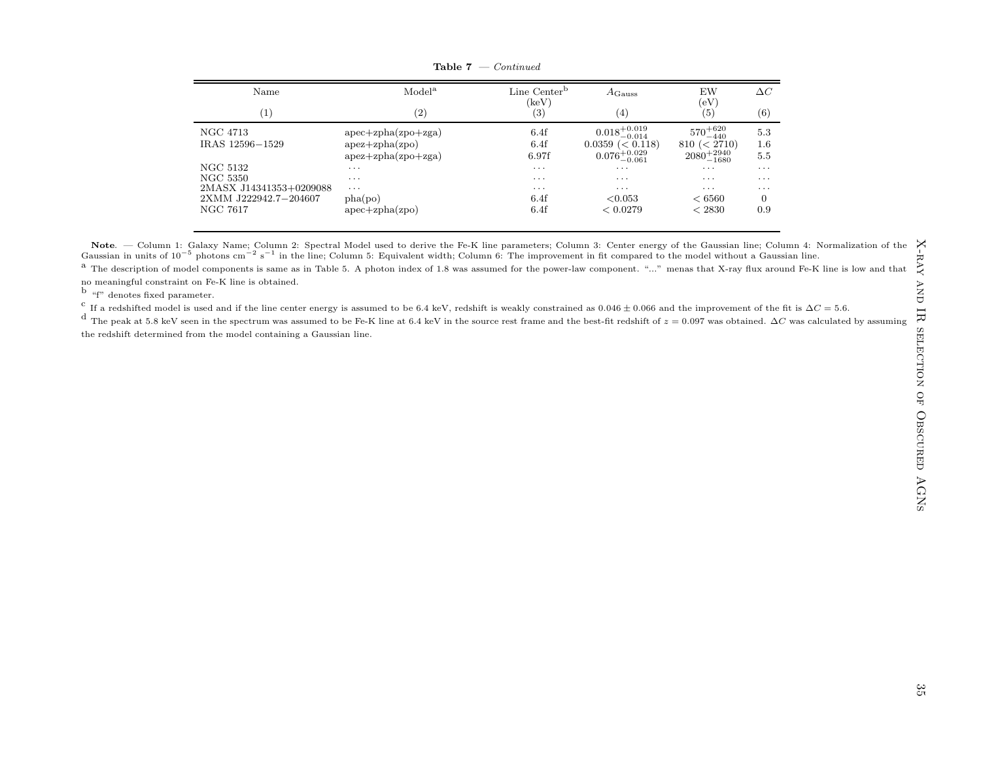| Name                    | Model <sup>a</sup>       | Line Center <sup>b</sup>                | $A_{\rm Gauss}$           | EW                        | $\Delta C$              |
|-------------------------|--------------------------|-----------------------------------------|---------------------------|---------------------------|-------------------------|
| $\left( 1\right)$       | $\left( 2\right)$        | $\left(\textrm{keV}\right)$<br>$^{(3)}$ | (4)                       | (eV)<br>$\left( 5\right)$ | (6)                     |
| NGC 4713                | $apec + zpha(zpo + zga)$ | 6.4f                                    | $0.018^{+0.019}_{-0.014}$ | $570^{+620}_{-440}$       | 5.3                     |
| IRAS 12596-1529         | $apez + zpha(zpo)$       | 6.4f                                    | $0.0359 \ (< 0.118)$      | (< 2710)<br>810           | 1.6                     |
|                         | $apez + zpha(zpo + zga)$ | 6.97f                                   | $0.076_{-0.061}^{+0.029}$ | $2080^{+2940}_{-1680}$    | 5.5                     |
| NGC 5132                | $\cdots$                 | $\cdots$                                | $\cdots$                  | $\cdots$                  | $\cdots$                |
| NGC 5350                | $\cdots$                 | $\cdots$                                | $\cdot$ $\cdot$ $\cdot$   | $\cdot$ $\cdot$ $\cdot$   | $\cdot$ $\cdot$ $\cdot$ |
| 2MASX J14341353+0209088 | $\cdots$                 | $\cdots$                                | $\cdot$ $\cdot$ $\cdot$   | $\cdot$ $\cdot$ $\cdot$   | $\cdot$ $\cdot$ $\cdot$ |
| 2XMM J222942.7-204607   | pha(po)                  | 6.4f                                    | < 0.053                   | ${}< 6560$                | $\overline{0}$          |
| NGC 7617                | $apec + zpha(zpo)$       | 6.4f                                    | < 0.0279                  | < 2830                    | 0.9                     |

**Table 7** — *Continued* 

**Note**. — Column 1: Galaxy Name; Column 2: Spectral Model used to derive the Fe-K line parameters; Column 3: Center energy of the Gaussian line; Column 4: Normalization of the Gaussian in units of  $10^{-5}$  photons cm<sup>-2</sup> s

 $^{\rm a}$  The description of model components is same as in Table 5. A photon index of 1.8 was assumed for the power-law component. "..." menas that X-ray flux around Fe-K line is low and that no meaningful constraint on Fe-K line is obtained.

b "f" denotes fixed parameter.

c If a redshifted model is used and if the line center energy is assumed to be 6.4 keV, redshift is weakly constrained as  $0.046 \pm 0.066$  and the improvement of the fit is  $\Delta C = 5.6$ .

d The peak at 5.8 keV seen in the spectrum was assumed to be Fe-K line at 6.4 keV in the source rest frame and the best-fit redshift of  $z = 0.097$  was obtained.  $\Delta C$  was calculated by assuming the redshift determined from the model containing <sup>a</sup> Gaussian line.